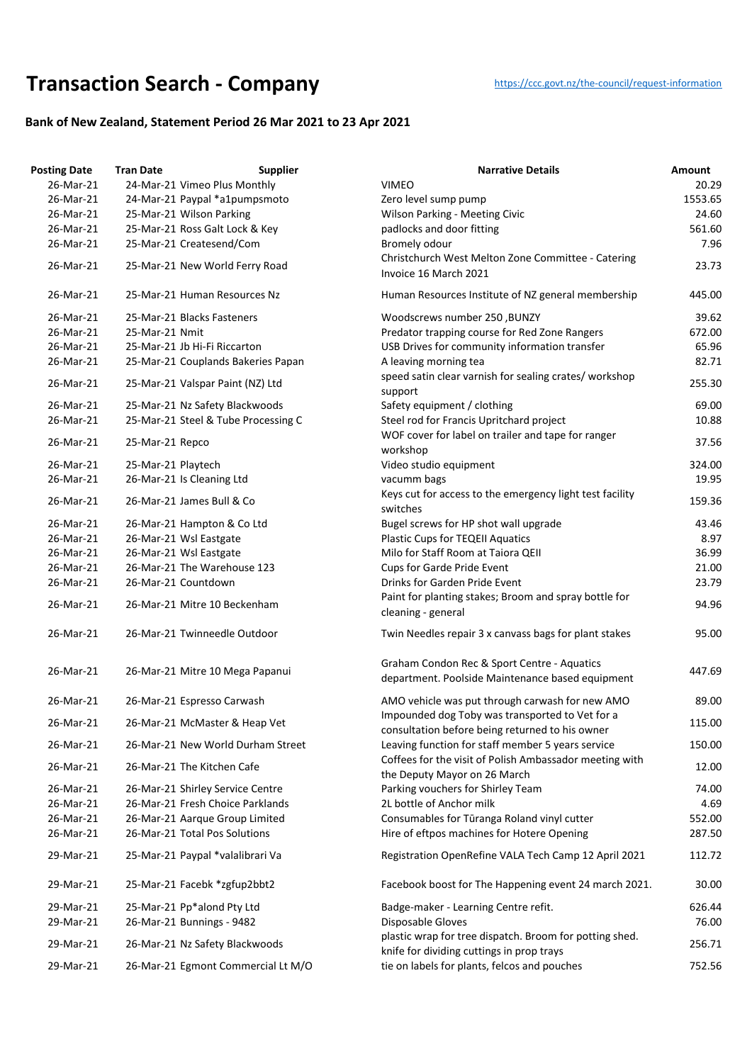## **Transaction Searc[h](https://ccc.govt.nz/the-council/request-information) - Company** https://ccc.govt.nz/the-council/request-information

## **Bank of New Zealand, Statement Period 26 Mar 2021 to 23 Apr 2021**

| <b>Posting Date</b> | <b>Tran Date</b>                    | <b>Supplier</b>                    | <b>Narrative Details</b>                                                                           | Amount  |
|---------------------|-------------------------------------|------------------------------------|----------------------------------------------------------------------------------------------------|---------|
| 26-Mar-21           | 24-Mar-21 Vimeo Plus Monthly        |                                    | <b>VIMEO</b>                                                                                       | 20.29   |
| 26-Mar-21           | 24-Mar-21 Paypal *a1pumpsmoto       |                                    | Zero level sump pump                                                                               | 1553.65 |
| 26-Mar-21           | 25-Mar-21 Wilson Parking            |                                    | <b>Wilson Parking - Meeting Civic</b>                                                              | 24.60   |
| 26-Mar-21           | 25-Mar-21 Ross Galt Lock & Key      |                                    | padlocks and door fitting                                                                          | 561.60  |
| 26-Mar-21           | 25-Mar-21 Createsend/Com            |                                    | Bromely odour                                                                                      | 7.96    |
|                     |                                     |                                    | Christchurch West Melton Zone Committee - Catering                                                 |         |
| 26-Mar-21           | 25-Mar-21 New World Ferry Road      |                                    | Invoice 16 March 2021                                                                              | 23.73   |
| 26-Mar-21           | 25-Mar-21 Human Resources Nz        |                                    | Human Resources Institute of NZ general membership                                                 | 445.00  |
| 26-Mar-21           | 25-Mar-21 Blacks Fasteners          |                                    | Woodscrews number 250, BUNZY                                                                       | 39.62   |
| 26-Mar-21           | 25-Mar-21 Nmit                      |                                    | Predator trapping course for Red Zone Rangers                                                      | 672.00  |
| 26-Mar-21           | 25-Mar-21 Jb Hi-Fi Riccarton        |                                    | USB Drives for community information transfer                                                      | 65.96   |
| 26-Mar-21           | 25-Mar-21 Couplands Bakeries Papan  |                                    | A leaving morning tea                                                                              | 82.71   |
| 26-Mar-21           | 25-Mar-21 Valspar Paint (NZ) Ltd    |                                    | speed satin clear varnish for sealing crates/ workshop                                             | 255.30  |
|                     |                                     |                                    | support                                                                                            |         |
| 26-Mar-21           | 25-Mar-21 Nz Safety Blackwoods      |                                    | Safety equipment / clothing                                                                        | 69.00   |
| 26-Mar-21           | 25-Mar-21 Steel & Tube Processing C |                                    | Steel rod for Francis Upritchard project                                                           | 10.88   |
| 26-Mar-21           | 25-Mar-21 Repco                     |                                    | WOF cover for label on trailer and tape for ranger<br>workshop                                     | 37.56   |
| 26-Mar-21           | 25-Mar-21 Playtech                  |                                    | Video studio equipment                                                                             | 324.00  |
| 26-Mar-21           | 26-Mar-21 Is Cleaning Ltd           |                                    | vacumm bags                                                                                        | 19.95   |
|                     |                                     |                                    | Keys cut for access to the emergency light test facility                                           |         |
| 26-Mar-21           | 26-Mar-21 James Bull & Co           |                                    | switches                                                                                           | 159.36  |
| 26-Mar-21           | 26-Mar-21 Hampton & Co Ltd          |                                    | Bugel screws for HP shot wall upgrade                                                              | 43.46   |
| 26-Mar-21           | 26-Mar-21 Wsl Eastgate              |                                    | <b>Plastic Cups for TEQEII Aquatics</b>                                                            | 8.97    |
| 26-Mar-21           | 26-Mar-21 Wsl Eastgate              |                                    | Milo for Staff Room at Taiora QEII                                                                 | 36.99   |
| 26-Mar-21           | 26-Mar-21 The Warehouse 123         |                                    | <b>Cups for Garde Pride Event</b>                                                                  | 21.00   |
| 26-Mar-21           | 26-Mar-21 Countdown                 |                                    | Drinks for Garden Pride Event                                                                      | 23.79   |
| 26-Mar-21           | 26-Mar-21 Mitre 10 Beckenham        |                                    | Paint for planting stakes; Broom and spray bottle for<br>cleaning - general                        | 94.96   |
| 26-Mar-21           | 26-Mar-21 Twinneedle Outdoor        |                                    | Twin Needles repair 3 x canvass bags for plant stakes                                              | 95.00   |
| 26-Mar-21           | 26-Mar-21 Mitre 10 Mega Papanui     |                                    | Graham Condon Rec & Sport Centre - Aquatics<br>department. Poolside Maintenance based equipment    | 447.69  |
| 26-Mar-21           | 26-Mar-21 Espresso Carwash          |                                    | AMO vehicle was put through carwash for new AMO                                                    | 89.00   |
| 26-Mar-21           | 26-Mar-21 McMaster & Heap Vet       |                                    | Impounded dog Toby was transported to Vet for a<br>consultation before being returned to his owner | 115.00  |
| 26-Mar-21           | 26-Mar-21 New World Durham Street   |                                    | Leaving function for staff member 5 years service                                                  | 150.00  |
| 26-Mar-21           | 26-Mar-21 The Kitchen Cafe          |                                    | Coffees for the visit of Polish Ambassador meeting with                                            | 12.00   |
|                     |                                     |                                    | the Deputy Mayor on 26 March                                                                       |         |
| 26-Mar-21           | 26-Mar-21 Shirley Service Centre    |                                    | Parking vouchers for Shirley Team                                                                  | 74.00   |
| 26-Mar-21           | 26-Mar-21 Fresh Choice Parklands    |                                    | 2L bottle of Anchor milk                                                                           | 4.69    |
| 26-Mar-21           | 26-Mar-21 Aarque Group Limited      |                                    | Consumables for Tūranga Roland vinyl cutter                                                        | 552.00  |
| 26-Mar-21           | 26-Mar-21 Total Pos Solutions       |                                    | Hire of eftpos machines for Hotere Opening                                                         | 287.50  |
| 29-Mar-21           | 25-Mar-21 Paypal *valalibrari Va    |                                    | Registration OpenRefine VALA Tech Camp 12 April 2021                                               | 112.72  |
| 29-Mar-21           | 25-Mar-21 Facebk *zgfup2bbt2        |                                    | Facebook boost for The Happening event 24 march 2021.                                              | 30.00   |
| 29-Mar-21           | 25-Mar-21 Pp*alond Pty Ltd          |                                    | Badge-maker - Learning Centre refit.                                                               | 626.44  |
| 29-Mar-21           | 26-Mar-21 Bunnings - 9482           |                                    | Disposable Gloves                                                                                  | 76.00   |
| 29-Mar-21           | 26-Mar-21 Nz Safety Blackwoods      |                                    | plastic wrap for tree dispatch. Broom for potting shed.                                            | 256.71  |
|                     |                                     |                                    | knife for dividing cuttings in prop trays                                                          |         |
| 29-Mar-21           |                                     | 26-Mar-21 Egmont Commercial Lt M/O | tie on labels for plants, felcos and pouches                                                       | 752.56  |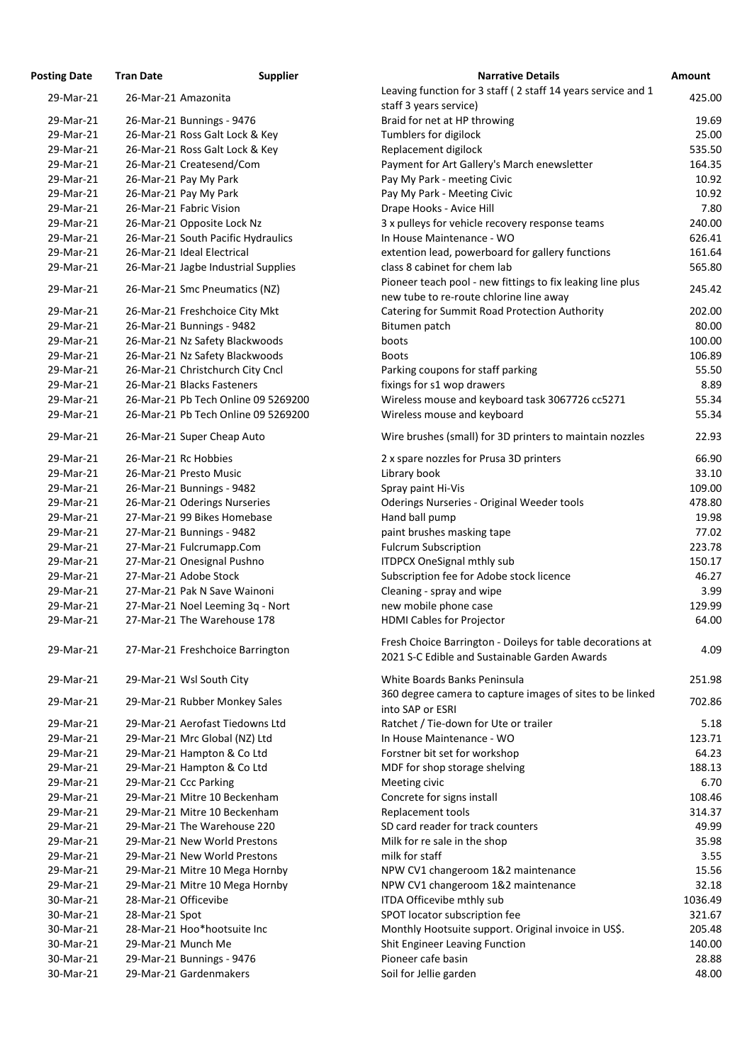| osting Date | <b>Tran Date</b>     | <b>Supplier</b>                     | <b>Narrative Details</b>                                                                                 |
|-------------|----------------------|-------------------------------------|----------------------------------------------------------------------------------------------------------|
| 29-Mar-21   |                      | 26-Mar-21 Amazonita                 | Leaving function for 3 staff (2 staff 14 years service and                                               |
|             |                      |                                     | staff 3 years service)                                                                                   |
| 29-Mar-21   |                      | 26-Mar-21 Bunnings - 9476           | Braid for net at HP throwing                                                                             |
| 29-Mar-21   |                      | 26-Mar-21 Ross Galt Lock & Key      | Tumblers for digilock                                                                                    |
| 29-Mar-21   |                      | 26-Mar-21 Ross Galt Lock & Key      | Replacement digilock                                                                                     |
| 29-Mar-21   |                      | 26-Mar-21 Createsend/Com            | Payment for Art Gallery's March enewsletter                                                              |
| 29-Mar-21   |                      | 26-Mar-21 Pay My Park               | Pay My Park - meeting Civic                                                                              |
| 29-Mar-21   |                      | 26-Mar-21 Pay My Park               | Pay My Park - Meeting Civic                                                                              |
| 29-Mar-21   |                      | 26-Mar-21 Fabric Vision             | Drape Hooks - Avice Hill                                                                                 |
| 29-Mar-21   |                      | 26-Mar-21 Opposite Lock Nz          | 3 x pulleys for vehicle recovery response teams                                                          |
| 29-Mar-21   |                      | 26-Mar-21 South Pacific Hydraulics  | In House Maintenance - WO                                                                                |
| 29-Mar-21   |                      | 26-Mar-21 Ideal Electrical          | extention lead, powerboard for gallery functions                                                         |
| 29-Mar-21   |                      | 26-Mar-21 Jagbe Industrial Supplies | class 8 cabinet for chem lab                                                                             |
| 29-Mar-21   |                      | 26-Mar-21 Smc Pneumatics (NZ)       | Pioneer teach pool - new fittings to fix leaking line plus<br>new tube to re-route chlorine line away    |
| 29-Mar-21   |                      | 26-Mar-21 Freshchoice City Mkt      | Catering for Summit Road Protection Authority                                                            |
| 29-Mar-21   |                      | 26-Mar-21 Bunnings - 9482           | Bitumen patch                                                                                            |
| 29-Mar-21   |                      | 26-Mar-21 Nz Safety Blackwoods      | boots                                                                                                    |
| 29-Mar-21   |                      | 26-Mar-21 Nz Safety Blackwoods      | <b>Boots</b>                                                                                             |
| 29-Mar-21   |                      | 26-Mar-21 Christchurch City Cncl    | Parking coupons for staff parking                                                                        |
| 29-Mar-21   |                      | 26-Mar-21 Blacks Fasteners          | fixings for s1 wop drawers                                                                               |
| 29-Mar-21   |                      | 26-Mar-21 Pb Tech Online 09 5269200 | Wireless mouse and keyboard task 3067726 cc5271                                                          |
| 29-Mar-21   |                      | 26-Mar-21 Pb Tech Online 09 5269200 | Wireless mouse and keyboard                                                                              |
| 29-Mar-21   |                      | 26-Mar-21 Super Cheap Auto          | Wire brushes (small) for 3D printers to maintain nozzle                                                  |
| 29-Mar-21   |                      | 26-Mar-21 Rc Hobbies                | 2 x spare nozzles for Prusa 3D printers                                                                  |
| 29-Mar-21   |                      | 26-Mar-21 Presto Music              | Library book                                                                                             |
| 29-Mar-21   |                      | 26-Mar-21 Bunnings - 9482           | Spray paint Hi-Vis                                                                                       |
| 29-Mar-21   |                      | 26-Mar-21 Oderings Nurseries        | <b>Oderings Nurseries - Original Weeder tools</b>                                                        |
| 29-Mar-21   |                      | 27-Mar-21 99 Bikes Homebase         | Hand ball pump                                                                                           |
| 29-Mar-21   |                      | 27-Mar-21 Bunnings - 9482           | paint brushes masking tape                                                                               |
| 29-Mar-21   |                      | 27-Mar-21 Fulcrumapp.Com            | <b>Fulcrum Subscription</b>                                                                              |
| 29-Mar-21   |                      | 27-Mar-21 Onesignal Pushno          | <b>ITDPCX OneSignal mthly sub</b>                                                                        |
| 29-Mar-21   |                      | 27-Mar-21 Adobe Stock               | Subscription fee for Adobe stock licence                                                                 |
| 29-Mar-21   |                      | 27-Mar-21 Pak N Save Wainoni        | Cleaning - spray and wipe                                                                                |
| 29-Mar-21   |                      | 27-Mar-21 Noel Leeming 3q - Nort    | new mobile phone case                                                                                    |
| 29-Mar-21   |                      | 27-Mar-21 The Warehouse 178         | <b>HDMI Cables for Projector</b>                                                                         |
| 29-Mar-21   |                      | 27-Mar-21 Freshchoice Barrington    | Fresh Choice Barrington - Doileys for table decorations<br>2021 S-C Edible and Sustainable Garden Awards |
| 29-Mar-21   |                      | 29-Mar-21 Wsl South City            | White Boards Banks Peninsula                                                                             |
|             |                      |                                     | 360 degree camera to capture images of sites to be link                                                  |
| 29-Mar-21   |                      | 29-Mar-21 Rubber Monkey Sales       | into SAP or ESRI                                                                                         |
| 29-Mar-21   |                      | 29-Mar-21 Aerofast Tiedowns Ltd     | Ratchet / Tie-down for Ute or trailer                                                                    |
| 29-Mar-21   |                      | 29-Mar-21 Mrc Global (NZ) Ltd       | In House Maintenance - WO                                                                                |
| 29-Mar-21   |                      | 29-Mar-21 Hampton & Co Ltd          | Forstner bit set for workshop                                                                            |
| 29-Mar-21   |                      | 29-Mar-21 Hampton & Co Ltd          | MDF for shop storage shelving                                                                            |
| 29-Mar-21   |                      | 29-Mar-21 Ccc Parking               | Meeting civic                                                                                            |
| 29-Mar-21   |                      | 29-Mar-21 Mitre 10 Beckenham        | Concrete for signs install                                                                               |
| 29-Mar-21   |                      | 29-Mar-21 Mitre 10 Beckenham        | Replacement tools                                                                                        |
| 29-Mar-21   |                      | 29-Mar-21 The Warehouse 220         | SD card reader for track counters                                                                        |
| 29-Mar-21   |                      | 29-Mar-21 New World Prestons        | Milk for re sale in the shop                                                                             |
| 29-Mar-21   |                      | 29-Mar-21 New World Prestons        | milk for staff                                                                                           |
| 29-Mar-21   |                      | 29-Mar-21 Mitre 10 Mega Hornby      | NPW CV1 changeroom 1&2 maintenance                                                                       |
| 29-Mar-21   |                      | 29-Mar-21 Mitre 10 Mega Hornby      | NPW CV1 changeroom 1&2 maintenance                                                                       |
| 30-Mar-21   | 28-Mar-21 Officevibe |                                     | ITDA Officevibe mthly sub                                                                                |
| 30-Mar-21   | 28-Mar-21 Spot       |                                     | SPOT locator subscription fee                                                                            |
| 30-Mar-21   |                      | 28-Mar-21 Hoo*hootsuite Inc         | Monthly Hootsuite support. Original invoice in US\$.                                                     |
| 30-Mar-21   |                      | 29-Mar-21 Munch Me                  | <b>Shit Engineer Leaving Function</b>                                                                    |
| 30-Mar-21   |                      | 29-Mar-21 Bunnings - 9476           | Pioneer cafe basin                                                                                       |
| 30-Mar-21   |                      | 29-Mar-21 Gardenmakers              | Soil for Jellie garden                                                                                   |

| <b>Posting Date</b> | <b>Tran Date</b>     | <b>Supplier</b>                     | <b>Narrative Details</b>                                                                                    | <b>Amount</b> |
|---------------------|----------------------|-------------------------------------|-------------------------------------------------------------------------------------------------------------|---------------|
| 29-Mar-21           |                      | 26-Mar-21 Amazonita                 | Leaving function for 3 staff (2 staff 14 years service and 1<br>staff 3 years service)                      | 425.00        |
| 29-Mar-21           |                      | 26-Mar-21 Bunnings - 9476           | Braid for net at HP throwing                                                                                | 19.69         |
| 29-Mar-21           |                      | 26-Mar-21 Ross Galt Lock & Key      | Tumblers for digilock                                                                                       | 25.00         |
| 29-Mar-21           |                      | 26-Mar-21 Ross Galt Lock & Key      | Replacement digilock                                                                                        | 535.50        |
| 29-Mar-21           |                      | 26-Mar-21 Createsend/Com            | Payment for Art Gallery's March enewsletter                                                                 | 164.35        |
| 29-Mar-21           |                      | 26-Mar-21 Pay My Park               | Pay My Park - meeting Civic                                                                                 | 10.92         |
| 29-Mar-21           |                      | 26-Mar-21 Pay My Park               | Pay My Park - Meeting Civic                                                                                 | 10.92         |
| 29-Mar-21           |                      | 26-Mar-21 Fabric Vision             | Drape Hooks - Avice Hill                                                                                    | 7.80          |
| 29-Mar-21           |                      | 26-Mar-21 Opposite Lock Nz          | 3 x pulleys for vehicle recovery response teams                                                             | 240.00        |
| 29-Mar-21           |                      | 26-Mar-21 South Pacific Hydraulics  | In House Maintenance - WO                                                                                   | 626.41        |
| 29-Mar-21           |                      | 26-Mar-21 Ideal Electrical          | extention lead, powerboard for gallery functions                                                            | 161.64        |
| 29-Mar-21           |                      | 26-Mar-21 Jagbe Industrial Supplies | class 8 cabinet for chem lab                                                                                | 565.80        |
| 29-Mar-21           |                      | 26-Mar-21 Smc Pneumatics (NZ)       | Pioneer teach pool - new fittings to fix leaking line plus<br>new tube to re-route chlorine line away       | 245.42        |
| 29-Mar-21           |                      | 26-Mar-21 Freshchoice City Mkt      | Catering for Summit Road Protection Authority                                                               | 202.00        |
| 29-Mar-21           |                      | 26-Mar-21 Bunnings - 9482           | Bitumen patch                                                                                               | 80.00         |
| 29-Mar-21           |                      | 26-Mar-21 Nz Safety Blackwoods      | boots                                                                                                       | 100.00        |
| 29-Mar-21           |                      | 26-Mar-21 Nz Safety Blackwoods      | <b>Boots</b>                                                                                                | 106.89        |
| 29-Mar-21           |                      | 26-Mar-21 Christchurch City Cncl    | Parking coupons for staff parking                                                                           | 55.50         |
| 29-Mar-21           |                      | 26-Mar-21 Blacks Fasteners          | fixings for s1 wop drawers                                                                                  | 8.89          |
| 29-Mar-21           |                      | 26-Mar-21 Pb Tech Online 09 5269200 | Wireless mouse and keyboard task 3067726 cc5271                                                             | 55.34         |
| 29-Mar-21           |                      | 26-Mar-21 Pb Tech Online 09 5269200 | Wireless mouse and keyboard                                                                                 | 55.34         |
| 29-Mar-21           |                      | 26-Mar-21 Super Cheap Auto          | Wire brushes (small) for 3D printers to maintain nozzles                                                    | 22.93         |
| 29-Mar-21           |                      | 26-Mar-21 Rc Hobbies                | 2 x spare nozzles for Prusa 3D printers                                                                     | 66.90         |
| 29-Mar-21           |                      | 26-Mar-21 Presto Music              | Library book                                                                                                | 33.10         |
| 29-Mar-21           |                      | 26-Mar-21 Bunnings - 9482           | Spray paint Hi-Vis                                                                                          | 109.00        |
| 29-Mar-21           |                      | 26-Mar-21 Oderings Nurseries        | <b>Oderings Nurseries - Original Weeder tools</b>                                                           | 478.80        |
| 29-Mar-21           |                      | 27-Mar-21 99 Bikes Homebase         | Hand ball pump                                                                                              | 19.98         |
| 29-Mar-21           |                      | 27-Mar-21 Bunnings - 9482           | paint brushes masking tape                                                                                  | 77.02         |
| 29-Mar-21           |                      | 27-Mar-21 Fulcrumapp.Com            | <b>Fulcrum Subscription</b>                                                                                 | 223.78        |
| 29-Mar-21           |                      | 27-Mar-21 Onesignal Pushno          | <b>ITDPCX OneSignal mthly sub</b>                                                                           | 150.17        |
| 29-Mar-21           |                      | 27-Mar-21 Adobe Stock               | Subscription fee for Adobe stock licence                                                                    | 46.27         |
| 29-Mar-21           |                      | 27-Mar-21 Pak N Save Wainoni        | Cleaning - spray and wipe                                                                                   | 3.99          |
| 29-Mar-21           |                      | 27-Mar-21 Noel Leeming 3q - Nort    | new mobile phone case                                                                                       | 129.99        |
| 29-Mar-21           |                      | 27-Mar-21 The Warehouse 178         | <b>HDMI Cables for Projector</b>                                                                            | 64.00         |
| 29-Mar-21           |                      | 27-Mar-21 Freshchoice Barrington    | Fresh Choice Barrington - Doileys for table decorations at<br>2021 S-C Edible and Sustainable Garden Awards | 4.09          |
| 29-Mar-21           |                      | 29-Mar-21 Wsl South City            | White Boards Banks Peninsula<br>360 degree camera to capture images of sites to be linked                   | 251.98        |
| 29-Mar-21           |                      | 29-Mar-21 Rubber Monkey Sales       | into SAP or ESRI                                                                                            | 702.86        |
| 29-Mar-21           |                      | 29-Mar-21 Aerofast Tiedowns Ltd     | Ratchet / Tie-down for Ute or trailer                                                                       | 5.18          |
| 29-Mar-21           |                      | 29-Mar-21 Mrc Global (NZ) Ltd       | In House Maintenance - WO                                                                                   | 123.71        |
| 29-Mar-21           |                      | 29-Mar-21 Hampton & Co Ltd          | Forstner bit set for workshop                                                                               | 64.23         |
| 29-Mar-21           |                      | 29-Mar-21 Hampton & Co Ltd          | MDF for shop storage shelving                                                                               | 188.13        |
| 29-Mar-21           |                      | 29-Mar-21 Ccc Parking               | Meeting civic                                                                                               | 6.70          |
| 29-Mar-21           |                      | 29-Mar-21 Mitre 10 Beckenham        | Concrete for signs install                                                                                  | 108.46        |
| 29-Mar-21           |                      | 29-Mar-21 Mitre 10 Beckenham        | Replacement tools                                                                                           | 314.37        |
| 29-Mar-21           |                      | 29-Mar-21 The Warehouse 220         | SD card reader for track counters                                                                           | 49.99         |
| 29-Mar-21           |                      | 29-Mar-21 New World Prestons        | Milk for re sale in the shop                                                                                | 35.98         |
| 29-Mar-21           |                      | 29-Mar-21 New World Prestons        | milk for staff                                                                                              | 3.55          |
| 29-Mar-21           |                      | 29-Mar-21 Mitre 10 Mega Hornby      | NPW CV1 changeroom 1&2 maintenance                                                                          | 15.56         |
| 29-Mar-21           |                      | 29-Mar-21 Mitre 10 Mega Hornby      | NPW CV1 changeroom 1&2 maintenance                                                                          | 32.18         |
| 30-Mar-21           | 28-Mar-21 Officevibe |                                     | ITDA Officevibe mthly sub                                                                                   | 1036.49       |
| 30-Mar-21           | 28-Mar-21 Spot       |                                     | SPOT locator subscription fee                                                                               | 321.67        |
| 30-Mar-21           |                      | 28-Mar-21 Hoo*hootsuite Inc         | Monthly Hootsuite support. Original invoice in US\$.                                                        | 205.48        |
| 30-Mar-21           |                      | 29-Mar-21 Munch Me                  | <b>Shit Engineer Leaving Function</b>                                                                       | 140.00        |
| 30-Mar-21           |                      | 29-Mar-21 Bunnings - 9476           | Pioneer cafe basin                                                                                          | 28.88         |
| 30-Mar-21           |                      | 29-Mar-21 Gardenmakers              | Soil for Jellie garden                                                                                      | 48.00         |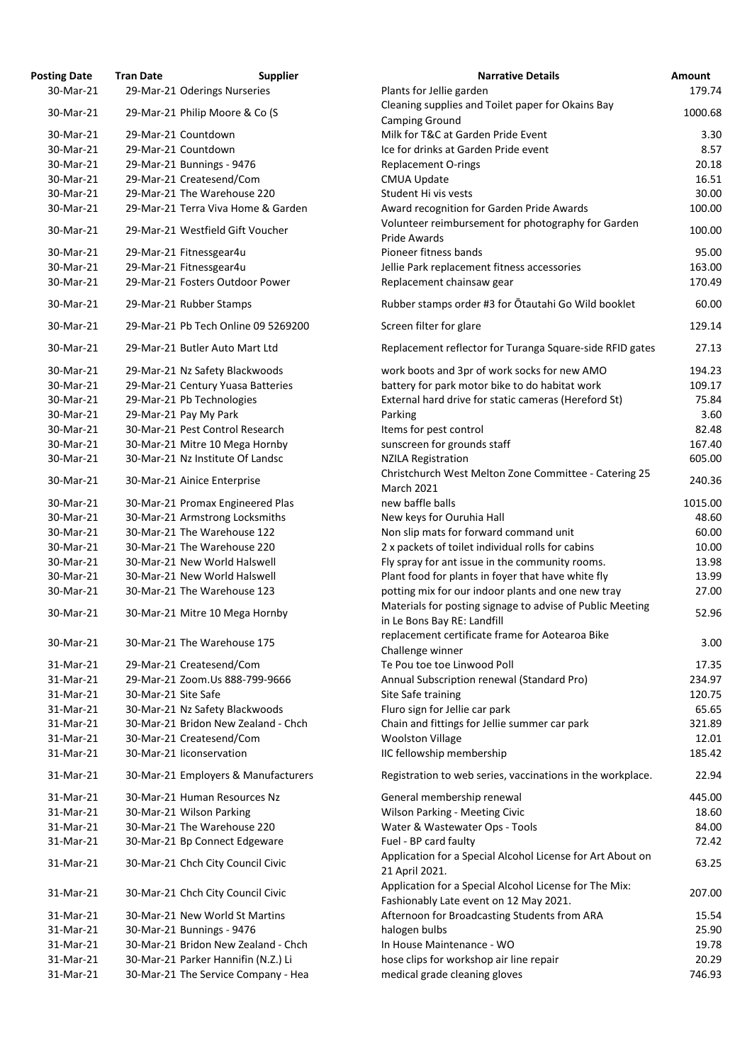| osting Date | <b>Tran Date</b>             | <b>Supplier</b>                     | <b>Narrative Details</b>                                                                |
|-------------|------------------------------|-------------------------------------|-----------------------------------------------------------------------------------------|
| 30-Mar-21   | 29-Mar-21 Oderings Nurseries |                                     | Plants for Jellie garden                                                                |
| 30-Mar-21   |                              | 29-Mar-21 Philip Moore & Co (S      | Cleaning supplies and Toilet paper for Okains Bay                                       |
|             |                              |                                     | <b>Camping Ground</b>                                                                   |
| 30-Mar-21   | 29-Mar-21 Countdown          |                                     | Milk for T&C at Garden Pride Event                                                      |
| 30-Mar-21   | 29-Mar-21 Countdown          |                                     | Ice for drinks at Garden Pride event                                                    |
| 30-Mar-21   | 29-Mar-21 Bunnings - 9476    |                                     | <b>Replacement O-rings</b>                                                              |
| 30-Mar-21   | 29-Mar-21 Createsend/Com     |                                     | <b>CMUA Update</b>                                                                      |
| 30-Mar-21   |                              | 29-Mar-21 The Warehouse 220         | Student Hi vis vests                                                                    |
| 30-Mar-21   |                              | 29-Mar-21 Terra Viva Home & Garden  | Award recognition for Garden Pride Awards                                               |
| 30-Mar-21   |                              | 29-Mar-21 Westfield Gift Voucher    | Volunteer reimbursement for photography for Garden<br><b>Pride Awards</b>               |
| 30-Mar-21   | 29-Mar-21 Fitnessgear4u      |                                     | Pioneer fitness bands                                                                   |
| 30-Mar-21   | 29-Mar-21 Fitnessgear4u      |                                     | Jellie Park replacement fitness accessories                                             |
| 30-Mar-21   |                              | 29-Mar-21 Fosters Outdoor Power     | Replacement chainsaw gear                                                               |
| 30-Mar-21   | 29-Mar-21 Rubber Stamps      |                                     | Rubber stamps order #3 for Otautahi Go Wild booklet                                     |
| 30-Mar-21   |                              | 29-Mar-21 Pb Tech Online 09 5269200 | Screen filter for glare                                                                 |
| 30-Mar-21   |                              | 29-Mar-21 Butler Auto Mart Ltd      | Replacement reflector for Turanga Square-side RFID ga                                   |
| 30-Mar-21   |                              | 29-Mar-21 Nz Safety Blackwoods      | work boots and 3pr of work socks for new AMO                                            |
| 30-Mar-21   |                              | 29-Mar-21 Century Yuasa Batteries   | battery for park motor bike to do habitat work                                          |
| 30-Mar-21   | 29-Mar-21 Pb Technologies    |                                     | External hard drive for static cameras (Hereford St)                                    |
| 30-Mar-21   | 29-Mar-21 Pay My Park        |                                     | Parking                                                                                 |
| 30-Mar-21   |                              | 30-Mar-21 Pest Control Research     | Items for pest control                                                                  |
| 30-Mar-21   |                              | 30-Mar-21 Mitre 10 Mega Hornby      | sunscreen for grounds staff                                                             |
| 30-Mar-21   |                              | 30-Mar-21 Nz Institute Of Landsc    | <b>NZILA Registration</b>                                                               |
| 30-Mar-21   | 30-Mar-21 Ainice Enterprise  |                                     | Christchurch West Melton Zone Committee - Catering 2<br><b>March 2021</b>               |
| 30-Mar-21   |                              | 30-Mar-21 Promax Engineered Plas    | new baffle balls                                                                        |
| 30-Mar-21   |                              | 30-Mar-21 Armstrong Locksmiths      | New keys for Ouruhia Hall                                                               |
| 30-Mar-21   |                              | 30-Mar-21 The Warehouse 122         | Non slip mats for forward command unit                                                  |
| 30-Mar-21   |                              | 30-Mar-21 The Warehouse 220         | 2 x packets of toilet individual rolls for cabins                                       |
| 30-Mar-21   |                              | 30-Mar-21 New World Halswell        | Fly spray for ant issue in the community rooms.                                         |
| 30-Mar-21   |                              | 30-Mar-21 New World Halswell        | Plant food for plants in foyer that have white fly                                      |
| 30-Mar-21   |                              | 30-Mar-21 The Warehouse 123         |                                                                                         |
|             |                              |                                     | potting mix for our indoor plants and one new tray                                      |
| 30-Mar-21   |                              | 30-Mar-21 Mitre 10 Mega Hornby      | Materials for posting signage to advise of Public Meetir<br>in Le Bons Bay RE: Landfill |
| 30-Mar-21   |                              | 30-Mar-21 The Warehouse 175         | replacement certificate frame for Aotearoa Bike                                         |
|             |                              |                                     | Challenge winner                                                                        |
| 31-Mar-21   | 29-Mar-21 Createsend/Com     |                                     | Te Pou toe toe Linwood Poll                                                             |
| 31-Mar-21   |                              | 29-Mar-21 Zoom.Us 888-799-9666      | Annual Subscription renewal (Standard Pro)                                              |
| 31-Mar-21   | 30-Mar-21 Site Safe          |                                     | Site Safe training                                                                      |
| 31-Mar-21   |                              | 30-Mar-21 Nz Safety Blackwoods      | Fluro sign for Jellie car park                                                          |
| 31-Mar-21   |                              | 30-Mar-21 Bridon New Zealand - Chch | Chain and fittings for Jellie summer car park                                           |
| 31-Mar-21   | 30-Mar-21 Createsend/Com     |                                     | <b>Woolston Village</b>                                                                 |
| 31-Mar-21   | 30-Mar-21 liconservation     |                                     | IIC fellowship membership                                                               |
| 31-Mar-21   |                              | 30-Mar-21 Employers & Manufacturers | Registration to web series, vaccinations in the workpla                                 |
| 31-Mar-21   |                              | 30-Mar-21 Human Resources Nz        | General membership renewal                                                              |
| 31-Mar-21   | 30-Mar-21 Wilson Parking     |                                     | <b>Wilson Parking - Meeting Civic</b>                                                   |
| 31-Mar-21   |                              | 30-Mar-21 The Warehouse 220         | Water & Wastewater Ops - Tools                                                          |
| 31-Mar-21   |                              | 30-Mar-21 Bp Connect Edgeware       | Fuel - BP card faulty                                                                   |
| 31-Mar-21   |                              | 30-Mar-21 Chch City Council Civic   | Application for a Special Alcohol License for Art About<br>21 April 2021.               |
| 31-Mar-21   |                              | 30-Mar-21 Chch City Council Civic   | Application for a Special Alcohol License for The Mix:                                  |
|             |                              |                                     | Fashionably Late event on 12 May 2021.                                                  |
| 31-Mar-21   |                              | 30-Mar-21 New World St Martins      | Afternoon for Broadcasting Students from ARA                                            |
| 31-Mar-21   | 30-Mar-21 Bunnings - 9476    |                                     | halogen bulbs                                                                           |
| 31-Mar-21   |                              | 30-Mar-21 Bridon New Zealand - Chch | In House Maintenance - WO                                                               |
| 31-Mar-21   |                              | 30-Mar-21 Parker Hannifin (N.Z.) Li | hose clips for workshop air line repair                                                 |
| 31-Mar-21   |                              | 30-Mar-21 The Service Company - Hea | medical grade cleaning gloves                                                           |

| <b>Posting Date</b> | <b>Tran Date</b>    | <b>Supplier</b>                     | <b>Narrative Details</b>                                   | <b>Amount</b> |
|---------------------|---------------------|-------------------------------------|------------------------------------------------------------|---------------|
| 30-Mar-21           |                     | 29-Mar-21 Oderings Nurseries        | Plants for Jellie garden                                   | 179.74        |
|                     |                     |                                     | Cleaning supplies and Toilet paper for Okains Bay          |               |
| 30-Mar-21           |                     | 29-Mar-21 Philip Moore & Co (S      | <b>Camping Ground</b>                                      | 1000.68       |
| 30-Mar-21           |                     | 29-Mar-21 Countdown                 | Milk for T&C at Garden Pride Event                         | 3.30          |
| 30-Mar-21           |                     | 29-Mar-21 Countdown                 | Ice for drinks at Garden Pride event                       | 8.57          |
| 30-Mar-21           |                     | 29-Mar-21 Bunnings - 9476           | <b>Replacement O-rings</b>                                 | 20.18         |
| 30-Mar-21           |                     | 29-Mar-21 Createsend/Com            | <b>CMUA Update</b>                                         | 16.51         |
| 30-Mar-21           |                     | 29-Mar-21 The Warehouse 220         | Student Hi vis vests                                       | 30.00         |
| 30-Mar-21           |                     | 29-Mar-21 Terra Viva Home & Garden  | Award recognition for Garden Pride Awards                  | 100.00        |
| 30-Mar-21           |                     | 29-Mar-21 Westfield Gift Voucher    | Volunteer reimbursement for photography for Garden         | 100.00        |
|                     |                     |                                     | Pride Awards                                               |               |
| 30-Mar-21           |                     | 29-Mar-21 Fitnessgear4u             | Pioneer fitness bands                                      | 95.00         |
| 30-Mar-21           |                     | 29-Mar-21 Fitnessgear4u             | Jellie Park replacement fitness accessories                | 163.00        |
| 30-Mar-21           |                     | 29-Mar-21 Fosters Outdoor Power     | Replacement chainsaw gear                                  | 170.49        |
| 30-Mar-21           |                     | 29-Mar-21 Rubber Stamps             | Rubber stamps order #3 for Otautahi Go Wild booklet        | 60.00         |
| 30-Mar-21           |                     | 29-Mar-21 Pb Tech Online 09 5269200 | Screen filter for glare                                    | 129.14        |
| 30-Mar-21           |                     | 29-Mar-21 Butler Auto Mart Ltd      | Replacement reflector for Turanga Square-side RFID gates   | 27.13         |
| 30-Mar-21           |                     | 29-Mar-21 Nz Safety Blackwoods      | work boots and 3pr of work socks for new AMO               | 194.23        |
| 30-Mar-21           |                     | 29-Mar-21 Century Yuasa Batteries   | battery for park motor bike to do habitat work             | 109.17        |
| 30-Mar-21           |                     | 29-Mar-21 Pb Technologies           | External hard drive for static cameras (Hereford St)       | 75.84         |
| 30-Mar-21           |                     | 29-Mar-21 Pay My Park               | Parking                                                    | 3.60          |
| 30-Mar-21           |                     | 30-Mar-21 Pest Control Research     | Items for pest control                                     | 82.48         |
| 30-Mar-21           |                     | 30-Mar-21 Mitre 10 Mega Hornby      | sunscreen for grounds staff                                | 167.40        |
| 30-Mar-21           |                     | 30-Mar-21 Nz Institute Of Landsc    | <b>NZILA Registration</b>                                  | 605.00        |
| 30-Mar-21           |                     |                                     | Christchurch West Melton Zone Committee - Catering 25      | 240.36        |
|                     |                     | 30-Mar-21 Ainice Enterprise         | <b>March 2021</b>                                          |               |
| 30-Mar-21           |                     | 30-Mar-21 Promax Engineered Plas    | new baffle balls                                           | 1015.00       |
| 30-Mar-21           |                     | 30-Mar-21 Armstrong Locksmiths      | New keys for Ouruhia Hall                                  | 48.60         |
| 30-Mar-21           |                     | 30-Mar-21 The Warehouse 122         | Non slip mats for forward command unit                     | 60.00         |
| 30-Mar-21           |                     | 30-Mar-21 The Warehouse 220         | 2 x packets of toilet individual rolls for cabins          | 10.00         |
| 30-Mar-21           |                     | 30-Mar-21 New World Halswell        | Fly spray for ant issue in the community rooms.            | 13.98         |
| 30-Mar-21           |                     | 30-Mar-21 New World Halswell        | Plant food for plants in foyer that have white fly         | 13.99         |
| 30-Mar-21           |                     | 30-Mar-21 The Warehouse 123         | potting mix for our indoor plants and one new tray         | 27.00         |
| 30-Mar-21           |                     | 30-Mar-21 Mitre 10 Mega Hornby      | Materials for posting signage to advise of Public Meeting  | 52.96         |
|                     |                     |                                     | in Le Bons Bay RE: Landfill                                |               |
| 30-Mar-21           |                     | 30-Mar-21 The Warehouse 175         | replacement certificate frame for Aotearoa Bike            | 3.00          |
|                     |                     |                                     | Challenge winner                                           |               |
| 31-Mar-21           |                     | 29-Mar-21 Createsend/Com            | Te Pou toe toe Linwood Poll                                | 17.35         |
| 31-Mar-21           |                     | 29-Mar-21 Zoom.Us 888-799-9666      | Annual Subscription renewal (Standard Pro)                 | 234.97        |
| 31-Mar-21           | 30-Mar-21 Site Safe |                                     | Site Safe training                                         | 120.75        |
| 31-Mar-21           |                     | 30-Mar-21 Nz Safety Blackwoods      | Fluro sign for Jellie car park                             | 65.65         |
| 31-Mar-21           |                     | 30-Mar-21 Bridon New Zealand - Chch | Chain and fittings for Jellie summer car park              | 321.89        |
| 31-Mar-21           |                     | 30-Mar-21 Createsend/Com            | <b>Woolston Village</b>                                    | 12.01         |
| 31-Mar-21           |                     | 30-Mar-21 liconservation            | IIC fellowship membership                                  | 185.42        |
| 31-Mar-21           |                     | 30-Mar-21 Employers & Manufacturers | Registration to web series, vaccinations in the workplace. | 22.94         |
| 31-Mar-21           |                     | 30-Mar-21 Human Resources Nz        | General membership renewal                                 | 445.00        |
| 31-Mar-21           |                     | 30-Mar-21 Wilson Parking            | <b>Wilson Parking - Meeting Civic</b>                      | 18.60         |
| 31-Mar-21           |                     | 30-Mar-21 The Warehouse 220         | Water & Wastewater Ops - Tools                             | 84.00         |
| 31-Mar-21           |                     | 30-Mar-21 Bp Connect Edgeware       | Fuel - BP card faulty                                      | 72.42         |
|                     |                     |                                     | Application for a Special Alcohol License for Art About on |               |
| 31-Mar-21           |                     | 30-Mar-21 Chch City Council Civic   | 21 April 2021.                                             | 63.25         |
| 31-Mar-21           |                     | 30-Mar-21 Chch City Council Civic   | Application for a Special Alcohol License for The Mix:     | 207.00        |
|                     |                     |                                     | Fashionably Late event on 12 May 2021.                     |               |
| 31-Mar-21           |                     | 30-Mar-21 New World St Martins      | Afternoon for Broadcasting Students from ARA               | 15.54         |
| 31-Mar-21           |                     | 30-Mar-21 Bunnings - 9476           | halogen bulbs                                              | 25.90         |
| 31-Mar-21           |                     | 30-Mar-21 Bridon New Zealand - Chch | In House Maintenance - WO                                  | 19.78         |
| 31-Mar-21           |                     | 30-Mar-21 Parker Hannifin (N.Z.) Li | hose clips for workshop air line repair                    | 20.29         |
| 31-Mar-21           |                     | 30-Mar-21 The Service Company - Hea | medical grade cleaning gloves                              | 746.93        |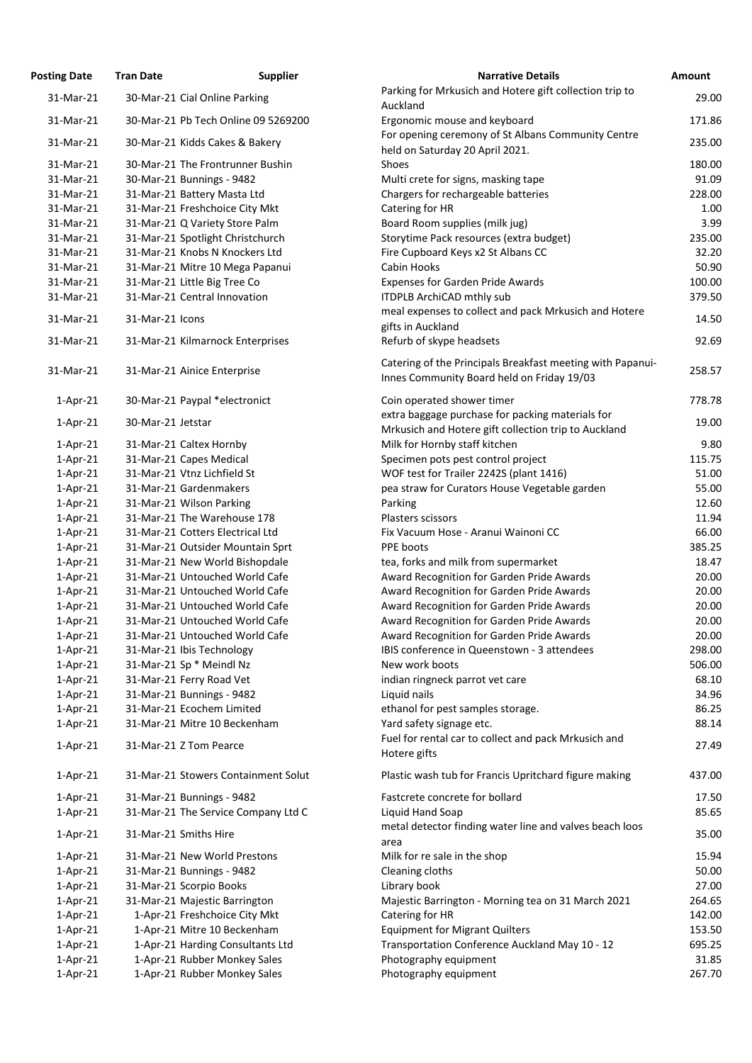| osting Date               | <b>Tran Date</b>                    | <b>Supplier</b> | <b>Narrative Details</b>                                                                                 |
|---------------------------|-------------------------------------|-----------------|----------------------------------------------------------------------------------------------------------|
| 31-Mar-21                 | 30-Mar-21 Cial Online Parking       |                 | Parking for Mrkusich and Hotere gift collection trip to                                                  |
|                           |                                     |                 | Auckland                                                                                                 |
| 31-Mar-21                 | 30-Mar-21 Pb Tech Online 09 5269200 |                 | Ergonomic mouse and keyboard<br>For opening ceremony of St Albans Community Centre                       |
| 31-Mar-21                 | 30-Mar-21 Kidds Cakes & Bakery      |                 | held on Saturday 20 April 2021.                                                                          |
| 31-Mar-21                 | 30-Mar-21 The Frontrunner Bushin    |                 | Shoes                                                                                                    |
| 31-Mar-21                 | 30-Mar-21 Bunnings - 9482           |                 | Multi crete for signs, masking tape                                                                      |
| 31-Mar-21                 | 31-Mar-21 Battery Masta Ltd         |                 | Chargers for rechargeable batteries                                                                      |
| 31-Mar-21                 | 31-Mar-21 Freshchoice City Mkt      |                 | Catering for HR                                                                                          |
| 31-Mar-21                 | 31-Mar-21 Q Variety Store Palm      |                 | Board Room supplies (milk jug)                                                                           |
| 31-Mar-21                 | 31-Mar-21 Spotlight Christchurch    |                 | Storytime Pack resources (extra budget)                                                                  |
| 31-Mar-21                 | 31-Mar-21 Knobs N Knockers Ltd      |                 | Fire Cupboard Keys x2 St Albans CC                                                                       |
| 31-Mar-21                 | 31-Mar-21 Mitre 10 Mega Papanui     |                 | Cabin Hooks                                                                                              |
| 31-Mar-21                 | 31-Mar-21 Little Big Tree Co        |                 | <b>Expenses for Garden Pride Awards</b>                                                                  |
| 31-Mar-21                 | 31-Mar-21 Central Innovation        |                 | <b>ITDPLB ArchiCAD mthly sub</b>                                                                         |
| 31-Mar-21                 | 31-Mar-21 Icons                     |                 | meal expenses to collect and pack Mrkusich and Hotere<br>gifts in Auckland                               |
| 31-Mar-21                 | 31-Mar-21 Kilmarnock Enterprises    |                 | Refurb of skype headsets                                                                                 |
|                           |                                     |                 | Catering of the Principals Breakfast meeting with Papan                                                  |
| 31-Mar-21                 | 31-Mar-21 Ainice Enterprise         |                 | Innes Community Board held on Friday 19/03                                                               |
| $1-Apr-21$                | 30-Mar-21 Paypal *electronict       |                 | Coin operated shower timer                                                                               |
| $1-Apr-21$                | 30-Mar-21 Jetstar                   |                 | extra baggage purchase for packing materials for<br>Mrkusich and Hotere gift collection trip to Auckland |
|                           | 31-Mar-21 Caltex Hornby             |                 | Milk for Hornby staff kitchen                                                                            |
| $1$ -Apr-21               | 31-Mar-21 Capes Medical             |                 | Specimen pots pest control project                                                                       |
| $1$ -Apr-21<br>$1-Apr-21$ | 31-Mar-21 Vtnz Lichfield St         |                 | WOF test for Trailer 2242S (plant 1416)                                                                  |
| $1-Apr-21$                | 31-Mar-21 Gardenmakers              |                 | pea straw for Curators House Vegetable garden                                                            |
| $1$ -Apr-21               | 31-Mar-21 Wilson Parking            |                 | Parking                                                                                                  |
| $1-Apr-21$                | 31-Mar-21 The Warehouse 178         |                 | Plasters scissors                                                                                        |
| $1-Apr-21$                | 31-Mar-21 Cotters Electrical Ltd    |                 | Fix Vacuum Hose - Aranui Wainoni CC                                                                      |
| $1-Apr-21$                | 31-Mar-21 Outsider Mountain Sprt    |                 | PPE boots                                                                                                |
| $1-Apr-21$                | 31-Mar-21 New World Bishopdale      |                 | tea, forks and milk from supermarket                                                                     |
| $1-Apr-21$                | 31-Mar-21 Untouched World Cafe      |                 | Award Recognition for Garden Pride Awards                                                                |
| $1-Apr-21$                | 31-Mar-21 Untouched World Cafe      |                 | Award Recognition for Garden Pride Awards                                                                |
| $1-Apr-21$                | 31-Mar-21 Untouched World Cafe      |                 | Award Recognition for Garden Pride Awards                                                                |
| $1-Apr-21$                | 31-Mar-21 Untouched World Cafe      |                 | Award Recognition for Garden Pride Awards                                                                |
| $1-Apr-21$                | 31-Mar-21 Untouched World Cafe      |                 | Award Recognition for Garden Pride Awards                                                                |
| $1-Apr-21$                | 31-Mar-21 Ibis Technology           |                 | IBIS conference in Queenstown - 3 attendees                                                              |
| $1$ -Apr-21               | 31-Mar-21 Sp * Meindl Nz            |                 | New work boots                                                                                           |
| $1-Apr-21$                | 31-Mar-21 Ferry Road Vet            |                 | indian ringneck parrot vet care                                                                          |
| $1$ -Apr-21               | 31-Mar-21 Bunnings - 9482           |                 | Liquid nails                                                                                             |
| $1-Apr-21$                | 31-Mar-21 Ecochem Limited           |                 | ethanol for pest samples storage.                                                                        |
| $1-Apr-21$                | 31-Mar-21 Mitre 10 Beckenham        |                 | Yard safety signage etc.                                                                                 |
| $1$ -Apr-21               | 31-Mar-21 Z Tom Pearce              |                 | Fuel for rental car to collect and pack Mrkusich and<br>Hotere gifts                                     |
| $1$ -Apr-21               | 31-Mar-21 Stowers Containment Solut |                 | Plastic wash tub for Francis Upritchard figure making                                                    |
| $1$ -Apr-21               | 31-Mar-21 Bunnings - 9482           |                 | Fastcrete concrete for bollard                                                                           |
| $1-Apr-21$                | 31-Mar-21 The Service Company Ltd C |                 | Liquid Hand Soap                                                                                         |
| $1$ -Apr-21               | 31-Mar-21 Smiths Hire               |                 | metal detector finding water line and valves beach loos<br>area                                          |
| $1$ -Apr-21               | 31-Mar-21 New World Prestons        |                 | Milk for re sale in the shop                                                                             |
| $1$ -Apr-21               | 31-Mar-21 Bunnings - 9482           |                 | Cleaning cloths                                                                                          |
| $1$ -Apr-21               | 31-Mar-21 Scorpio Books             |                 | Library book                                                                                             |
| $1-Apr-21$                | 31-Mar-21 Majestic Barrington       |                 | Majestic Barrington - Morning tea on 31 March 2021                                                       |
| $1$ -Apr-21               | 1-Apr-21 Freshchoice City Mkt       |                 | Catering for HR                                                                                          |
| $1-Apr-21$                | 1-Apr-21 Mitre 10 Beckenham         |                 | <b>Equipment for Migrant Quilters</b>                                                                    |
| $1-Apr-21$                | 1-Apr-21 Harding Consultants Ltd    |                 | Transportation Conference Auckland May 10 - 12                                                           |
| $1-Apr-21$                | 1-Apr-21 Rubber Monkey Sales        |                 | Photography equipment                                                                                    |
| $1-Apr-21$                | 1-Apr-21 Rubber Monkey Sales        |                 | Photography equipment                                                                                    |
|                           |                                     |                 |                                                                                                          |

| <b>Posting Date</b> | <b>Tran Date</b>  | <b>Supplier</b>                     | <b>Narrative Details</b>                                                                                 | <b>Amount</b> |
|---------------------|-------------------|-------------------------------------|----------------------------------------------------------------------------------------------------------|---------------|
| 31-Mar-21           |                   | 30-Mar-21 Cial Online Parking       | Parking for Mrkusich and Hotere gift collection trip to<br>Auckland                                      | 29.00         |
| 31-Mar-21           |                   | 30-Mar-21 Pb Tech Online 09 5269200 | Ergonomic mouse and keyboard                                                                             | 171.86        |
| 31-Mar-21           |                   | 30-Mar-21 Kidds Cakes & Bakery      | For opening ceremony of St Albans Community Centre<br>held on Saturday 20 April 2021.                    | 235.00        |
| 31-Mar-21           |                   | 30-Mar-21 The Frontrunner Bushin    | Shoes                                                                                                    | 180.00        |
| 31-Mar-21           |                   | 30-Mar-21 Bunnings - 9482           | Multi crete for signs, masking tape                                                                      | 91.09         |
| 31-Mar-21           |                   | 31-Mar-21 Battery Masta Ltd         | Chargers for rechargeable batteries                                                                      | 228.00        |
| 31-Mar-21           |                   | 31-Mar-21 Freshchoice City Mkt      | Catering for HR                                                                                          | 1.00          |
| 31-Mar-21           |                   | 31-Mar-21 Q Variety Store Palm      | Board Room supplies (milk jug)                                                                           | 3.99          |
| 31-Mar-21           |                   | 31-Mar-21 Spotlight Christchurch    | Storytime Pack resources (extra budget)                                                                  | 235.00        |
| 31-Mar-21           |                   | 31-Mar-21 Knobs N Knockers Ltd      | Fire Cupboard Keys x2 St Albans CC                                                                       | 32.20         |
| 31-Mar-21           |                   | 31-Mar-21 Mitre 10 Mega Papanui     | Cabin Hooks                                                                                              | 50.90         |
| 31-Mar-21           |                   | 31-Mar-21 Little Big Tree Co        | <b>Expenses for Garden Pride Awards</b>                                                                  | 100.00        |
| 31-Mar-21           |                   | 31-Mar-21 Central Innovation        | <b>ITDPLB ArchiCAD mthly sub</b>                                                                         | 379.50        |
| 31-Mar-21           | 31-Mar-21 Icons   |                                     | meal expenses to collect and pack Mrkusich and Hotere<br>gifts in Auckland                               | 14.50         |
| 31-Mar-21           |                   | 31-Mar-21 Kilmarnock Enterprises    | Refurb of skype headsets                                                                                 | 92.69         |
|                     |                   |                                     | Catering of the Principals Breakfast meeting with Papanui-                                               |               |
| 31-Mar-21           |                   | 31-Mar-21 Ainice Enterprise         | Innes Community Board held on Friday 19/03                                                               | 258.57        |
| $1$ -Apr-21         |                   | 30-Mar-21 Paypal *electronict       | Coin operated shower timer                                                                               | 778.78        |
| $1$ -Apr-21         | 30-Mar-21 Jetstar |                                     | extra baggage purchase for packing materials for<br>Mrkusich and Hotere gift collection trip to Auckland | 19.00         |
| $1$ -Apr-21         |                   | 31-Mar-21 Caltex Hornby             | Milk for Hornby staff kitchen                                                                            | 9.80          |
| $1$ -Apr-21         |                   | 31-Mar-21 Capes Medical             | Specimen pots pest control project                                                                       | 115.75        |
| $1$ -Apr-21         |                   | 31-Mar-21 Vtnz Lichfield St         | WOF test for Trailer 2242S (plant 1416)                                                                  | 51.00         |
| $1-Apr-21$          |                   | 31-Mar-21 Gardenmakers              | pea straw for Curators House Vegetable garden                                                            | 55.00         |
| $1-Apr-21$          |                   | 31-Mar-21 Wilson Parking            | Parking                                                                                                  | 12.60         |
| $1-Apr-21$          |                   | 31-Mar-21 The Warehouse 178         | Plasters scissors                                                                                        | 11.94         |
| $1-Apr-21$          |                   | 31-Mar-21 Cotters Electrical Ltd    | Fix Vacuum Hose - Aranui Wainoni CC                                                                      | 66.00         |
| $1-Apr-21$          |                   | 31-Mar-21 Outsider Mountain Sprt    | PPE boots                                                                                                | 385.25        |
| $1-Apr-21$          |                   | 31-Mar-21 New World Bishopdale      | tea, forks and milk from supermarket                                                                     | 18.47         |
| $1-Apr-21$          |                   | 31-Mar-21 Untouched World Cafe      | Award Recognition for Garden Pride Awards                                                                | 20.00         |
| $1-Apr-21$          |                   | 31-Mar-21 Untouched World Cafe      | Award Recognition for Garden Pride Awards                                                                | 20.00         |
| $1-Apr-21$          |                   | 31-Mar-21 Untouched World Cafe      | Award Recognition for Garden Pride Awards                                                                | 20.00         |
| $1$ -Apr-21         |                   | 31-Mar-21 Untouched World Cafe      | Award Recognition for Garden Pride Awards                                                                | 20.00         |
| $1-Apr-21$          |                   | 31-Mar-21 Untouched World Cafe      | Award Recognition for Garden Pride Awards                                                                | 20.00         |
| $1-Apr-21$          |                   | 31-Mar-21 Ibis Technology           | IBIS conference in Queenstown - 3 attendees                                                              | 298.00        |
| $1-Apr-21$          |                   | 31-Mar-21 Sp * Meindl Nz            | New work boots                                                                                           | 506.00        |
| $1-Apr-21$          |                   | 31-Mar-21 Ferry Road Vet            | indian ringneck parrot vet care                                                                          | 68.10         |
| $1-Apr-21$          |                   | 31-Mar-21 Bunnings - 9482           | Liquid nails                                                                                             | 34.96         |
| $1-Apr-21$          |                   | 31-Mar-21 Ecochem Limited           | ethanol for pest samples storage.                                                                        | 86.25         |
| $1-Apr-21$          |                   | 31-Mar-21 Mitre 10 Beckenham        | Yard safety signage etc.                                                                                 | 88.14         |
| $1-Apr-21$          |                   | 31-Mar-21 Z Tom Pearce              | Fuel for rental car to collect and pack Mrkusich and<br>Hotere gifts                                     | 27.49         |
| $1-Apr-21$          |                   | 31-Mar-21 Stowers Containment Solut | Plastic wash tub for Francis Upritchard figure making                                                    | 437.00        |
| $1-Apr-21$          |                   | 31-Mar-21 Bunnings - 9482           | Fastcrete concrete for bollard                                                                           | 17.50         |
| $1-Apr-21$          |                   | 31-Mar-21 The Service Company Ltd C | Liquid Hand Soap                                                                                         | 85.65         |
| $1-Apr-21$          |                   | 31-Mar-21 Smiths Hire               | metal detector finding water line and valves beach loos<br>area                                          | 35.00         |
| $1-Apr-21$          |                   | 31-Mar-21 New World Prestons        | Milk for re sale in the shop                                                                             | 15.94         |
| $1$ -Apr-21         |                   | 31-Mar-21 Bunnings - 9482           | Cleaning cloths                                                                                          | 50.00         |
| $1-Apr-21$          |                   | 31-Mar-21 Scorpio Books             | Library book                                                                                             | 27.00         |
| $1-Apr-21$          |                   | 31-Mar-21 Majestic Barrington       | Majestic Barrington - Morning tea on 31 March 2021                                                       | 264.65        |
| $1$ -Apr-21         |                   | 1-Apr-21 Freshchoice City Mkt       | Catering for HR                                                                                          | 142.00        |
| $1-Apr-21$          |                   | 1-Apr-21 Mitre 10 Beckenham         | <b>Equipment for Migrant Quilters</b>                                                                    | 153.50        |
| $1-Apr-21$          |                   | 1-Apr-21 Harding Consultants Ltd    | Transportation Conference Auckland May 10 - 12                                                           | 695.25        |
| $1-Apr-21$          |                   | 1-Apr-21 Rubber Monkey Sales        | Photography equipment                                                                                    | 31.85         |
| $1-Apr-21$          |                   | 1-Apr-21 Rubber Monkey Sales        | Photography equipment                                                                                    | 267.70        |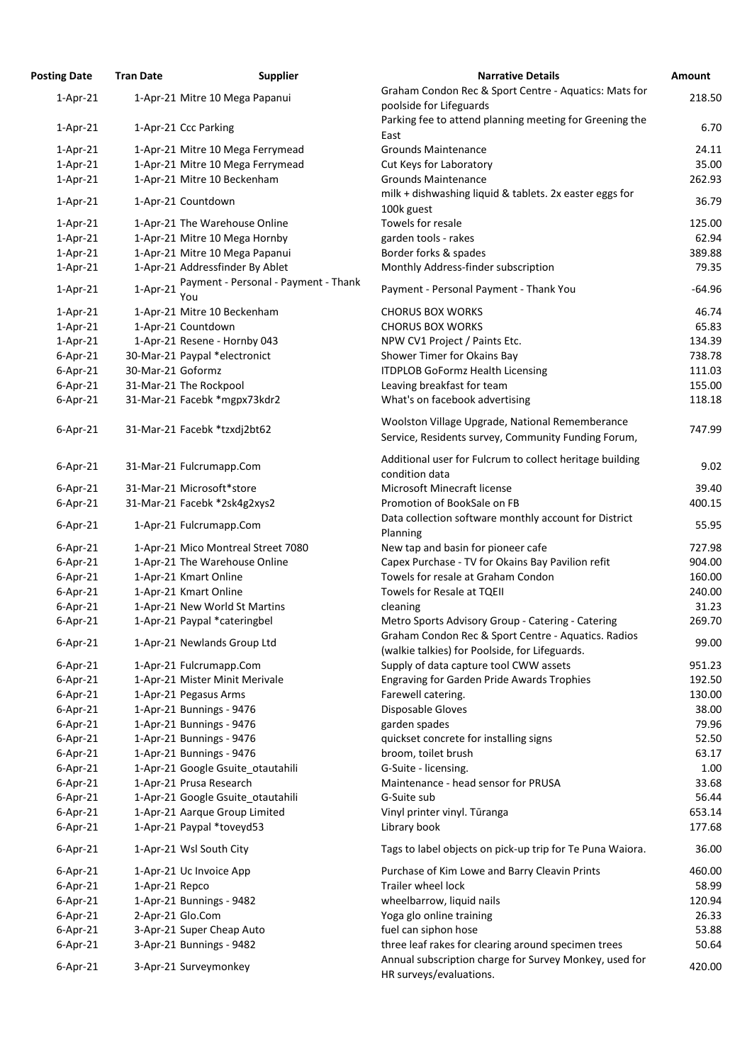| <b>osting Date</b> | <b>Tran Date</b>  | <b>Supplier</b>                             | <b>Narrative Details</b>                                                                               |
|--------------------|-------------------|---------------------------------------------|--------------------------------------------------------------------------------------------------------|
| $1-Apr-21$         |                   | 1-Apr-21 Mitre 10 Mega Papanui              | Graham Condon Rec & Sport Centre - Aquatics: Mats for                                                  |
|                    |                   |                                             | poolside for Lifeguards                                                                                |
| $1-Apr-21$         |                   | 1-Apr-21 Ccc Parking                        | Parking fee to attend planning meeting for Greening the                                                |
|                    |                   |                                             | East                                                                                                   |
| $1-Apr-21$         |                   | 1-Apr-21 Mitre 10 Mega Ferrymead            | <b>Grounds Maintenance</b>                                                                             |
| $1-Apr-21$         |                   | 1-Apr-21 Mitre 10 Mega Ferrymead            | Cut Keys for Laboratory                                                                                |
| $1-Apr-21$         |                   | 1-Apr-21 Mitre 10 Beckenham                 | <b>Grounds Maintenance</b>                                                                             |
| $1-Apr-21$         |                   | 1-Apr-21 Countdown                          | milk + dishwashing liquid & tablets. 2x easter eggs for                                                |
|                    |                   |                                             | 100k guest                                                                                             |
| $1-Apr-21$         |                   | 1-Apr-21 The Warehouse Online               | Towels for resale                                                                                      |
| $1-Apr-21$         |                   | 1-Apr-21 Mitre 10 Mega Hornby               | garden tools - rakes                                                                                   |
| $1-Apr-21$         |                   | 1-Apr-21 Mitre 10 Mega Papanui              | Border forks & spades                                                                                  |
| $1-Apr-21$         |                   | 1-Apr-21 Addressfinder By Ablet             | Monthly Address-finder subscription                                                                    |
| $1-Apr-21$         | $1-Apr-21$        | Payment - Personal - Payment - Thank<br>You | Payment - Personal Payment - Thank You                                                                 |
| $1-Apr-21$         |                   | 1-Apr-21 Mitre 10 Beckenham                 | <b>CHORUS BOX WORKS</b>                                                                                |
| $1-Apr-21$         |                   | 1-Apr-21 Countdown                          | <b>CHORUS BOX WORKS</b>                                                                                |
| $1-Apr-21$         |                   | 1-Apr-21 Resene - Hornby 043                | NPW CV1 Project / Paints Etc.                                                                          |
| $6$ -Apr-21        |                   | 30-Mar-21 Paypal *electronict               | Shower Timer for Okains Bay                                                                            |
| $6$ -Apr-21        | 30-Mar-21 Goformz |                                             | <b>ITDPLOB GoFormz Health Licensing</b>                                                                |
| $6$ -Apr-21        |                   | 31-Mar-21 The Rockpool                      | Leaving breakfast for team                                                                             |
| $6$ -Apr-21        |                   | 31-Mar-21 Facebk *mgpx73kdr2                | What's on facebook advertising                                                                         |
| $6$ -Apr-21        |                   | 31-Mar-21 Facebk *tzxdj2bt62                | Woolston Village Upgrade, National Rememberance<br>Service, Residents survey, Community Funding Forum, |
| $6$ -Apr-21        |                   | 31-Mar-21 Fulcrumapp.Com                    | Additional user for Fulcrum to collect heritage building<br>condition data                             |
| $6$ -Apr-21        |                   | 31-Mar-21 Microsoft*store                   | Microsoft Minecraft license                                                                            |
| $6$ -Apr-21        |                   | 31-Mar-21 Facebk *2sk4g2xys2                | Promotion of BookSale on FB                                                                            |
|                    |                   |                                             | Data collection software monthly account for District                                                  |
| $6$ -Apr-21        |                   | 1-Apr-21 Fulcrumapp.Com                     | Planning                                                                                               |
| $6$ -Apr-21        |                   | 1-Apr-21 Mico Montreal Street 7080          | New tap and basin for pioneer cafe                                                                     |
| $6$ -Apr-21        |                   | 1-Apr-21 The Warehouse Online               | Capex Purchase - TV for Okains Bay Pavilion refit                                                      |
| $6$ -Apr-21        |                   | 1-Apr-21 Kmart Online                       | Towels for resale at Graham Condon                                                                     |
| $6$ -Apr-21        |                   | 1-Apr-21 Kmart Online                       | Towels for Resale at TQEII                                                                             |
| $6$ -Apr-21        |                   | 1-Apr-21 New World St Martins               | cleaning                                                                                               |
| $6$ -Apr-21        |                   | 1-Apr-21 Paypal *cateringbel                | Metro Sports Advisory Group - Catering - Catering                                                      |
| $6$ -Apr-21        |                   | 1-Apr-21 Newlands Group Ltd                 | Graham Condon Rec & Sport Centre - Aquatics. Radios                                                    |
|                    |                   |                                             | (walkie talkies) for Poolside, for Lifeguards.                                                         |
| $6$ -Apr-21        |                   | 1-Apr-21 Fulcrumapp.Com                     | Supply of data capture tool CWW assets                                                                 |
| $6$ -Apr-21        |                   | 1-Apr-21 Mister Minit Merivale              | <b>Engraving for Garden Pride Awards Trophies</b>                                                      |
| $6$ -Apr-21        |                   | 1-Apr-21 Pegasus Arms                       | Farewell catering.                                                                                     |
| $6$ -Apr-21        |                   | 1-Apr-21 Bunnings - 9476                    | Disposable Gloves                                                                                      |
| $6$ -Apr-21        |                   | 1-Apr-21 Bunnings - 9476                    | garden spades                                                                                          |
| $6$ -Apr-21        |                   | 1-Apr-21 Bunnings - 9476                    | quickset concrete for installing signs                                                                 |
| $6$ -Apr-21        |                   | 1-Apr-21 Bunnings - 9476                    | broom, toilet brush                                                                                    |
| $6$ -Apr-21        |                   | 1-Apr-21 Google Gsuite_otautahili           | G-Suite - licensing.                                                                                   |
| $6$ -Apr-21        |                   | 1-Apr-21 Prusa Research                     | Maintenance - head sensor for PRUSA                                                                    |
| $6$ -Apr-21        |                   | 1-Apr-21 Google Gsuite otautahili           | G-Suite sub                                                                                            |
| $6$ -Apr-21        |                   | 1-Apr-21 Aarque Group Limited               | Vinyl printer vinyl. Tūranga                                                                           |
| $6$ -Apr-21        |                   | 1-Apr-21 Paypal *toveyd53                   | Library book                                                                                           |
| $6$ -Apr-21        |                   | 1-Apr-21 Wsl South City                     | Tags to label objects on pick-up trip for Te Puna Waiora.                                              |
| $6$ -Apr-21        |                   | 1-Apr-21 Uc Invoice App                     | Purchase of Kim Lowe and Barry Cleavin Prints                                                          |
| $6$ -Apr-21        | 1-Apr-21 Repco    |                                             | Trailer wheel lock                                                                                     |
| $6$ -Apr-21        |                   | 1-Apr-21 Bunnings - 9482                    | wheelbarrow, liquid nails                                                                              |
| $6$ -Apr-21        |                   | 2-Apr-21 Glo.Com                            | Yoga glo online training                                                                               |
| $6$ -Apr-21        |                   | 3-Apr-21 Super Cheap Auto                   | fuel can siphon hose                                                                                   |
| $6$ -Apr-21        |                   | 3-Apr-21 Bunnings - 9482                    | three leaf rakes for clearing around specimen trees                                                    |
| $6$ -Apr-21        |                   | 3-Apr-21 Surveymonkey                       | Annual subscription charge for Survey Monkey, used for<br>والقوار المرازم المرازمان ساريد              |

| <b>Posting Date</b> | <b>Tran Date</b>  | <b>Supplier</b>                             | <b>Narrative Details</b>                                                                               | <b>Amount</b> |
|---------------------|-------------------|---------------------------------------------|--------------------------------------------------------------------------------------------------------|---------------|
| $1-Apr-21$          |                   | 1-Apr-21 Mitre 10 Mega Papanui              | Graham Condon Rec & Sport Centre - Aquatics: Mats for<br>poolside for Lifeguards                       | 218.50        |
| $1-Apr-21$          |                   | 1-Apr-21 Ccc Parking                        | Parking fee to attend planning meeting for Greening the                                                | 6.70          |
|                     |                   |                                             | East                                                                                                   |               |
| $1-Apr-21$          |                   | 1-Apr-21 Mitre 10 Mega Ferrymead            | <b>Grounds Maintenance</b>                                                                             | 24.11         |
| $1-Apr-21$          |                   | 1-Apr-21 Mitre 10 Mega Ferrymead            | Cut Keys for Laboratory                                                                                | 35.00         |
| $1-Apr-21$          |                   | 1-Apr-21 Mitre 10 Beckenham                 | <b>Grounds Maintenance</b>                                                                             | 262.93        |
| $1-Apr-21$          |                   | 1-Apr-21 Countdown                          | milk + dishwashing liquid & tablets. 2x easter eggs for<br>100k guest                                  | 36.79         |
| $1-Apr-21$          |                   | 1-Apr-21 The Warehouse Online               | Towels for resale                                                                                      | 125.00        |
| $1-Apr-21$          |                   | 1-Apr-21 Mitre 10 Mega Hornby               | garden tools - rakes                                                                                   | 62.94         |
| $1-Apr-21$          |                   | 1-Apr-21 Mitre 10 Mega Papanui              | Border forks & spades                                                                                  | 389.88        |
| $1-Apr-21$          |                   | 1-Apr-21 Addressfinder By Ablet             | Monthly Address-finder subscription                                                                    | 79.35         |
| $1-Apr-21$          | $1-Apr-21$        | Payment - Personal - Payment - Thank<br>You | Payment - Personal Payment - Thank You                                                                 | $-64.96$      |
| $1-Apr-21$          |                   | 1-Apr-21 Mitre 10 Beckenham                 | <b>CHORUS BOX WORKS</b>                                                                                | 46.74         |
| $1-Apr-21$          |                   | 1-Apr-21 Countdown                          | <b>CHORUS BOX WORKS</b>                                                                                | 65.83         |
| $1-Apr-21$          |                   | 1-Apr-21 Resene - Hornby 043                | NPW CV1 Project / Paints Etc.                                                                          | 134.39        |
| $6$ -Apr-21         |                   | 30-Mar-21 Paypal *electronict               | Shower Timer for Okains Bay                                                                            | 738.78        |
| $6$ -Apr-21         | 30-Mar-21 Goformz |                                             | <b>ITDPLOB GoFormz Health Licensing</b>                                                                | 111.03        |
| $6$ -Apr-21         |                   | 31-Mar-21 The Rockpool                      | Leaving breakfast for team                                                                             | 155.00        |
| $6$ -Apr-21         |                   | 31-Mar-21 Facebk *mgpx73kdr2                | What's on facebook advertising                                                                         | 118.18        |
| $6$ -Apr-21         |                   | 31-Mar-21 Facebk *tzxdj2bt62                | Woolston Village Upgrade, National Rememberance<br>Service, Residents survey, Community Funding Forum, | 747.99        |
| $6$ -Apr-21         |                   | 31-Mar-21 Fulcrumapp.Com                    | Additional user for Fulcrum to collect heritage building<br>condition data                             | 9.02          |
| $6$ -Apr-21         |                   | 31-Mar-21 Microsoft*store                   | Microsoft Minecraft license                                                                            | 39.40         |
| $6$ -Apr-21         |                   | 31-Mar-21 Facebk *2sk4g2xys2                | Promotion of BookSale on FB                                                                            | 400.15        |
| $6$ -Apr-21         |                   | 1-Apr-21 Fulcrumapp.Com                     | Data collection software monthly account for District<br>Planning                                      | 55.95         |
| $6$ -Apr-21         |                   | 1-Apr-21 Mico Montreal Street 7080          | New tap and basin for pioneer cafe                                                                     | 727.98        |
| $6$ -Apr-21         |                   | 1-Apr-21 The Warehouse Online               | Capex Purchase - TV for Okains Bay Pavilion refit                                                      | 904.00        |
| $6$ -Apr-21         |                   | 1-Apr-21 Kmart Online                       | Towels for resale at Graham Condon                                                                     | 160.00        |
| $6$ -Apr-21         |                   | 1-Apr-21 Kmart Online                       | Towels for Resale at TQEII                                                                             | 240.00        |
| $6$ -Apr-21         |                   | 1-Apr-21 New World St Martins               | cleaning                                                                                               | 31.23         |
| $6$ -Apr-21         |                   | 1-Apr-21 Paypal *cateringbel                | Metro Sports Advisory Group - Catering - Catering                                                      | 269.70        |
| $6$ -Apr-21         |                   | 1-Apr-21 Newlands Group Ltd                 | Graham Condon Rec & Sport Centre - Aquatics. Radios                                                    | 99.00         |
|                     |                   |                                             | (walkie talkies) for Poolside, for Lifeguards.                                                         |               |
| $6$ -Apr-21         |                   | 1-Apr-21 Fulcrumapp.Com                     | Supply of data capture tool CWW assets                                                                 | 951.23        |
| $6$ -Apr-21         |                   | 1-Apr-21 Mister Minit Merivale              | <b>Engraving for Garden Pride Awards Trophies</b>                                                      | 192.50        |
| $6$ -Apr-21         |                   | 1-Apr-21 Pegasus Arms                       | Farewell catering.                                                                                     | 130.00        |
| $6$ -Apr-21         |                   | 1-Apr-21 Bunnings - 9476                    | Disposable Gloves                                                                                      | 38.00         |
| $6$ -Apr-21         |                   | 1-Apr-21 Bunnings - 9476                    | garden spades                                                                                          | 79.96         |
| $6$ -Apr-21         |                   | 1-Apr-21 Bunnings - 9476                    | quickset concrete for installing signs                                                                 | 52.50         |
| $6$ -Apr-21         |                   | 1-Apr-21 Bunnings - 9476                    | broom, toilet brush                                                                                    | 63.17         |
| $6$ -Apr-21         |                   | 1-Apr-21 Google Gsuite otautahili           | G-Suite - licensing.                                                                                   | 1.00          |
| $6$ -Apr-21         |                   | 1-Apr-21 Prusa Research                     | Maintenance - head sensor for PRUSA                                                                    | 33.68         |
| $6$ -Apr-21         |                   | 1-Apr-21 Google Gsuite_otautahili           | G-Suite sub                                                                                            | 56.44         |
| $6$ -Apr-21         |                   | 1-Apr-21 Aarque Group Limited               | Vinyl printer vinyl. Tūranga                                                                           | 653.14        |
| $6$ -Apr-21         |                   | 1-Apr-21 Paypal *toveyd53                   | Library book                                                                                           | 177.68        |
| $6$ -Apr-21         |                   | 1-Apr-21 Wsl South City                     | Tags to label objects on pick-up trip for Te Puna Waiora.                                              | 36.00         |
| $6$ -Apr-21         |                   | 1-Apr-21 Uc Invoice App                     | Purchase of Kim Lowe and Barry Cleavin Prints                                                          | 460.00        |
| $6$ -Apr-21         | 1-Apr-21 Repco    |                                             | Trailer wheel lock                                                                                     | 58.99         |
| $6$ -Apr-21         |                   | 1-Apr-21 Bunnings - 9482                    | wheelbarrow, liquid nails                                                                              | 120.94        |
| $6$ -Apr-21         |                   | 2-Apr-21 Glo.Com                            | Yoga glo online training                                                                               | 26.33         |
| $6$ -Apr-21         |                   | 3-Apr-21 Super Cheap Auto                   | fuel can siphon hose                                                                                   | 53.88         |
| $6 - Apr-21$        |                   | 3-Apr-21 Bunnings - 9482                    | three leaf rakes for clearing around specimen trees                                                    | 50.64         |
| $6$ -Apr-21         |                   | 3-Apr-21 Surveymonkey                       | Annual subscription charge for Survey Monkey, used for<br>HR surveys/evaluations.                      | 420.00        |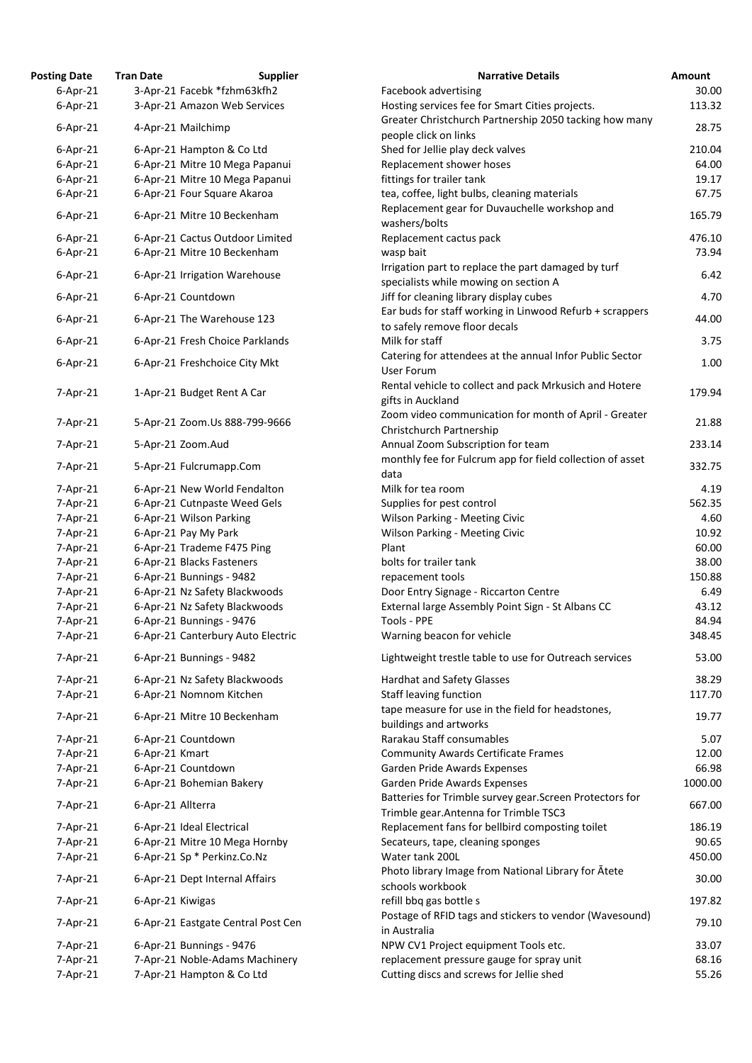| <b>Posting Date</b>            | <b>Tran Date</b>  | <b>Supplier</b>                                         | <b>Narrative Details</b>                                                                           | Amount         |
|--------------------------------|-------------------|---------------------------------------------------------|----------------------------------------------------------------------------------------------------|----------------|
| $6$ -Apr-21                    |                   | 3-Apr-21 Facebk *fzhm63kfh2                             | Facebook advertising                                                                               | 30.00          |
| $6$ -Apr-21                    |                   | 3-Apr-21 Amazon Web Services                            | Hosting services fee for Smart Cities projects.                                                    | 113.32         |
| $6$ -Apr-21                    |                   | 4-Apr-21 Mailchimp                                      | Greater Christchurch Partnership 2050 tacking how many<br>people click on links                    | 28.75          |
| $6$ -Apr-21                    |                   | 6-Apr-21 Hampton & Co Ltd                               | Shed for Jellie play deck valves                                                                   | 210.04         |
| $6$ -Apr-21                    |                   | 6-Apr-21 Mitre 10 Mega Papanui                          | Replacement shower hoses                                                                           | 64.00          |
| $6$ -Apr-21                    |                   | 6-Apr-21 Mitre 10 Mega Papanui                          | fittings for trailer tank                                                                          | 19.17          |
| $6$ -Apr-21                    |                   | 6-Apr-21 Four Square Akaroa                             | tea, coffee, light bulbs, cleaning materials                                                       | 67.75          |
|                                |                   |                                                         | Replacement gear for Duvauchelle workshop and                                                      |                |
| $6$ -Apr-21                    |                   | 6-Apr-21 Mitre 10 Beckenham                             | washers/bolts                                                                                      | 165.79         |
| $6$ -Apr-21                    |                   | 6-Apr-21 Cactus Outdoor Limited                         | Replacement cactus pack                                                                            | 476.10         |
| $6$ -Apr-21                    |                   | 6-Apr-21 Mitre 10 Beckenham                             | wasp bait                                                                                          | 73.94          |
| $6$ -Apr-21                    |                   | 6-Apr-21 Irrigation Warehouse                           | Irrigation part to replace the part damaged by turf<br>specialists while mowing on section A       | 6.42           |
| $6$ -Apr-21                    |                   | 6-Apr-21 Countdown                                      | Jiff for cleaning library display cubes                                                            | 4.70           |
| $6$ -Apr-21                    |                   | 6-Apr-21 The Warehouse 123                              | Ear buds for staff working in Linwood Refurb + scrappers<br>to safely remove floor decals          | 44.00          |
| $6$ -Apr-21                    |                   | 6-Apr-21 Fresh Choice Parklands                         | Milk for staff                                                                                     | 3.75           |
| $6$ -Apr-21                    |                   | 6-Apr-21 Freshchoice City Mkt                           | Catering for attendees at the annual Infor Public Sector                                           | 1.00           |
|                                |                   |                                                         | <b>User Forum</b>                                                                                  |                |
| 7-Apr-21                       |                   | 1-Apr-21 Budget Rent A Car                              | Rental vehicle to collect and pack Mrkusich and Hotere<br>gifts in Auckland                        | 179.94         |
| $7 - Apr - 21$                 |                   | 5-Apr-21 Zoom.Us 888-799-9666                           | Zoom video communication for month of April - Greater                                              | 21.88          |
|                                |                   |                                                         | Christchurch Partnership                                                                           |                |
| 7-Apr-21                       |                   | 5-Apr-21 Zoom.Aud                                       | Annual Zoom Subscription for team<br>monthly fee for Fulcrum app for field collection of asset     | 233.14         |
| $7 - Apr-21$<br>$7 - Apr - 21$ |                   | 5-Apr-21 Fulcrumapp.Com<br>6-Apr-21 New World Fendalton | data<br>Milk for tea room                                                                          | 332.75<br>4.19 |
|                                |                   |                                                         |                                                                                                    |                |
| 7-Apr-21                       |                   | 6-Apr-21 Cutnpaste Weed Gels                            | Supplies for pest control                                                                          | 562.35         |
| $7$ -Apr-21                    |                   | 6-Apr-21 Wilson Parking                                 | Wilson Parking - Meeting Civic                                                                     | 4.60           |
| $7 - Apr-21$                   |                   | 6-Apr-21 Pay My Park                                    | <b>Wilson Parking - Meeting Civic</b>                                                              | 10.92          |
| 7-Apr-21                       |                   | 6-Apr-21 Trademe F475 Ping                              | Plant                                                                                              | 60.00          |
| $7 - Apr - 21$                 |                   | 6-Apr-21 Blacks Fasteners                               | bolts for trailer tank                                                                             | 38.00          |
| 7-Apr-21                       |                   | 6-Apr-21 Bunnings - 9482                                | repacement tools                                                                                   | 150.88         |
| $7 - Apr - 21$                 |                   | 6-Apr-21 Nz Safety Blackwoods                           | Door Entry Signage - Riccarton Centre                                                              | 6.49           |
| 7-Apr-21                       |                   | 6-Apr-21 Nz Safety Blackwoods                           | External large Assembly Point Sign - St Albans CC                                                  | 43.12          |
| 7-Apr-21                       |                   | 6-Apr-21 Bunnings - 9476                                | Tools - PPE                                                                                        | 84.94          |
| $7 - Apr - 21$                 |                   | 6-Apr-21 Canterbury Auto Electric                       | Warning beacon for vehicle                                                                         | 348.45         |
| $7 - Apr-21$<br>$7 - Apr - 21$ |                   | 6-Apr-21 Bunnings - 9482                                | Lightweight trestle table to use for Outreach services                                             | 53.00<br>38.29 |
|                                |                   | 6-Apr-21 Nz Safety Blackwoods                           | <b>Hardhat and Safety Glasses</b>                                                                  | 117.70         |
| $7 - Apr-21$<br>$7 - Apr-21$   |                   | 6-Apr-21 Nomnom Kitchen<br>6-Apr-21 Mitre 10 Beckenham  | <b>Staff leaving function</b><br>tape measure for use in the field for headstones,                 | 19.77          |
|                                |                   |                                                         | buildings and artworks                                                                             |                |
| $7 - Apr - 21$                 |                   | 6-Apr-21 Countdown                                      | Rarakau Staff consumables                                                                          | 5.07           |
| $7 - Apr-21$                   | 6-Apr-21 Kmart    |                                                         | <b>Community Awards Certificate Frames</b>                                                         | 12.00          |
| $7 - Apr - 21$                 |                   | 6-Apr-21 Countdown                                      | Garden Pride Awards Expenses                                                                       | 66.98          |
| $7 - Apr-21$                   |                   | 6-Apr-21 Bohemian Bakery                                | Garden Pride Awards Expenses                                                                       | 1000.00        |
| $7 - Apr - 21$                 | 6-Apr-21 Allterra |                                                         | Batteries for Trimble survey gear. Screen Protectors for<br>Trimble gear. Antenna for Trimble TSC3 | 667.00         |
| $7 - Apr-21$                   |                   | 6-Apr-21 Ideal Electrical                               | Replacement fans for bellbird composting toilet                                                    | 186.19         |
| 7-Apr-21                       |                   | 6-Apr-21 Mitre 10 Mega Hornby                           | Secateurs, tape, cleaning sponges                                                                  | 90.65          |
| $7 - Apr-21$                   |                   | 6-Apr-21 Sp * Perkinz.Co.Nz                             | Water tank 200L                                                                                    | 450.00         |
| $7 - Apr-21$                   |                   | 6-Apr-21 Dept Internal Affairs                          | Photo library Image from National Library for Atete                                                | 30.00          |
| $7 - Apr-21$                   | 6-Apr-21 Kiwigas  |                                                         | schools workbook<br>refill bbq gas bottle s                                                        | 197.82         |
| 7-Apr-21                       |                   | 6-Apr-21 Eastgate Central Post Cen                      | Postage of RFID tags and stickers to vendor (Wavesound)<br>in Australia                            | 79.10          |
| 7-Apr-21                       |                   | 6-Apr-21 Bunnings - 9476                                | NPW CV1 Project equipment Tools etc.                                                               | 33.07          |
| 7-Apr-21                       |                   | 7-Apr-21 Noble-Adams Machinery                          | replacement pressure gauge for spray unit                                                          | 68.16          |
| 7-Apr-21                       |                   | 7-Apr-21 Hampton & Co Ltd                               | Cutting discs and screws for Jellie shed                                                           | 55.26          |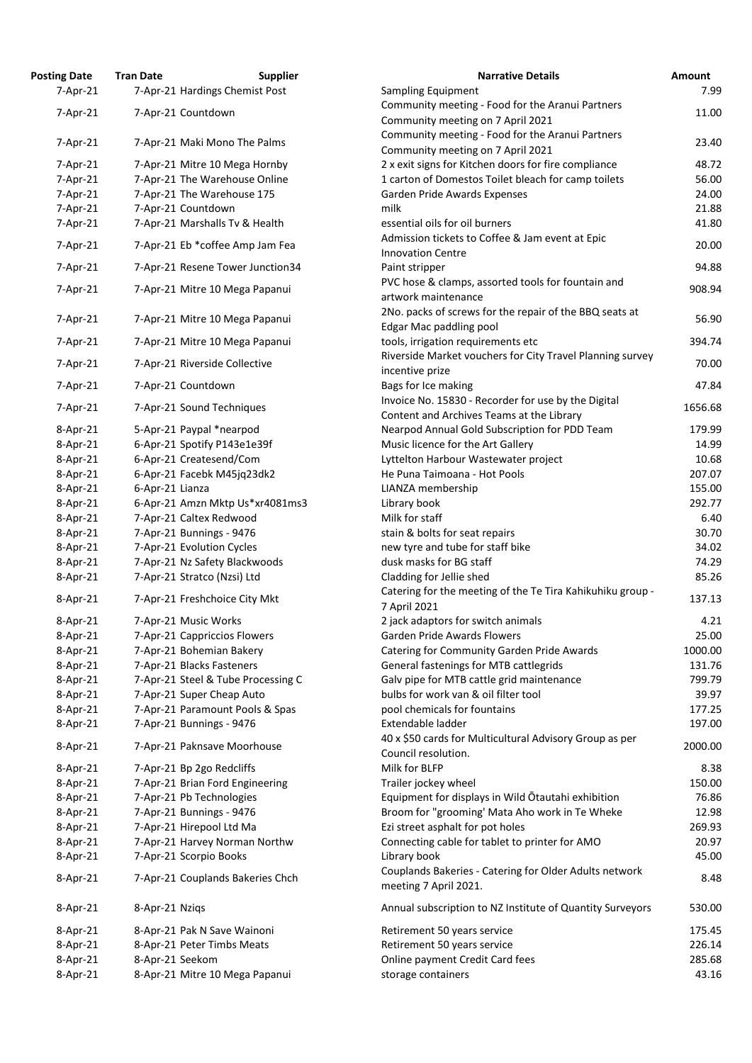| osting Date    | <b>Tran Date</b> | <b>Supplier</b>                    | <b>Narrative Details</b>                              |
|----------------|------------------|------------------------------------|-------------------------------------------------------|
| $7$ -Apr-21    |                  | 7-Apr-21 Hardings Chemist Post     | Sampling Equipment                                    |
| $7$ -Apr-21    |                  | 7-Apr-21 Countdown                 | Community meeting - Food for the Aranui Partners      |
|                |                  |                                    | Community meeting on 7 April 2021                     |
| 7-Apr-21       |                  | 7-Apr-21 Maki Mono The Palms       | Community meeting - Food for the Aranui Partners      |
|                |                  |                                    | Community meeting on 7 April 2021                     |
| 7-Apr-21       |                  | 7-Apr-21 Mitre 10 Mega Hornby      | 2 x exit signs for Kitchen doors for fire compliance  |
| 7-Apr-21       |                  | 7-Apr-21 The Warehouse Online      | 1 carton of Domestos Toilet bleach for camp toilets   |
| $7-Apr-21$     |                  | 7-Apr-21 The Warehouse 175         | Garden Pride Awards Expenses                          |
| 7-Apr-21       |                  | 7-Apr-21 Countdown                 | milk                                                  |
| 7-Apr-21       |                  | 7-Apr-21 Marshalls Tv & Health     | essential oils for oil burners                        |
| 7-Apr-21       |                  | 7-Apr-21 Eb *coffee Amp Jam Fea    | Admission tickets to Coffee & Jam event at Epic       |
|                |                  |                                    | <b>Innovation Centre</b>                              |
| 7-Apr-21       |                  | 7-Apr-21 Resene Tower Junction34   | Paint stripper                                        |
| 7-Apr-21       |                  | 7-Apr-21 Mitre 10 Mega Papanui     | PVC hose & clamps, assorted tools for fountain and    |
|                |                  |                                    | artwork maintenance                                   |
| 7-Apr-21       |                  | 7-Apr-21 Mitre 10 Mega Papanui     | 2No. packs of screws for the repair of the BBQ seats  |
|                |                  |                                    | Edgar Mac paddling pool                               |
| 7-Apr-21       |                  | 7-Apr-21 Mitre 10 Mega Papanui     | tools, irrigation requirements etc                    |
|                |                  |                                    | Riverside Market vouchers for City Travel Planning s  |
| 7-Apr-21       |                  | 7-Apr-21 Riverside Collective      | incentive prize                                       |
| 7-Apr-21       |                  | 7-Apr-21 Countdown                 | Bags for Ice making                                   |
|                |                  |                                    | Invoice No. 15830 - Recorder for use by the Digital   |
| 7-Apr-21       |                  | 7-Apr-21 Sound Techniques          | Content and Archives Teams at the Library             |
| 8-Apr-21       |                  | 5-Apr-21 Paypal *nearpod           | Nearpod Annual Gold Subscription for PDD Team         |
| 8-Apr-21       |                  | 6-Apr-21 Spotify P143e1e39f        | Music licence for the Art Gallery                     |
| 8-Apr-21       |                  | 6-Apr-21 Createsend/Com            | Lyttelton Harbour Wastewater project                  |
| 8-Apr-21       |                  | 6-Apr-21 Facebk M45jq23dk2         | He Puna Taimoana - Hot Pools                          |
| 8-Apr-21       | 6-Apr-21 Lianza  |                                    | LIANZA membership                                     |
| 8-Apr-21       |                  | 6-Apr-21 Amzn Mktp Us*xr4081ms3    | Library book                                          |
| $8-Apr-21$     |                  | 7-Apr-21 Caltex Redwood            | Milk for staff                                        |
| 8-Apr-21       |                  | 7-Apr-21 Bunnings - 9476           | stain & bolts for seat repairs                        |
| 8-Apr-21       |                  | 7-Apr-21 Evolution Cycles          | new tyre and tube for staff bike                      |
| $8-Apr-21$     |                  | 7-Apr-21 Nz Safety Blackwoods      | dusk masks for BG staff                               |
| 8-Apr-21       |                  | 7-Apr-21 Stratco (Nzsi) Ltd        | Cladding for Jellie shed                              |
|                |                  |                                    | Catering for the meeting of the Te Tira Kahikuhiku g  |
| 8-Apr-21       |                  | 7-Apr-21 Freshchoice City Mkt      | 7 April 2021                                          |
| 8-Apr-21       |                  | 7-Apr-21 Music Works               | 2 jack adaptors for switch animals                    |
| 8-Apr-21       |                  | 7-Apr-21 Cappriccios Flowers       | <b>Garden Pride Awards Flowers</b>                    |
| 8-Apr-21       |                  | 7-Apr-21 Bohemian Bakery           | Catering for Community Garden Pride Awards            |
| 8-Apr-21       |                  | 7-Apr-21 Blacks Fasteners          | General fastenings for MTB cattlegrids                |
| $8-Apr-21$     |                  | 7-Apr-21 Steel & Tube Processing C | Galv pipe for MTB cattle grid maintenance             |
| 8-Apr-21       |                  | 7-Apr-21 Super Cheap Auto          | bulbs for work van & oil filter tool                  |
| $8-Apr-21$     |                  | 7-Apr-21 Paramount Pools & Spas    | pool chemicals for fountains                          |
| 8-Apr-21       |                  | 7-Apr-21 Bunnings - 9476           | Extendable ladder                                     |
|                |                  |                                    | 40 x \$50 cards for Multicultural Advisory Group as p |
| 8-Apr-21       |                  | 7-Apr-21 Paknsave Moorhouse        | Council resolution.                                   |
| $8 - Apr - 21$ |                  | 7-Apr-21 Bp 2go Redcliffs          | Milk for BLFP                                         |
| $8-Apr-21$     |                  | 7-Apr-21 Brian Ford Engineering    | Trailer jockey wheel                                  |
| 8-Apr-21       |                  | 7-Apr-21 Pb Technologies           | Equipment for displays in Wild Otautahi exhibition    |
| $8-Apr-21$     |                  | 7-Apr-21 Bunnings - 9476           | Broom for "grooming' Mata Aho work in Te Wheke        |
| 8-Apr-21       |                  | 7-Apr-21 Hirepool Ltd Ma           | Ezi street asphalt for pot holes                      |
| $8-Apr-21$     |                  | 7-Apr-21 Harvey Norman Northw      | Connecting cable for tablet to printer for AMO        |
| 8-Apr-21       |                  | 7-Apr-21 Scorpio Books             | Library book                                          |
|                |                  |                                    | Couplands Bakeries - Catering for Older Adults netw   |
| 8-Apr-21       |                  | 7-Apr-21 Couplands Bakeries Chch   | meeting 7 April 2021.                                 |
| $8 - Apr - 21$ | 8-Apr-21 Nziqs   |                                    | Annual subscription to NZ Institute of Quantity Surv  |
| 8-Apr-21       |                  | 8-Apr-21 Pak N Save Wainoni        | Retirement 50 years service                           |
| 8-Apr-21       |                  | 8-Apr-21 Peter Timbs Meats         | Retirement 50 years service                           |
| 8-Apr-21       | 8-Apr-21 Seekom  |                                    | Online payment Credit Card fees                       |
| 8-Apr-21       |                  | 8-Apr-21 Mitre 10 Mega Papanui     | storage containers                                    |
|                |                  |                                    |                                                       |

| <b>Posting Date</b> | <b>Tran Date</b> | <b>Supplier</b>                    | <b>Narrative Details</b>                                                           | <b>Amount</b> |
|---------------------|------------------|------------------------------------|------------------------------------------------------------------------------------|---------------|
| $7-Apr-21$          |                  | 7-Apr-21 Hardings Chemist Post     | Sampling Equipment                                                                 | 7.99          |
|                     |                  |                                    | Community meeting - Food for the Aranui Partners                                   |               |
| 7-Apr-21            |                  | 7-Apr-21 Countdown                 | Community meeting on 7 April 2021                                                  | 11.00         |
|                     |                  |                                    | Community meeting - Food for the Aranui Partners                                   |               |
| 7-Apr-21            |                  | 7-Apr-21 Maki Mono The Palms       | Community meeting on 7 April 2021                                                  | 23.40         |
| $7 - Apr - 21$      |                  | 7-Apr-21 Mitre 10 Mega Hornby      | 2 x exit signs for Kitchen doors for fire compliance                               | 48.72         |
| 7-Apr-21            |                  | 7-Apr-21 The Warehouse Online      | 1 carton of Domestos Toilet bleach for camp toilets                                | 56.00         |
| 7-Apr-21            |                  | 7-Apr-21 The Warehouse 175         | Garden Pride Awards Expenses                                                       | 24.00         |
| 7-Apr-21            |                  | 7-Apr-21 Countdown                 | milk                                                                               | 21.88         |
| 7-Apr-21            |                  | 7-Apr-21 Marshalls Tv & Health     | essential oils for oil burners                                                     | 41.80         |
|                     |                  |                                    | Admission tickets to Coffee & Jam event at Epic                                    |               |
| 7-Apr-21            |                  | 7-Apr-21 Eb *coffee Amp Jam Fea    | <b>Innovation Centre</b>                                                           | 20.00         |
| 7-Apr-21            |                  | 7-Apr-21 Resene Tower Junction34   |                                                                                    | 94.88         |
|                     |                  |                                    | Paint stripper                                                                     |               |
| 7-Apr-21            |                  | 7-Apr-21 Mitre 10 Mega Papanui     | PVC hose & clamps, assorted tools for fountain and                                 | 908.94        |
|                     |                  |                                    | artwork maintenance                                                                |               |
| 7-Apr-21            |                  | 7-Apr-21 Mitre 10 Mega Papanui     | 2No. packs of screws for the repair of the BBQ seats at                            | 56.90         |
|                     |                  |                                    | Edgar Mac paddling pool                                                            |               |
| 7-Apr-21            |                  | 7-Apr-21 Mitre 10 Mega Papanui     | tools, irrigation requirements etc                                                 | 394.74        |
| 7-Apr-21            |                  | 7-Apr-21 Riverside Collective      | Riverside Market vouchers for City Travel Planning survey                          | 70.00         |
|                     |                  |                                    | incentive prize                                                                    |               |
| 7-Apr-21            |                  | 7-Apr-21 Countdown                 | Bags for Ice making                                                                | 47.84         |
|                     |                  | 7-Apr-21 Sound Techniques          | Invoice No. 15830 - Recorder for use by the Digital                                | 1656.68       |
| 7-Apr-21            |                  |                                    | Content and Archives Teams at the Library                                          |               |
| 8-Apr-21            |                  | 5-Apr-21 Paypal *nearpod           | Nearpod Annual Gold Subscription for PDD Team                                      | 179.99        |
| 8-Apr-21            |                  | 6-Apr-21 Spotify P143e1e39f        | Music licence for the Art Gallery                                                  | 14.99         |
| 8-Apr-21            |                  | 6-Apr-21 Createsend/Com            | Lyttelton Harbour Wastewater project                                               | 10.68         |
| 8-Apr-21            |                  | 6-Apr-21 Facebk M45jq23dk2         | He Puna Taimoana - Hot Pools                                                       | 207.07        |
| 8-Apr-21            | 6-Apr-21 Lianza  |                                    | LIANZA membership                                                                  | 155.00        |
| 8-Apr-21            |                  | 6-Apr-21 Amzn Mktp Us*xr4081ms3    | Library book                                                                       | 292.77        |
| $8-Apr-21$          |                  | 7-Apr-21 Caltex Redwood            | Milk for staff                                                                     | 6.40          |
| 8-Apr-21            |                  | 7-Apr-21 Bunnings - 9476           | stain & bolts for seat repairs                                                     | 30.70         |
| $8-Apr-21$          |                  | 7-Apr-21 Evolution Cycles          | new tyre and tube for staff bike                                                   | 34.02         |
| $8 - Apr - 21$      |                  | 7-Apr-21 Nz Safety Blackwoods      | dusk masks for BG staff                                                            | 74.29         |
| 8-Apr-21            |                  | 7-Apr-21 Stratco (Nzsi) Ltd        | Cladding for Jellie shed                                                           | 85.26         |
|                     |                  |                                    |                                                                                    |               |
| 8-Apr-21            |                  | 7-Apr-21 Freshchoice City Mkt      | Catering for the meeting of the Te Tira Kahikuhiku group -<br>7 April 2021         | 137.13        |
| 8-Apr-21            |                  | 7-Apr-21 Music Works               | 2 jack adaptors for switch animals                                                 | 4.21          |
| 8-Apr-21            |                  | 7-Apr-21 Cappriccios Flowers       | <b>Garden Pride Awards Flowers</b>                                                 | 25.00         |
| 8-Apr-21            |                  | 7-Apr-21 Bohemian Bakery           | <b>Catering for Community Garden Pride Awards</b>                                  | 1000.00       |
| 8-Apr-21            |                  | 7-Apr-21 Blacks Fasteners          | General fastenings for MTB cattlegrids                                             | 131.76        |
| 8-Apr-21            |                  | 7-Apr-21 Steel & Tube Processing C | Galv pipe for MTB cattle grid maintenance                                          | 799.79        |
| 8-Apr-21            |                  | 7-Apr-21 Super Cheap Auto          | bulbs for work van & oil filter tool                                               | 39.97         |
| 8-Apr-21            |                  | 7-Apr-21 Paramount Pools & Spas    | pool chemicals for fountains                                                       | 177.25        |
| 8-Apr-21            |                  | 7-Apr-21 Bunnings - 9476           | Extendable ladder                                                                  | 197.00        |
|                     |                  |                                    | 40 x \$50 cards for Multicultural Advisory Group as per                            |               |
| 8-Apr-21            |                  | 7-Apr-21 Paknsave Moorhouse        | Council resolution.                                                                | 2000.00       |
| 8-Apr-21            |                  | 7-Apr-21 Bp 2go Redcliffs          | Milk for BLFP                                                                      | 8.38          |
| 8-Apr-21            |                  | 7-Apr-21 Brian Ford Engineering    | Trailer jockey wheel                                                               | 150.00        |
| 8-Apr-21            |                  | 7-Apr-21 Pb Technologies           | Equipment for displays in Wild Otautahi exhibition                                 | 76.86         |
| $8 - Apr - 21$      |                  | 7-Apr-21 Bunnings - 9476           | Broom for "grooming' Mata Aho work in Te Wheke                                     | 12.98         |
| 8-Apr-21            |                  | 7-Apr-21 Hirepool Ltd Ma           | Ezi street asphalt for pot holes                                                   | 269.93        |
| 8-Apr-21            |                  | 7-Apr-21 Harvey Norman Northw      | Connecting cable for tablet to printer for AMO                                     | 20.97         |
| $8 - Apr - 21$      |                  | 7-Apr-21 Scorpio Books             | Library book                                                                       | 45.00         |
| 8-Apr-21            |                  | 7-Apr-21 Couplands Bakeries Chch   | Couplands Bakeries - Catering for Older Adults network                             | 8.48          |
| 8-Apr-21            | 8-Apr-21 Nziqs   |                                    | meeting 7 April 2021.<br>Annual subscription to NZ Institute of Quantity Surveyors | 530.00        |
| 8-Apr-21            |                  | 8-Apr-21 Pak N Save Wainoni        | Retirement 50 years service                                                        | 175.45        |
|                     |                  |                                    |                                                                                    | 226.14        |
| 8-Apr-21            |                  | 8-Apr-21 Peter Timbs Meats         | Retirement 50 years service                                                        |               |
| 8-Apr-21            | 8-Apr-21 Seekom  |                                    | Online payment Credit Card fees                                                    | 285.68        |
| 8-Apr-21            |                  | 8-Apr-21 Mitre 10 Mega Papanui     | storage containers                                                                 | 43.16         |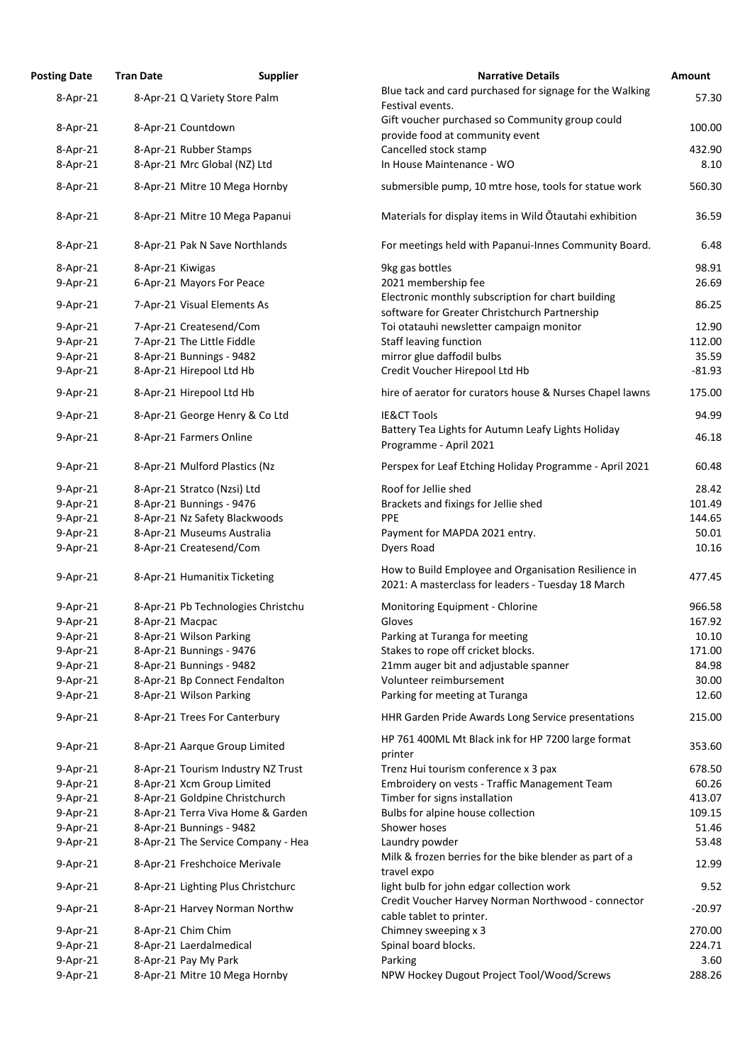| <b>Posting Date</b> | <b>Tran Date</b>               | <b>Supplier</b>                    | <b>Narrative Details</b>                                                                                   | Amount   |
|---------------------|--------------------------------|------------------------------------|------------------------------------------------------------------------------------------------------------|----------|
| $8-Apr-21$          | 8-Apr-21 Q Variety Store Palm  |                                    | Blue tack and card purchased for signage for the Walking                                                   | 57.30    |
|                     |                                |                                    | Festival events.                                                                                           |          |
| $8-Apr-21$          | 8-Apr-21 Countdown             |                                    | Gift voucher purchased so Community group could                                                            | 100.00   |
|                     |                                |                                    | provide food at community event                                                                            |          |
| $8-Apr-21$          | 8-Apr-21 Rubber Stamps         |                                    | Cancelled stock stamp                                                                                      | 432.90   |
| 8-Apr-21            | 8-Apr-21 Mrc Global (NZ) Ltd   |                                    | In House Maintenance - WO                                                                                  | 8.10     |
| $8-Apr-21$          | 8-Apr-21 Mitre 10 Mega Hornby  |                                    | submersible pump, 10 mtre hose, tools for statue work                                                      | 560.30   |
| $8 - Apr - 21$      |                                | 8-Apr-21 Mitre 10 Mega Papanui     | Materials for display items in Wild Otautahi exhibition                                                    | 36.59    |
| $8 - Apr - 21$      | 8-Apr-21 Pak N Save Northlands |                                    | For meetings held with Papanui-Innes Community Board.                                                      | 6.48     |
| $8-Apr-21$          | 8-Apr-21 Kiwigas               |                                    | 9kg gas bottles                                                                                            | 98.91    |
| $9$ -Apr-21         | 6-Apr-21 Mayors For Peace      |                                    | 2021 membership fee                                                                                        | 26.69    |
| $9 - Apr - 21$      | 7-Apr-21 Visual Elements As    |                                    | Electronic monthly subscription for chart building                                                         | 86.25    |
|                     |                                |                                    | software for Greater Christchurch Partnership                                                              |          |
| $9 - Apr - 21$      | 7-Apr-21 Createsend/Com        |                                    | Toi otatauhi newsletter campaign monitor                                                                   | 12.90    |
| 9-Apr-21            | 7-Apr-21 The Little Fiddle     |                                    | <b>Staff leaving function</b>                                                                              | 112.00   |
| $9$ -Apr-21         | 8-Apr-21 Bunnings - 9482       |                                    | mirror glue daffodil bulbs                                                                                 | 35.59    |
| 9-Apr-21            | 8-Apr-21 Hirepool Ltd Hb       |                                    | Credit Voucher Hirepool Ltd Hb                                                                             | $-81.93$ |
| 9-Apr-21            | 8-Apr-21 Hirepool Ltd Hb       |                                    | hire of aerator for curators house & Nurses Chapel lawns                                                   | 175.00   |
| $9 - Apr - 21$      | 8-Apr-21 George Henry & Co Ltd |                                    | <b>IE&amp;CT Tools</b>                                                                                     | 94.99    |
| $9$ -Apr-21         | 8-Apr-21 Farmers Online        |                                    | Battery Tea Lights for Autumn Leafy Lights Holiday<br>Programme - April 2021                               | 46.18    |
| $9$ -Apr-21         | 8-Apr-21 Mulford Plastics (Nz  |                                    | Perspex for Leaf Etching Holiday Programme - April 2021                                                    | 60.48    |
| 9-Apr-21            | 8-Apr-21 Stratco (Nzsi) Ltd    |                                    | Roof for Jellie shed                                                                                       | 28.42    |
| 9-Apr-21            | 8-Apr-21 Bunnings - 9476       |                                    | Brackets and fixings for Jellie shed                                                                       | 101.49   |
| $9$ -Apr-21         | 8-Apr-21 Nz Safety Blackwoods  |                                    | <b>PPE</b>                                                                                                 | 144.65   |
| 9-Apr-21            | 8-Apr-21 Museums Australia     |                                    | Payment for MAPDA 2021 entry.                                                                              | 50.01    |
| $9 - Apr - 21$      | 8-Apr-21 Createsend/Com        |                                    | Dyers Road                                                                                                 | 10.16    |
|                     |                                |                                    |                                                                                                            |          |
| $9 - Apr - 21$      | 8-Apr-21 Humanitix Ticketing   |                                    | How to Build Employee and Organisation Resilience in<br>2021: A masterclass for leaders - Tuesday 18 March | 477.45   |
| $9$ -Apr-21         |                                | 8-Apr-21 Pb Technologies Christchu | Monitoring Equipment - Chlorine                                                                            | 966.58   |
| 9-Apr-21            | 8-Apr-21 Macpac                |                                    | Gloves                                                                                                     | 167.92   |
| $9$ -Apr-21         | 8-Apr-21 Wilson Parking        |                                    | Parking at Turanga for meeting                                                                             | 10.10    |
| $9 - Apr - 21$      | 8-Apr-21 Bunnings - 9476       |                                    | Stakes to rope off cricket blocks.                                                                         | 171.00   |
| $9$ -Apr-21         | 8-Apr-21 Bunnings - 9482       |                                    | 21mm auger bit and adjustable spanner                                                                      | 84.98    |
| $9 - Apr - 21$      | 8-Apr-21 Bp Connect Fendalton  |                                    | Volunteer reimbursement                                                                                    | 30.00    |
| 9-Apr-21            | 8-Apr-21 Wilson Parking        |                                    | Parking for meeting at Turanga                                                                             | 12.60    |
| $9 - Apr - 21$      | 8-Apr-21 Trees For Canterbury  |                                    | HHR Garden Pride Awards Long Service presentations                                                         | 215.00   |
|                     |                                |                                    |                                                                                                            |          |
| $9 - Apr - 21$      | 8-Apr-21 Aarque Group Limited  |                                    | HP 761 400ML Mt Black ink for HP 7200 large format<br>printer                                              | 353.60   |
| $9$ -Apr-21         |                                | 8-Apr-21 Tourism Industry NZ Trust | Trenz Hui tourism conference x 3 pax                                                                       | 678.50   |
| 9-Apr-21            | 8-Apr-21 Xcm Group Limited     |                                    | Embroidery on vests - Traffic Management Team                                                              | 60.26    |
| $9$ -Apr-21         | 8-Apr-21 Goldpine Christchurch |                                    | Timber for signs installation                                                                              | 413.07   |
| 9-Apr-21            |                                | 8-Apr-21 Terra Viva Home & Garden  | Bulbs for alpine house collection                                                                          | 109.15   |
| $9 - Apr - 21$      | 8-Apr-21 Bunnings - 9482       |                                    | Shower hoses                                                                                               | 51.46    |
| 9-Apr-21            |                                | 8-Apr-21 The Service Company - Hea | Laundry powder                                                                                             | 53.48    |
| $9$ -Apr-21         | 8-Apr-21 Freshchoice Merivale  |                                    | Milk & frozen berries for the bike blender as part of a                                                    | 12.99    |
| $9 - Apr - 21$      |                                | 8-Apr-21 Lighting Plus Christchurc | travel expo<br>light bulb for john edgar collection work                                                   | 9.52     |
| $9$ -Apr-21         |                                | 8-Apr-21 Harvey Norman Northw      | Credit Voucher Harvey Norman Northwood - connector<br>cable tablet to printer.                             | $-20.97$ |
| $9$ -Apr-21         | 8-Apr-21 Chim Chim             |                                    | Chimney sweeping x 3                                                                                       | 270.00   |
| 9-Apr-21            | 8-Apr-21 Laerdalmedical        |                                    | Spinal board blocks.                                                                                       | 224.71   |
|                     |                                |                                    |                                                                                                            |          |
| 9-Apr-21            | 8-Apr-21 Pay My Park           |                                    | Parking                                                                                                    | 3.60     |
| 9-Apr-21            | 8-Apr-21 Mitre 10 Mega Hornby  |                                    | NPW Hockey Dugout Project Tool/Wood/Screws                                                                 | 288.26   |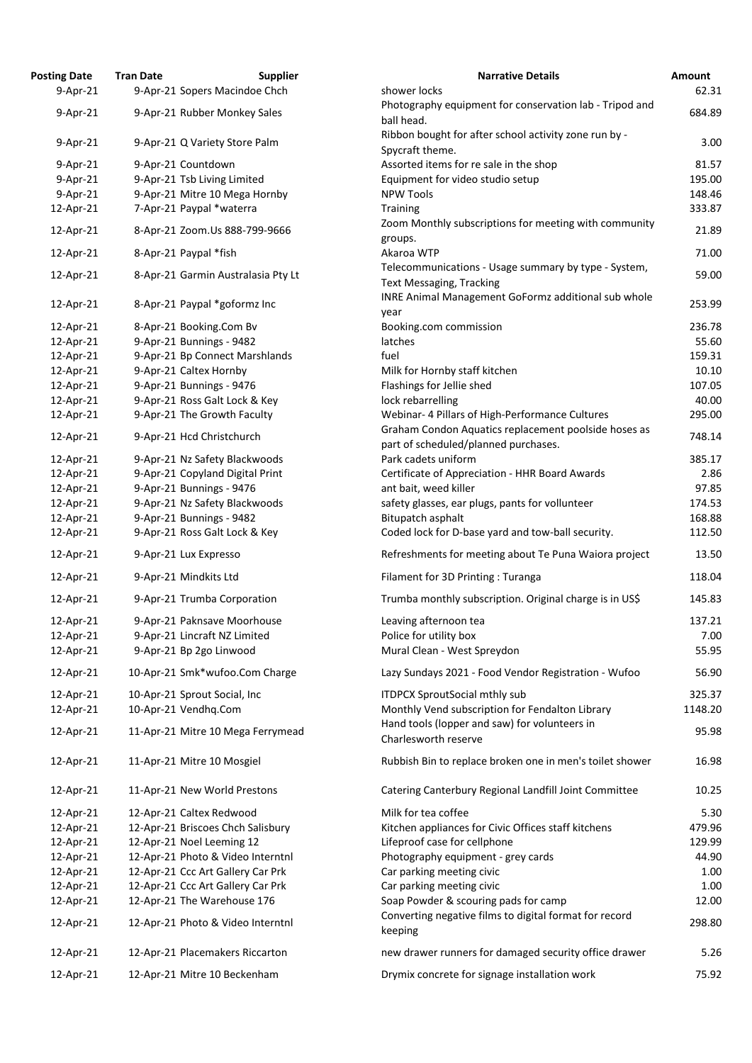| osting Date            | <b>Tran Date</b> | <b>Supplier</b>                                      | <b>Narrative Details</b>                                                                |
|------------------------|------------------|------------------------------------------------------|-----------------------------------------------------------------------------------------|
| $9 - Apr - 21$         |                  | 9-Apr-21 Sopers Macindoe Chch                        | shower locks                                                                            |
| 9-Apr-21               |                  | 9-Apr-21 Rubber Monkey Sales                         | Photography equipment for conservation lab - Tripod                                     |
|                        |                  |                                                      | ball head.                                                                              |
| 9-Apr-21               |                  | 9-Apr-21 Q Variety Store Palm                        | Ribbon bought for after school activity zone run by -                                   |
|                        |                  |                                                      | Spycraft theme.                                                                         |
| 9-Apr-21               |                  | 9-Apr-21 Countdown                                   | Assorted items for re sale in the shop                                                  |
| 9-Apr-21               |                  | 9-Apr-21 Tsb Living Limited                          | Equipment for video studio setup                                                        |
| $9 - Apr - 21$         |                  | 9-Apr-21 Mitre 10 Mega Hornby                        | <b>NPW Tools</b>                                                                        |
| 12-Apr-21              |                  | 7-Apr-21 Paypal *waterra                             | Training                                                                                |
| 12-Apr-21              |                  | 8-Apr-21 Zoom.Us 888-799-9666                        | Zoom Monthly subscriptions for meeting with commu                                       |
|                        |                  |                                                      | groups.                                                                                 |
| 12-Apr-21              |                  | 8-Apr-21 Paypal *fish                                | Akaroa WTP                                                                              |
| 12-Apr-21              |                  | 8-Apr-21 Garmin Australasia Pty Lt                   | Telecommunications - Usage summary by type - Syste                                      |
|                        |                  |                                                      | <b>Text Messaging, Tracking</b>                                                         |
| 12-Apr-21              |                  | 8-Apr-21 Paypal *goformz Inc                         | <b>INRE Animal Management GoFormz additional sub w</b>                                  |
|                        |                  |                                                      | year                                                                                    |
| 12-Apr-21              |                  | 8-Apr-21 Booking.Com Bv                              | Booking.com commission                                                                  |
| 12-Apr-21              |                  | 9-Apr-21 Bunnings - 9482                             | latches                                                                                 |
| 12-Apr-21              |                  | 9-Apr-21 Bp Connect Marshlands                       | fuel                                                                                    |
| 12-Apr-21              |                  | 9-Apr-21 Caltex Hornby<br>9-Apr-21 Bunnings - 9476   | Milk for Hornby staff kitchen<br>Flashings for Jellie shed                              |
| 12-Apr-21<br>12-Apr-21 |                  | 9-Apr-21 Ross Galt Lock & Key                        | lock rebarrelling                                                                       |
| 12-Apr-21              |                  | 9-Apr-21 The Growth Faculty                          | Webinar- 4 Pillars of High-Performance Cultures                                         |
|                        |                  |                                                      | Graham Condon Aquatics replacement poolside hose                                        |
| 12-Apr-21              |                  | 9-Apr-21 Hcd Christchurch                            | part of scheduled/planned purchases.                                                    |
| 12-Apr-21              |                  | 9-Apr-21 Nz Safety Blackwoods                        | Park cadets uniform                                                                     |
| 12-Apr-21              |                  | 9-Apr-21 Copyland Digital Print                      | Certificate of Appreciation - HHR Board Awards                                          |
| 12-Apr-21              |                  | 9-Apr-21 Bunnings - 9476                             | ant bait, weed killer                                                                   |
| 12-Apr-21              |                  | 9-Apr-21 Nz Safety Blackwoods                        | safety glasses, ear plugs, pants for vollunteer                                         |
| 12-Apr-21              |                  | 9-Apr-21 Bunnings - 9482                             | Bitupatch asphalt                                                                       |
| 12-Apr-21              |                  | 9-Apr-21 Ross Galt Lock & Key                        | Coded lock for D-base yard and tow-ball security.                                       |
| 12-Apr-21              |                  | 9-Apr-21 Lux Expresso                                | Refreshments for meeting about Te Puna Waiora pro                                       |
| 12-Apr-21              |                  | 9-Apr-21 Mindkits Ltd                                | Filament for 3D Printing: Turanga                                                       |
| 12-Apr-21              |                  | 9-Apr-21 Trumba Corporation                          | Trumba monthly subscription. Original charge is in US                                   |
| 12-Apr-21              |                  | 9-Apr-21 Paknsave Moorhouse                          | Leaving afternoon tea                                                                   |
| 12-Apr-21              |                  | 9-Apr-21 Lincraft NZ Limited                         | Police for utility box                                                                  |
| 12-Apr-21              |                  | 9-Apr-21 Bp 2go Linwood                              | Mural Clean - West Spreydon                                                             |
| 12-Apr-21              |                  | 10-Apr-21 Smk*wufoo.Com Charge                       | Lazy Sundays 2021 - Food Vendor Registration - Wufo                                     |
|                        |                  |                                                      |                                                                                         |
| 12-Apr-21<br>12-Apr-21 |                  | 10-Apr-21 Sprout Social, Inc<br>10-Apr-21 Vendhq.Com | <b>ITDPCX SproutSocial mthly sub</b><br>Monthly Vend subscription for Fendalton Library |
|                        |                  |                                                      | Hand tools (lopper and saw) for volunteers in                                           |
| 12-Apr-21              |                  | 11-Apr-21 Mitre 10 Mega Ferrymead                    | Charlesworth reserve                                                                    |
| 12-Apr-21              |                  | 11-Apr-21 Mitre 10 Mosgiel                           | Rubbish Bin to replace broken one in men's toilet sho                                   |
| 12-Apr-21              |                  | 11-Apr-21 New World Prestons                         | Catering Canterbury Regional Landfill Joint Committe                                    |
| 12-Apr-21              |                  | 12-Apr-21 Caltex Redwood                             | Milk for tea coffee                                                                     |
| 12-Apr-21              |                  | 12-Apr-21 Briscoes Chch Salisbury                    | Kitchen appliances for Civic Offices staff kitchens                                     |
| 12-Apr-21              |                  | 12-Apr-21 Noel Leeming 12                            | Lifeproof case for cellphone                                                            |
| 12-Apr-21              |                  | 12-Apr-21 Photo & Video Interntnl                    | Photography equipment - grey cards                                                      |
| 12-Apr-21              |                  | 12-Apr-21 Ccc Art Gallery Car Prk                    | Car parking meeting civic                                                               |
| 12-Apr-21              |                  | 12-Apr-21 Ccc Art Gallery Car Prk                    | Car parking meeting civic                                                               |
| 12-Apr-21              |                  | 12-Apr-21 The Warehouse 176                          | Soap Powder & scouring pads for camp                                                    |
| 12-Apr-21              |                  | 12-Apr-21 Photo & Video Interntnl                    | Converting negative films to digital format for record<br>keeping                       |
| 12-Apr-21              |                  | 12-Apr-21 Placemakers Riccarton                      | new drawer runners for damaged security office draw                                     |
| 12-Apr-21              |                  | 12-Apr-21 Mitre 10 Beckenham                         | Drymix concrete for signage installation work                                           |
|                        |                  |                                                      |                                                                                         |

| <b>Posting Date</b>    | <b>Tran Date</b> | <b>Supplier</b>                                               | <b>Narrative Details</b>                                   | Amount         |
|------------------------|------------------|---------------------------------------------------------------|------------------------------------------------------------|----------------|
| $9$ -Apr-21            |                  | 9-Apr-21 Sopers Macindoe Chch                                 | shower locks                                               | 62.31          |
| 9-Apr-21               |                  | 9-Apr-21 Rubber Monkey Sales                                  | Photography equipment for conservation lab - Tripod and    | 684.89         |
|                        |                  |                                                               | ball head.                                                 |                |
| 9-Apr-21               |                  | 9-Apr-21 Q Variety Store Palm                                 | Ribbon bought for after school activity zone run by -      | 3.00           |
|                        |                  |                                                               | Spycraft theme.                                            |                |
| 9-Apr-21               |                  | 9-Apr-21 Countdown                                            | Assorted items for re sale in the shop                     | 81.57          |
| $9-Apr-21$             |                  | 9-Apr-21 Tsb Living Limited                                   | Equipment for video studio setup                           | 195.00         |
| $9-Apr-21$             |                  | 9-Apr-21 Mitre 10 Mega Hornby                                 | <b>NPW Tools</b>                                           | 148.46         |
| 12-Apr-21              |                  | 7-Apr-21 Paypal *waterra                                      | <b>Training</b>                                            | 333.87         |
| 12-Apr-21              |                  | 8-Apr-21 Zoom.Us 888-799-9666                                 | Zoom Monthly subscriptions for meeting with community      | 21.89          |
|                        |                  |                                                               | groups.                                                    |                |
| 12-Apr-21              |                  | 8-Apr-21 Paypal *fish                                         | Akaroa WTP                                                 | 71.00          |
| 12-Apr-21              |                  | 8-Apr-21 Garmin Australasia Pty Lt                            | Telecommunications - Usage summary by type - System,       | 59.00          |
|                        |                  |                                                               | <b>Text Messaging, Tracking</b>                            |                |
| 12-Apr-21              |                  | 8-Apr-21 Paypal *goformz Inc                                  | <b>INRE Animal Management GoFormz additional sub whole</b> | 253.99         |
|                        |                  |                                                               | year                                                       |                |
| 12-Apr-21              |                  | 8-Apr-21 Booking.Com Bv                                       | Booking.com commission                                     | 236.78         |
| 12-Apr-21              |                  | 9-Apr-21 Bunnings - 9482                                      | latches                                                    | 55.60          |
| 12-Apr-21              |                  | 9-Apr-21 Bp Connect Marshlands                                | fuel                                                       | 159.31         |
| 12-Apr-21              |                  | 9-Apr-21 Caltex Hornby                                        | Milk for Hornby staff kitchen                              | 10.10          |
| 12-Apr-21              |                  | 9-Apr-21 Bunnings - 9476                                      | Flashings for Jellie shed                                  | 107.05         |
| 12-Apr-21              |                  | 9-Apr-21 Ross Galt Lock & Key                                 | lock rebarrelling                                          | 40.00          |
| 12-Apr-21              |                  | 9-Apr-21 The Growth Faculty                                   | Webinar- 4 Pillars of High-Performance Cultures            | 295.00         |
| 12-Apr-21              |                  | 9-Apr-21 Hcd Christchurch                                     | Graham Condon Aquatics replacement poolside hoses as       | 748.14         |
|                        |                  |                                                               | part of scheduled/planned purchases.                       |                |
| 12-Apr-21              |                  | 9-Apr-21 Nz Safety Blackwoods                                 | Park cadets uniform                                        | 385.17         |
| 12-Apr-21              |                  | 9-Apr-21 Copyland Digital Print                               | Certificate of Appreciation - HHR Board Awards             | 2.86           |
| 12-Apr-21              |                  | 9-Apr-21 Bunnings - 9476                                      | ant bait, weed killer                                      | 97.85          |
| 12-Apr-21              |                  | 9-Apr-21 Nz Safety Blackwoods                                 | safety glasses, ear plugs, pants for vollunteer            | 174.53         |
| 12-Apr-21              |                  | 9-Apr-21 Bunnings - 9482                                      | Bitupatch asphalt                                          | 168.88         |
| 12-Apr-21              |                  | 9-Apr-21 Ross Galt Lock & Key                                 | Coded lock for D-base yard and tow-ball security.          | 112.50         |
| 12-Apr-21              |                  | 9-Apr-21 Lux Expresso                                         | Refreshments for meeting about Te Puna Waiora project      | 13.50          |
| 12-Apr-21              |                  | 9-Apr-21 Mindkits Ltd                                         | Filament for 3D Printing: Turanga                          | 118.04         |
| 12-Apr-21              |                  | 9-Apr-21 Trumba Corporation                                   | Trumba monthly subscription. Original charge is in US\$    | 145.83         |
| 12-Apr-21              |                  | 9-Apr-21 Paknsave Moorhouse                                   | Leaving afternoon tea                                      | 137.21         |
| 12-Apr-21              |                  | 9-Apr-21 Lincraft NZ Limited                                  | Police for utility box                                     | 7.00           |
| 12-Apr-21              |                  | 9-Apr-21 Bp 2go Linwood                                       | Mural Clean - West Spreydon                                | 55.95          |
| 12-Apr-21              |                  | 10-Apr-21 Smk*wufoo.Com Charge                                | Lazy Sundays 2021 - Food Vendor Registration - Wufoo       | 56.90          |
|                        |                  |                                                               |                                                            |                |
| 12-Apr-21              |                  | 10-Apr-21 Sprout Social, Inc                                  | <b>ITDPCX SproutSocial mthly sub</b>                       | 325.37         |
| 12-Apr-21              |                  | 10-Apr-21 Vendhq.Com                                          | Monthly Vend subscription for Fendalton Library            | 1148.20        |
| 12-Apr-21              |                  | 11-Apr-21 Mitre 10 Mega Ferrymead                             | Hand tools (lopper and saw) for volunteers in              | 95.98          |
|                        |                  |                                                               | Charlesworth reserve                                       |                |
| 12-Apr-21              |                  | 11-Apr-21 Mitre 10 Mosgiel                                    | Rubbish Bin to replace broken one in men's toilet shower   | 16.98          |
| 12-Apr-21              |                  | 11-Apr-21 New World Prestons                                  | Catering Canterbury Regional Landfill Joint Committee      | 10.25          |
|                        |                  |                                                               | Milk for tea coffee                                        |                |
| 12-Apr-21<br>12-Apr-21 |                  | 12-Apr-21 Caltex Redwood<br>12-Apr-21 Briscoes Chch Salisbury | Kitchen appliances for Civic Offices staff kitchens        | 5.30<br>479.96 |
| 12-Apr-21              |                  | 12-Apr-21 Noel Leeming 12                                     | Lifeproof case for cellphone                               | 129.99         |
| 12-Apr-21              |                  | 12-Apr-21 Photo & Video Interntnl                             | Photography equipment - grey cards                         | 44.90          |
| 12-Apr-21              |                  | 12-Apr-21 Ccc Art Gallery Car Prk                             | Car parking meeting civic                                  | 1.00           |
| 12-Apr-21              |                  | 12-Apr-21 Ccc Art Gallery Car Prk                             | Car parking meeting civic                                  | 1.00           |
| 12-Apr-21              |                  | 12-Apr-21 The Warehouse 176                                   | Soap Powder & scouring pads for camp                       | 12.00          |
|                        |                  |                                                               | Converting negative films to digital format for record     |                |
| 12-Apr-21              |                  | 12-Apr-21 Photo & Video Interntnl                             | keeping                                                    | 298.80         |
|                        |                  |                                                               |                                                            |                |
| 12-Apr-21              |                  | 12-Apr-21 Placemakers Riccarton                               | new drawer runners for damaged security office drawer      | 5.26           |
| 12-Apr-21              |                  | 12-Apr-21 Mitre 10 Beckenham                                  | Drymix concrete for signage installation work              | 75.92          |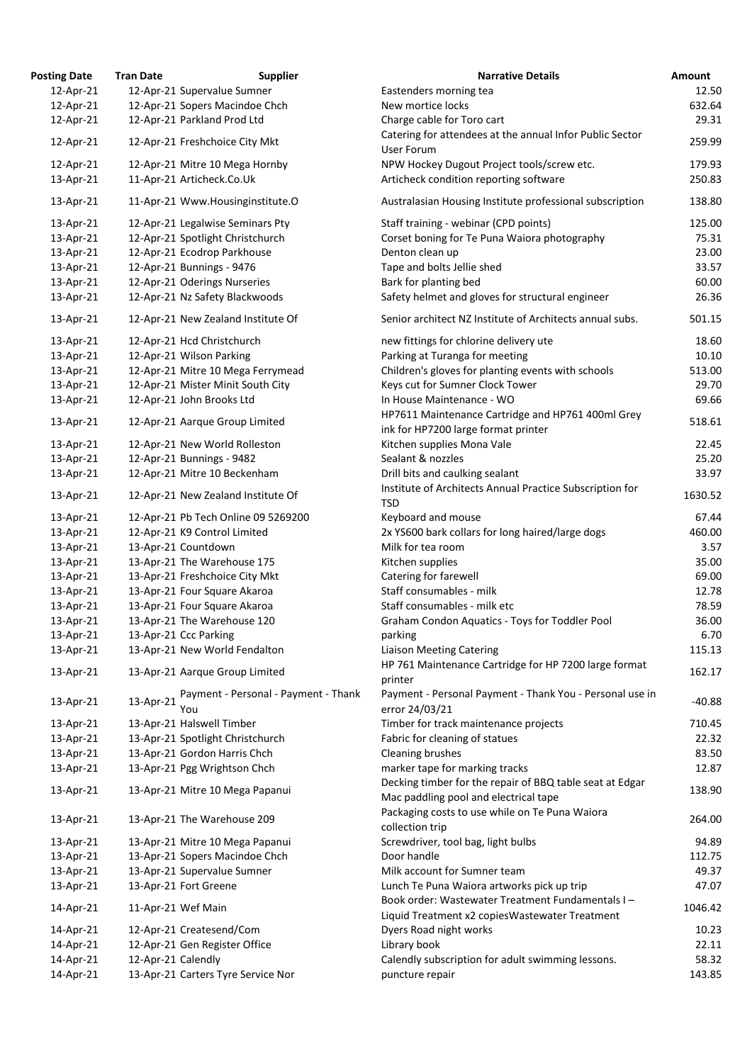| <b>Posting Date</b> | <b>Tran Date</b>            | <b>Supplier</b>                      | <b>Narrative Details</b>                                                                            | Amount   |
|---------------------|-----------------------------|--------------------------------------|-----------------------------------------------------------------------------------------------------|----------|
| 12-Apr-21           |                             | 12-Apr-21 Supervalue Sumner          | Eastenders morning tea                                                                              | 12.50    |
| 12-Apr-21           |                             | 12-Apr-21 Sopers Macindoe Chch       | New mortice locks                                                                                   | 632.64   |
| 12-Apr-21           | 12-Apr-21 Parkland Prod Ltd |                                      | Charge cable for Toro cart                                                                          | 29.31    |
| 12-Apr-21           |                             | 12-Apr-21 Freshchoice City Mkt       | Catering for attendees at the annual Infor Public Sector<br><b>User Forum</b>                       | 259.99   |
| 12-Apr-21           |                             | 12-Apr-21 Mitre 10 Mega Hornby       | NPW Hockey Dugout Project tools/screw etc.                                                          | 179.93   |
| 13-Apr-21           | 11-Apr-21 Articheck.Co.Uk   |                                      | Articheck condition reporting software                                                              | 250.83   |
| 13-Apr-21           |                             | 11-Apr-21 Www.Housinginstitute.O     | Australasian Housing Institute professional subscription                                            | 138.80   |
| 13-Apr-21           |                             | 12-Apr-21 Legalwise Seminars Pty     | Staff training - webinar (CPD points)                                                               | 125.00   |
| 13-Apr-21           |                             | 12-Apr-21 Spotlight Christchurch     | Corset boning for Te Puna Waiora photography                                                        | 75.31    |
| 13-Apr-21           |                             | 12-Apr-21 Ecodrop Parkhouse          | Denton clean up                                                                                     | 23.00    |
| 13-Apr-21           | 12-Apr-21 Bunnings - 9476   |                                      | Tape and bolts Jellie shed                                                                          | 33.57    |
| 13-Apr-21           |                             | 12-Apr-21 Oderings Nurseries         | Bark for planting bed                                                                               | 60.00    |
| 13-Apr-21           |                             | 12-Apr-21 Nz Safety Blackwoods       | Safety helmet and gloves for structural engineer                                                    | 26.36    |
| 13-Apr-21           |                             | 12-Apr-21 New Zealand Institute Of   | Senior architect NZ Institute of Architects annual subs.                                            | 501.15   |
|                     |                             |                                      |                                                                                                     |          |
| 13-Apr-21           | 12-Apr-21 Hcd Christchurch  |                                      | new fittings for chlorine delivery ute                                                              | 18.60    |
| 13-Apr-21           | 12-Apr-21 Wilson Parking    |                                      | Parking at Turanga for meeting                                                                      | 10.10    |
| 13-Apr-21           |                             | 12-Apr-21 Mitre 10 Mega Ferrymead    | Children's gloves for planting events with schools                                                  | 513.00   |
| 13-Apr-21           |                             | 12-Apr-21 Mister Minit South City    | Keys cut for Sumner Clock Tower                                                                     | 29.70    |
| 13-Apr-21           | 12-Apr-21 John Brooks Ltd   |                                      | In House Maintenance - WO                                                                           | 69.66    |
| 13-Apr-21           |                             | 12-Apr-21 Aarque Group Limited       | HP7611 Maintenance Cartridge and HP761 400ml Grey                                                   | 518.61   |
|                     |                             |                                      | ink for HP7200 large format printer                                                                 |          |
| 13-Apr-21           |                             | 12-Apr-21 New World Rolleston        | Kitchen supplies Mona Vale                                                                          | 22.45    |
| 13-Apr-21           | 12-Apr-21 Bunnings - 9482   |                                      | Sealant & nozzles                                                                                   | 25.20    |
| 13-Apr-21           |                             | 12-Apr-21 Mitre 10 Beckenham         | Drill bits and caulking sealant                                                                     | 33.97    |
| 13-Apr-21           |                             | 12-Apr-21 New Zealand Institute Of   | Institute of Architects Annual Practice Subscription for<br><b>TSD</b>                              | 1630.52  |
| 13-Apr-21           |                             | 12-Apr-21 Pb Tech Online 09 5269200  | Keyboard and mouse                                                                                  | 67.44    |
| 13-Apr-21           |                             | 12-Apr-21 K9 Control Limited         | 2x YS600 bark collars for long haired/large dogs                                                    | 460.00   |
| 13-Apr-21           | 13-Apr-21 Countdown         |                                      | Milk for tea room                                                                                   | 3.57     |
| 13-Apr-21           |                             | 13-Apr-21 The Warehouse 175          | Kitchen supplies                                                                                    | 35.00    |
| 13-Apr-21           |                             | 13-Apr-21 Freshchoice City Mkt       | Catering for farewell                                                                               | 69.00    |
| 13-Apr-21           |                             | 13-Apr-21 Four Square Akaroa         | Staff consumables - milk                                                                            | 12.78    |
| 13-Apr-21           |                             | 13-Apr-21 Four Square Akaroa         | Staff consumables - milk etc                                                                        | 78.59    |
| 13-Apr-21           |                             | 13-Apr-21 The Warehouse 120          | Graham Condon Aquatics - Toys for Toddler Pool                                                      | 36.00    |
| 13-Apr-21           | 13-Apr-21 Ccc Parking       |                                      | parking                                                                                             | 6.70     |
| 13-Apr-21           |                             | 13-Apr-21 New World Fendalton        | <b>Liaison Meeting Catering</b>                                                                     | 115.13   |
| 13-Apr-21           |                             | 13-Apr-21 Aarque Group Limited       | HP 761 Maintenance Cartridge for HP 7200 large format                                               | 162.17   |
| 13-Apr-21           | 13-Apr-21                   | Payment - Personal - Payment - Thank | printer<br>Payment - Personal Payment - Thank You - Personal use in                                 | $-40.88$ |
|                     | You                         |                                      | error 24/03/21                                                                                      |          |
| 13-Apr-21           | 13-Apr-21 Halswell Timber   |                                      | Timber for track maintenance projects                                                               | 710.45   |
| 13-Apr-21           |                             | 13-Apr-21 Spotlight Christchurch     | Fabric for cleaning of statues                                                                      | 22.32    |
| 13-Apr-21           |                             | 13-Apr-21 Gordon Harris Chch         | Cleaning brushes                                                                                    | 83.50    |
| 13-Apr-21           |                             | 13-Apr-21 Pgg Wrightson Chch         | marker tape for marking tracks<br>Decking timber for the repair of BBQ table seat at Edgar          | 12.87    |
| 13-Apr-21           |                             | 13-Apr-21 Mitre 10 Mega Papanui      | Mac paddling pool and electrical tape                                                               | 138.90   |
| 13-Apr-21           |                             | 13-Apr-21 The Warehouse 209          | Packaging costs to use while on Te Puna Waiora<br>collection trip                                   | 264.00   |
| 13-Apr-21           |                             | 13-Apr-21 Mitre 10 Mega Papanui      | Screwdriver, tool bag, light bulbs                                                                  | 94.89    |
| 13-Apr-21           |                             | 13-Apr-21 Sopers Macindoe Chch       | Door handle                                                                                         | 112.75   |
| 13-Apr-21           |                             | 13-Apr-21 Supervalue Sumner          | Milk account for Sumner team                                                                        | 49.37    |
| 13-Apr-21           | 13-Apr-21 Fort Greene       |                                      | Lunch Te Puna Waiora artworks pick up trip                                                          | 47.07    |
| 14-Apr-21           | 11-Apr-21 Wef Main          |                                      | Book order: Wastewater Treatment Fundamentals I-<br>Liquid Treatment x2 copies Wastewater Treatment | 1046.42  |
| 14-Apr-21           | 12-Apr-21 Createsend/Com    |                                      | Dyers Road night works                                                                              | 10.23    |
| 14-Apr-21           |                             | 12-Apr-21 Gen Register Office        | Library book                                                                                        | 22.11    |
| 14-Apr-21           | 12-Apr-21 Calendly          |                                      | Calendly subscription for adult swimming lessons.                                                   | 58.32    |
| 14-Apr-21           |                             | 13-Apr-21 Carters Tyre Service Nor   | puncture repair                                                                                     | 143.85   |
|                     |                             |                                      |                                                                                                     |          |

259.99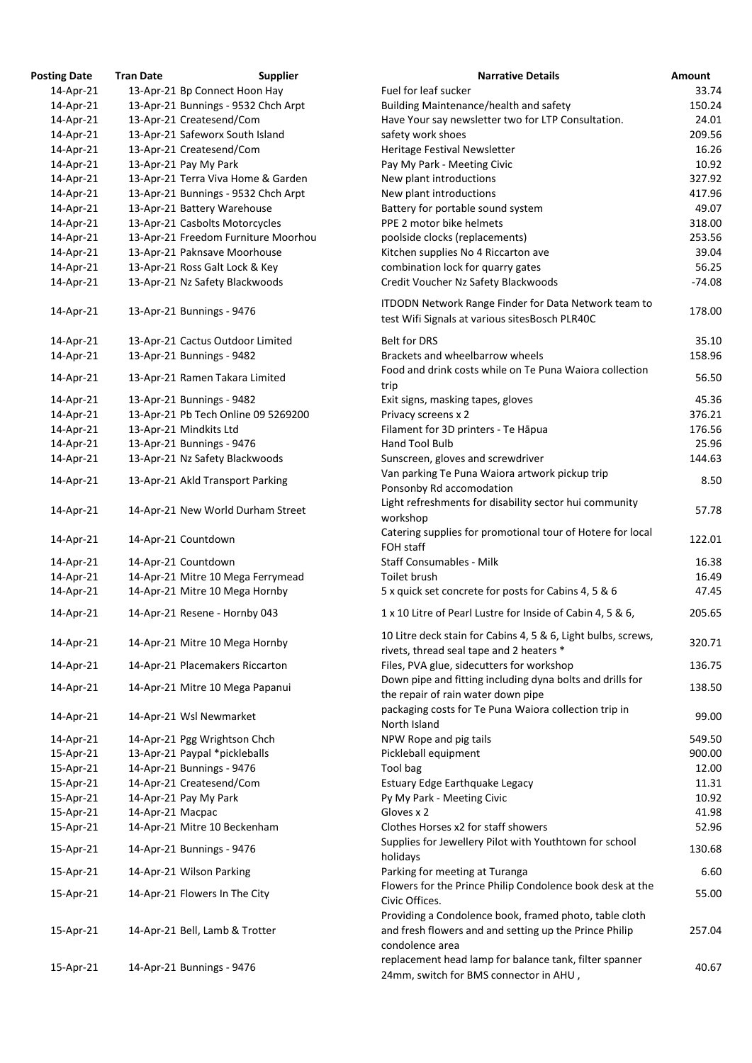| <b>Posting Date</b> | <b>Tran Date</b> | <b>Supplier</b>                     | <b>Narrative Details</b>                                                                                  | Amount   |
|---------------------|------------------|-------------------------------------|-----------------------------------------------------------------------------------------------------------|----------|
| 14-Apr-21           |                  | 13-Apr-21 Bp Connect Hoon Hay       | Fuel for leaf sucker                                                                                      | 33.74    |
| 14-Apr-21           |                  | 13-Apr-21 Bunnings - 9532 Chch Arpt | Building Maintenance/health and safety                                                                    | 150.24   |
| 14-Apr-21           |                  | 13-Apr-21 Createsend/Com            | Have Your say newsletter two for LTP Consultation.                                                        | 24.01    |
| 14-Apr-21           |                  | 13-Apr-21 Safeworx South Island     | safety work shoes                                                                                         | 209.56   |
| 14-Apr-21           |                  | 13-Apr-21 Createsend/Com            | Heritage Festival Newsletter                                                                              | 16.26    |
| 14-Apr-21           |                  | 13-Apr-21 Pay My Park               | Pay My Park - Meeting Civic                                                                               | 10.92    |
| 14-Apr-21           |                  | 13-Apr-21 Terra Viva Home & Garden  | New plant introductions                                                                                   | 327.92   |
| 14-Apr-21           |                  | 13-Apr-21 Bunnings - 9532 Chch Arpt | New plant introductions                                                                                   | 417.96   |
| 14-Apr-21           |                  | 13-Apr-21 Battery Warehouse         | Battery for portable sound system                                                                         | 49.07    |
| 14-Apr-21           |                  | 13-Apr-21 Casbolts Motorcycles      | PPE 2 motor bike helmets                                                                                  | 318.00   |
| 14-Apr-21           |                  | 13-Apr-21 Freedom Furniture Moorhou | poolside clocks (replacements)                                                                            | 253.56   |
| 14-Apr-21           |                  | 13-Apr-21 Paknsave Moorhouse        | Kitchen supplies No 4 Riccarton ave                                                                       | 39.04    |
| 14-Apr-21           |                  | 13-Apr-21 Ross Galt Lock & Key      | combination lock for quarry gates                                                                         | 56.25    |
| 14-Apr-21           |                  | 13-Apr-21 Nz Safety Blackwoods      | Credit Voucher Nz Safety Blackwoods                                                                       | $-74.08$ |
| 14-Apr-21           |                  | 13-Apr-21 Bunnings - 9476           | ITDODN Network Range Finder for Data Network team to<br>test Wifi Signals at various sitesBosch PLR40C    | 178.00   |
|                     |                  |                                     |                                                                                                           |          |
| 14-Apr-21           |                  | 13-Apr-21 Cactus Outdoor Limited    | <b>Belt for DRS</b>                                                                                       | 35.10    |
| 14-Apr-21           |                  | 13-Apr-21 Bunnings - 9482           | Brackets and wheelbarrow wheels                                                                           | 158.96   |
| 14-Apr-21           |                  | 13-Apr-21 Ramen Takara Limited      | Food and drink costs while on Te Puna Waiora collection                                                   | 56.50    |
|                     |                  |                                     | trip                                                                                                      |          |
| 14-Apr-21           |                  | 13-Apr-21 Bunnings - 9482           | Exit signs, masking tapes, gloves                                                                         | 45.36    |
| 14-Apr-21           |                  | 13-Apr-21 Pb Tech Online 09 5269200 | Privacy screens x 2                                                                                       | 376.21   |
| 14-Apr-21           |                  | 13-Apr-21 Mindkits Ltd              | Filament for 3D printers - Te Hāpua                                                                       | 176.56   |
| 14-Apr-21           |                  | 13-Apr-21 Bunnings - 9476           | Hand Tool Bulb                                                                                            | 25.96    |
| 14-Apr-21           |                  | 13-Apr-21 Nz Safety Blackwoods      | Sunscreen, gloves and screwdriver                                                                         | 144.63   |
| 14-Apr-21           |                  | 13-Apr-21 Akld Transport Parking    | Van parking Te Puna Waiora artwork pickup trip<br>Ponsonby Rd accomodation                                | 8.50     |
| 14-Apr-21           |                  | 14-Apr-21 New World Durham Street   | Light refreshments for disability sector hui community<br>workshop                                        | 57.78    |
| 14-Apr-21           |                  | 14-Apr-21 Countdown                 | Catering supplies for promotional tour of Hotere for local<br>FOH staff                                   | 122.01   |
| 14-Apr-21           |                  | 14-Apr-21 Countdown                 | <b>Staff Consumables - Milk</b>                                                                           | 16.38    |
| 14-Apr-21           |                  | 14-Apr-21 Mitre 10 Mega Ferrymead   | Toilet brush                                                                                              | 16.49    |
| 14-Apr-21           |                  | 14-Apr-21 Mitre 10 Mega Hornby      | 5 x quick set concrete for posts for Cabins 4, 5 & 6                                                      | 47.45    |
| 14-Apr-21           |                  | 14-Apr-21 Resene - Hornby 043       | 1 x 10 Litre of Pearl Lustre for Inside of Cabin 4, 5 & 6,                                                | 205.65   |
| 14-Apr-21           |                  | 14-Apr-21 Mitre 10 Mega Hornby      | 10 Litre deck stain for Cabins 4, 5 & 6, Light bulbs, screws,<br>rivets, thread seal tape and 2 heaters * | 320.71   |
| 14-Apr-21           |                  | 14-Apr-21 Placemakers Riccarton     | Files, PVA glue, sidecutters for workshop                                                                 | 136.75   |
|                     |                  |                                     | Down pipe and fitting including dyna bolts and drills for                                                 |          |
| 14-Apr-21           |                  | 14-Apr-21 Mitre 10 Mega Papanui     | the repair of rain water down pipe<br>packaging costs for Te Puna Waiora collection trip in               | 138.50   |
| 14-Apr-21           |                  | 14-Apr-21 Wsl Newmarket             | North Island                                                                                              | 99.00    |
| 14-Apr-21           |                  | 14-Apr-21 Pgg Wrightson Chch        | NPW Rope and pig tails                                                                                    | 549.50   |
| 15-Apr-21           |                  | 13-Apr-21 Paypal *pickleballs       | Pickleball equipment                                                                                      | 900.00   |
| 15-Apr-21           |                  | 14-Apr-21 Bunnings - 9476           | Tool bag                                                                                                  | 12.00    |
| 15-Apr-21           |                  | 14-Apr-21 Createsend/Com            | Estuary Edge Earthquake Legacy                                                                            | 11.31    |
| 15-Apr-21           |                  | 14-Apr-21 Pay My Park               | Py My Park - Meeting Civic                                                                                | 10.92    |
| 15-Apr-21           | 14-Apr-21 Macpac |                                     | Gloves x 2                                                                                                | 41.98    |
| 15-Apr-21           |                  | 14-Apr-21 Mitre 10 Beckenham        | Clothes Horses x2 for staff showers                                                                       | 52.96    |
| 15-Apr-21           |                  | 14-Apr-21 Bunnings - 9476           | Supplies for Jewellery Pilot with Youthtown for school<br>holidays                                        | 130.68   |
| 15-Apr-21           |                  | 14-Apr-21 Wilson Parking            | Parking for meeting at Turanga                                                                            | 6.60     |
| 15-Apr-21           |                  | 14-Apr-21 Flowers In The City       | Flowers for the Prince Philip Condolence book desk at the                                                 | 55.00    |
|                     |                  |                                     | Civic Offices.<br>Providing a Condolence book, framed photo, table cloth                                  |          |
| 15-Apr-21           |                  | 14-Apr-21 Bell, Lamb & Trotter      | and fresh flowers and and setting up the Prince Philip<br>condolence area                                 | 257.04   |
| 15-Apr-21           |                  | 14-Apr-21 Bunnings - 9476           | replacement head lamp for balance tank, filter spanner<br>24mm, switch for BMS connector in AHU,          | 40.67    |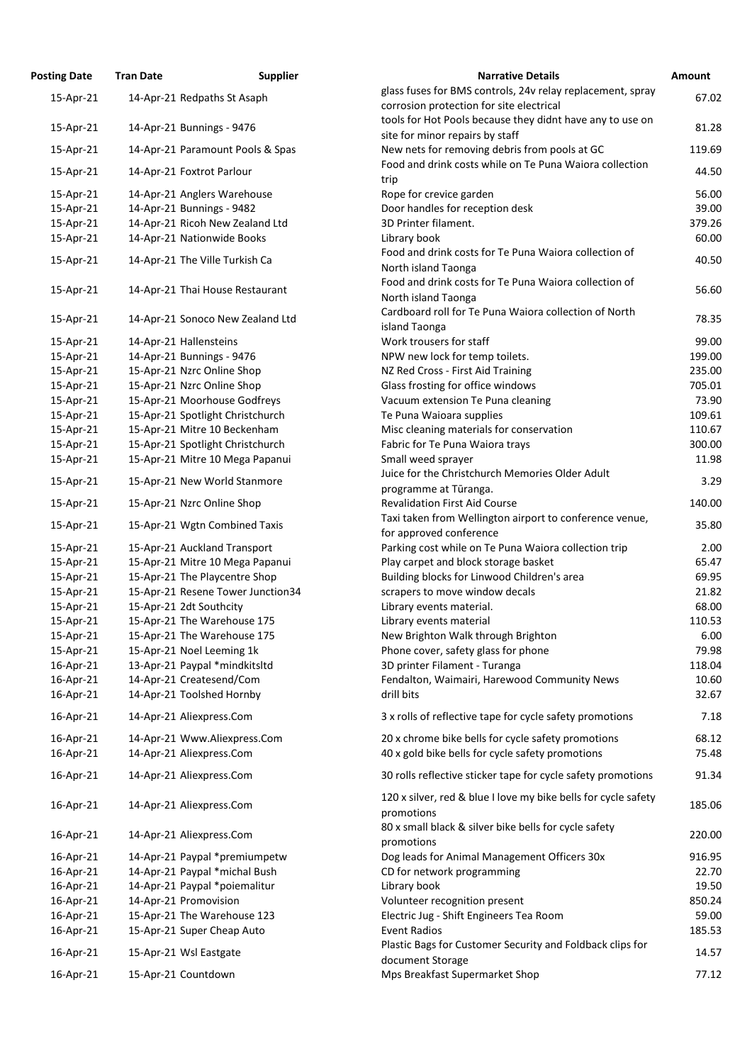| <b>Osting Date</b> | <b>Tran Date</b>        | <b>Supplier</b>                   | <b>Narrative Details</b>                                                                 |
|--------------------|-------------------------|-----------------------------------|------------------------------------------------------------------------------------------|
| 15-Apr-21          |                         | 14-Apr-21 Redpaths St Asaph       | glass fuses for BMS controls, 24v relay replacemer                                       |
|                    |                         |                                   | corrosion protection for site electrical                                                 |
| 15-Apr-21          |                         | 14-Apr-21 Bunnings - 9476         | tools for Hot Pools because they didnt have any to                                       |
| 15-Apr-21          |                         | 14-Apr-21 Paramount Pools & Spas  | site for minor repairs by staff<br>New nets for removing debris from pools at GC         |
|                    |                         |                                   | Food and drink costs while on Te Puna Waiora col                                         |
| 15-Apr-21          |                         | 14-Apr-21 Foxtrot Parlour         | trip                                                                                     |
| 15-Apr-21          |                         | 14-Apr-21 Anglers Warehouse       | Rope for crevice garden                                                                  |
| 15-Apr-21          |                         | 14-Apr-21 Bunnings - 9482         | Door handles for reception desk                                                          |
| 15-Apr-21          |                         | 14-Apr-21 Ricoh New Zealand Ltd   | 3D Printer filament.                                                                     |
| 15-Apr-21          |                         | 14-Apr-21 Nationwide Books        | Library book                                                                             |
| 15-Apr-21          |                         | 14-Apr-21 The Ville Turkish Ca    | Food and drink costs for Te Puna Waiora collectio<br>North island Taonga                 |
| 15-Apr-21          |                         | 14-Apr-21 Thai House Restaurant   | Food and drink costs for Te Puna Waiora collectio<br>North island Taonga                 |
| 15-Apr-21          |                         | 14-Apr-21 Sonoco New Zealand Ltd  | Cardboard roll for Te Puna Waiora collection of N<br>island Taonga                       |
| 15-Apr-21          | 14-Apr-21 Hallensteins  |                                   | Work trousers for staff                                                                  |
| 15-Apr-21          |                         | 14-Apr-21 Bunnings - 9476         | NPW new lock for temp toilets.                                                           |
| 15-Apr-21          |                         | 15-Apr-21 Nzrc Online Shop        | NZ Red Cross - First Aid Training                                                        |
| 15-Apr-21          |                         | 15-Apr-21 Nzrc Online Shop        | Glass frosting for office windows                                                        |
| 15-Apr-21          |                         | 15-Apr-21 Moorhouse Godfreys      | Vacuum extension Te Puna cleaning                                                        |
| 15-Apr-21          |                         | 15-Apr-21 Spotlight Christchurch  | Te Puna Waioara supplies                                                                 |
| 15-Apr-21          |                         | 15-Apr-21 Mitre 10 Beckenham      | Misc cleaning materials for conservation                                                 |
| 15-Apr-21          |                         | 15-Apr-21 Spotlight Christchurch  | Fabric for Te Puna Waiora trays                                                          |
| 15-Apr-21          |                         | 15-Apr-21 Mitre 10 Mega Papanui   | Small weed sprayer<br>Juice for the Christchurch Memories Older Adult                    |
| 15-Apr-21          |                         | 15-Apr-21 New World Stanmore      | programme at Tūranga.                                                                    |
| 15-Apr-21          |                         | 15-Apr-21 Nzrc Online Shop        | <b>Revalidation First Aid Course</b><br>Taxi taken from Wellington airport to conference |
| 15-Apr-21          |                         | 15-Apr-21 Wgtn Combined Taxis     | for approved conference                                                                  |
| 15-Apr-21          |                         | 15-Apr-21 Auckland Transport      | Parking cost while on Te Puna Waiora collection t                                        |
| 15-Apr-21          |                         | 15-Apr-21 Mitre 10 Mega Papanui   | Play carpet and block storage basket                                                     |
| 15-Apr-21          |                         | 15-Apr-21 The Playcentre Shop     | Building blocks for Linwood Children's area                                              |
| 15-Apr-21          |                         | 15-Apr-21 Resene Tower Junction34 | scrapers to move window decals                                                           |
| 15-Apr-21          | 15-Apr-21 2dt Southcity |                                   | Library events material.                                                                 |
| 15-Apr-21          |                         | 15-Apr-21 The Warehouse 175       | Library events material                                                                  |
| 15-Apr-21          |                         | 15-Apr-21 The Warehouse 175       | New Brighton Walk through Brighton                                                       |
| 15-Apr-21          |                         | 15-Apr-21 Noel Leeming 1k         | Phone cover, safety glass for phone                                                      |
| 16-Apr-21          |                         | 13-Apr-21 Paypal *mindkitsltd     | 3D printer Filament - Turanga                                                            |
| 16-Apr-21          |                         | 14-Apr-21 Createsend/Com          | Fendalton, Waimairi, Harewood Community News                                             |
| 16-Apr-21          |                         | 14-Apr-21 Toolshed Hornby         | drill bits                                                                               |
| 16-Apr-21          |                         | 14-Apr-21 Aliexpress.Com          | 3 x rolls of reflective tape for cycle safety promoti                                    |
| 16-Apr-21          |                         | 14-Apr-21 Www.Aliexpress.Com      | 20 x chrome bike bells for cycle safety promotions                                       |
| 16-Apr-21          |                         | 14-Apr-21 Aliexpress.Com          | 40 x gold bike bells for cycle safety promotions                                         |
| 16-Apr-21          |                         | 14-Apr-21 Aliexpress.Com          | 30 rolls reflective sticker tape for cycle safety pror                                   |
| 16-Apr-21          |                         | 14-Apr-21 Aliexpress.Com          | 120 x silver, red & blue I love my bike bells for cyc<br>promotions                      |
| 16-Apr-21          |                         | 14-Apr-21 Aliexpress.Com          | 80 x small black & silver bike bells for cycle safety<br>promotions                      |
| 16-Apr-21          |                         | 14-Apr-21 Paypal *premiumpetw     | Dog leads for Animal Management Officers 30x                                             |
| 16-Apr-21          |                         | 14-Apr-21 Paypal *michal Bush     | CD for network programming                                                               |
| 16-Apr-21          |                         | 14-Apr-21 Paypal *poiemalitur     | Library book                                                                             |
| 16-Apr-21          | 14-Apr-21 Promovision   |                                   | Volunteer recognition present                                                            |
| 16-Apr-21          |                         | 15-Apr-21 The Warehouse 123       | Electric Jug - Shift Engineers Tea Room                                                  |
| 16-Apr-21          |                         | 15-Apr-21 Super Cheap Auto        | <b>Event Radios</b>                                                                      |
| 16-Apr-21          | 15-Apr-21 Wsl Eastgate  |                                   | Plastic Bags for Customer Security and Foldback c                                        |
|                    |                         |                                   | document Storage                                                                         |
| 16-Apr-21          | 15-Apr-21 Countdown     |                                   | Mps Breakfast Supermarket Shop                                                           |

| <b>Posting Date</b>    | <b>Tran Date</b> | <b>Supplier</b>                                                  | <b>Narrative Details</b>                                                                               | Amount        |
|------------------------|------------------|------------------------------------------------------------------|--------------------------------------------------------------------------------------------------------|---------------|
| 15-Apr-21              |                  | 14-Apr-21 Redpaths St Asaph                                      | glass fuses for BMS controls, 24v relay replacement, spray<br>corrosion protection for site electrical | 67.02         |
| 15-Apr-21              |                  | 14-Apr-21 Bunnings - 9476                                        | tools for Hot Pools because they didnt have any to use on<br>site for minor repairs by staff           | 81.28         |
| 15-Apr-21              |                  | 14-Apr-21 Paramount Pools & Spas                                 | New nets for removing debris from pools at GC                                                          | 119.69        |
| 15-Apr-21              |                  | 14-Apr-21 Foxtrot Parlour                                        | Food and drink costs while on Te Puna Waiora collection<br>trip                                        | 44.50         |
| 15-Apr-21              |                  | 14-Apr-21 Anglers Warehouse                                      | Rope for crevice garden                                                                                | 56.00         |
| 15-Apr-21              |                  | 14-Apr-21 Bunnings - 9482                                        | Door handles for reception desk                                                                        | 39.00         |
| 15-Apr-21              |                  | 14-Apr-21 Ricoh New Zealand Ltd                                  | 3D Printer filament.                                                                                   | 379.26        |
| 15-Apr-21              |                  | 14-Apr-21 Nationwide Books                                       | Library book                                                                                           | 60.00         |
| 15-Apr-21              |                  | 14-Apr-21 The Ville Turkish Ca                                   | Food and drink costs for Te Puna Waiora collection of<br>North island Taonga                           | 40.50         |
| 15-Apr-21              |                  | 14-Apr-21 Thai House Restaurant                                  | Food and drink costs for Te Puna Waiora collection of<br>North island Taonga                           | 56.60         |
| 15-Apr-21              |                  | 14-Apr-21 Sonoco New Zealand Ltd                                 | Cardboard roll for Te Puna Waiora collection of North<br>island Taonga                                 | 78.35         |
| 15-Apr-21              |                  | 14-Apr-21 Hallensteins                                           | Work trousers for staff                                                                                | 99.00         |
| 15-Apr-21              |                  | 14-Apr-21 Bunnings - 9476                                        | NPW new lock for temp toilets.                                                                         | 199.00        |
| 15-Apr-21              |                  | 15-Apr-21 Nzrc Online Shop                                       | NZ Red Cross - First Aid Training                                                                      | 235.00        |
| 15-Apr-21              |                  | 15-Apr-21 Nzrc Online Shop                                       | Glass frosting for office windows                                                                      | 705.01        |
| 15-Apr-21              |                  | 15-Apr-21 Moorhouse Godfreys                                     | Vacuum extension Te Puna cleaning                                                                      | 73.90         |
| 15-Apr-21              |                  | 15-Apr-21 Spotlight Christchurch                                 | Te Puna Waioara supplies                                                                               | 109.61        |
| 15-Apr-21              |                  | 15-Apr-21 Mitre 10 Beckenham                                     | Misc cleaning materials for conservation                                                               | 110.67        |
| 15-Apr-21              |                  | 15-Apr-21 Spotlight Christchurch                                 | Fabric for Te Puna Waiora trays                                                                        | 300.00        |
| 15-Apr-21              |                  | 15-Apr-21 Mitre 10 Mega Papanui                                  | Small weed sprayer<br>Juice for the Christchurch Memories Older Adult                                  | 11.98         |
| 15-Apr-21              |                  | 15-Apr-21 New World Stanmore                                     | programme at Tūranga.                                                                                  | 3.29          |
| 15-Apr-21              |                  | 15-Apr-21 Nzrc Online Shop                                       | <b>Revalidation First Aid Course</b><br>Taxi taken from Wellington airport to conference venue,        | 140.00        |
| 15-Apr-21              |                  | 15-Apr-21 Wgtn Combined Taxis                                    | for approved conference                                                                                | 35.80<br>2.00 |
| 15-Apr-21              |                  | 15-Apr-21 Auckland Transport                                     | Parking cost while on Te Puna Waiora collection trip<br>Play carpet and block storage basket           | 65.47         |
| 15-Apr-21              |                  | 15-Apr-21 Mitre 10 Mega Papanui<br>15-Apr-21 The Playcentre Shop |                                                                                                        | 69.95         |
| 15-Apr-21              |                  | 15-Apr-21 Resene Tower Junction34                                | Building blocks for Linwood Children's area                                                            | 21.82         |
| 15-Apr-21<br>15-Apr-21 |                  | 15-Apr-21 2dt Southcity                                          | scrapers to move window decals<br>Library events material.                                             | 68.00         |
| 15-Apr-21              |                  | 15-Apr-21 The Warehouse 175                                      | Library events material                                                                                | 110.53        |
| 15-Apr-21              |                  | 15-Apr-21 The Warehouse 175                                      | New Brighton Walk through Brighton                                                                     | 6.00          |
| 15-Apr-21              |                  | 15-Apr-21 Noel Leeming 1k                                        | Phone cover, safety glass for phone                                                                    | 79.98         |
| 16-Apr-21              |                  | 13-Apr-21 Paypal *mindkitsltd                                    | 3D printer Filament - Turanga                                                                          | 118.04        |
| 16-Apr-21              |                  | 14-Apr-21 Createsend/Com                                         | Fendalton, Waimairi, Harewood Community News                                                           | 10.60         |
| 16-Apr-21              |                  | 14-Apr-21 Toolshed Hornby                                        | drill bits                                                                                             | 32.67         |
| 16-Apr-21              |                  | 14-Apr-21 Aliexpress.Com                                         | 3 x rolls of reflective tape for cycle safety promotions                                               | 7.18          |
| 16-Apr-21              |                  | 14-Apr-21 Www.Aliexpress.Com                                     | 20 x chrome bike bells for cycle safety promotions                                                     | 68.12         |
| 16-Apr-21              |                  | 14-Apr-21 Aliexpress.Com                                         | 40 x gold bike bells for cycle safety promotions                                                       | 75.48         |
| 16-Apr-21              |                  | 14-Apr-21 Aliexpress.Com                                         | 30 rolls reflective sticker tape for cycle safety promotions                                           | 91.34         |
| 16-Apr-21              |                  | 14-Apr-21 Aliexpress.Com                                         | 120 x silver, red & blue I love my bike bells for cycle safety<br>promotions                           | 185.06        |
| 16-Apr-21              |                  | 14-Apr-21 Aliexpress.Com                                         | 80 x small black & silver bike bells for cycle safety<br>promotions                                    | 220.00        |
| 16-Apr-21              |                  | 14-Apr-21 Paypal *premiumpetw                                    | Dog leads for Animal Management Officers 30x                                                           | 916.95        |
| 16-Apr-21              |                  | 14-Apr-21 Paypal *michal Bush                                    | CD for network programming                                                                             | 22.70         |
| 16-Apr-21              |                  | 14-Apr-21 Paypal *poiemalitur                                    | Library book                                                                                           | 19.50         |
| 16-Apr-21              |                  | 14-Apr-21 Promovision                                            | Volunteer recognition present                                                                          | 850.24        |
| 16-Apr-21              |                  | 15-Apr-21 The Warehouse 123                                      | Electric Jug - Shift Engineers Tea Room                                                                | 59.00         |
| 16-Apr-21              |                  | 15-Apr-21 Super Cheap Auto                                       | <b>Event Radios</b>                                                                                    | 185.53        |
| 16-Apr-21              |                  | 15-Apr-21 Wsl Eastgate                                           | Plastic Bags for Customer Security and Foldback clips for<br>document Storage                          | 14.57         |
| 16-Apr-21              |                  | 15-Apr-21 Countdown                                              | Mps Breakfast Supermarket Shop                                                                         | 77.12         |
|                        |                  |                                                                  |                                                                                                        |               |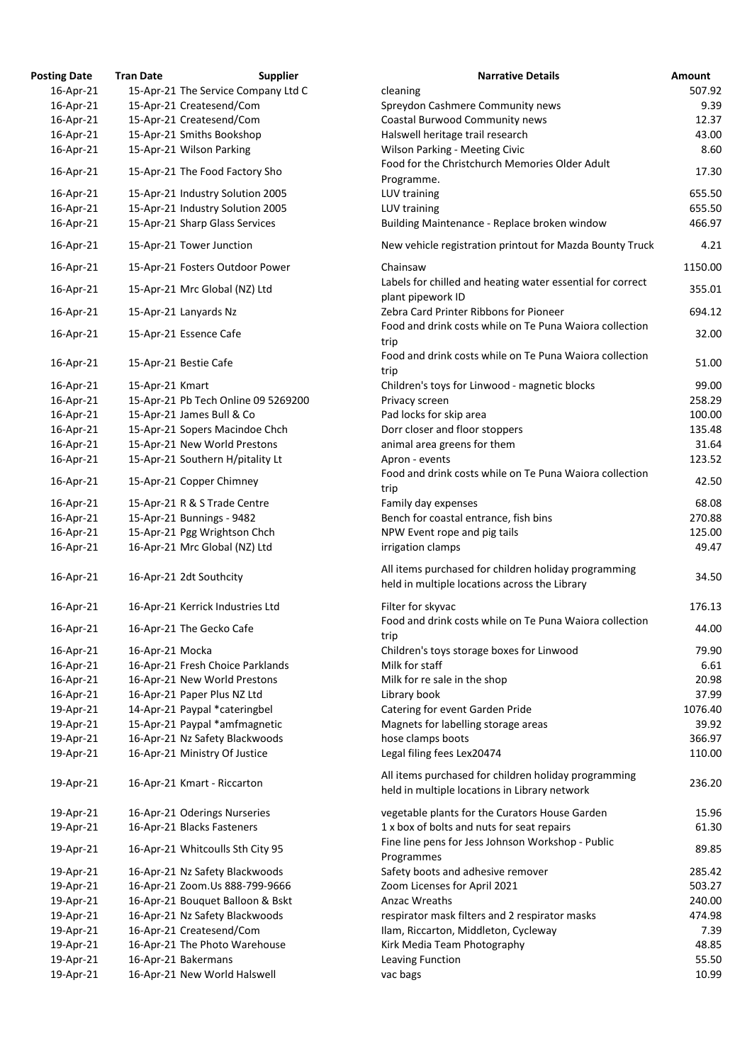| <b>osting Date</b> | <b>Tran Date</b> | <b>Supplier</b>                     | <b>Narrative Details</b>                                 |
|--------------------|------------------|-------------------------------------|----------------------------------------------------------|
| 16-Apr-21          |                  | 15-Apr-21 The Service Company Ltd C | cleaning                                                 |
| 16-Apr-21          |                  | 15-Apr-21 Createsend/Com            | Spreydon Cashmere Community news                         |
| 16-Apr-21          |                  | 15-Apr-21 Createsend/Com            | <b>Coastal Burwood Community news</b>                    |
| 16-Apr-21          |                  | 15-Apr-21 Smiths Bookshop           | Halswell heritage trail research                         |
| 16-Apr-21          |                  | 15-Apr-21 Wilson Parking            | <b>Wilson Parking - Meeting Civic</b>                    |
|                    |                  |                                     | Food for the Christchurch Memories Older Adult           |
| 16-Apr-21          |                  | 15-Apr-21 The Food Factory Sho      | Programme.                                               |
| 16-Apr-21          |                  | 15-Apr-21 Industry Solution 2005    | LUV training                                             |
| 16-Apr-21          |                  | 15-Apr-21 Industry Solution 2005    | LUV training                                             |
| 16-Apr-21          |                  | 15-Apr-21 Sharp Glass Services      | Building Maintenance - Replace broken window             |
|                    |                  |                                     |                                                          |
| 16-Apr-21          |                  | 15-Apr-21 Tower Junction            | New vehicle registration printout for Mazda Bounty Tr    |
| 16-Apr-21          |                  | 15-Apr-21 Fosters Outdoor Power     | Chainsaw                                                 |
|                    |                  |                                     | Labels for chilled and heating water essential for corre |
| 16-Apr-21          |                  | 15-Apr-21 Mrc Global (NZ) Ltd       | plant pipework ID                                        |
| 16-Apr-21          |                  | 15-Apr-21 Lanyards Nz               | Zebra Card Printer Ribbons for Pioneer                   |
|                    |                  |                                     | Food and drink costs while on Te Puna Waiora collection  |
| 16-Apr-21          |                  | 15-Apr-21 Essence Cafe              | trip                                                     |
|                    |                  |                                     | Food and drink costs while on Te Puna Waiora collection  |
| 16-Apr-21          |                  | 15-Apr-21 Bestie Cafe               | trip                                                     |
| 16-Apr-21          | 15-Apr-21 Kmart  |                                     | Children's toys for Linwood - magnetic blocks            |
| 16-Apr-21          |                  | 15-Apr-21 Pb Tech Online 09 5269200 | Privacy screen                                           |
| 16-Apr-21          |                  | 15-Apr-21 James Bull & Co           | Pad locks for skip area                                  |
| 16-Apr-21          |                  | 15-Apr-21 Sopers Macindoe Chch      | Dorr closer and floor stoppers                           |
| 16-Apr-21          |                  | 15-Apr-21 New World Prestons        | animal area greens for them                              |
| 16-Apr-21          |                  | 15-Apr-21 Southern H/pitality Lt    | Apron - events                                           |
|                    |                  |                                     | Food and drink costs while on Te Puna Waiora collection  |
| 16-Apr-21          |                  | 15-Apr-21 Copper Chimney            | trip                                                     |
| 16-Apr-21          |                  | 15-Apr-21 R & S Trade Centre        | Family day expenses                                      |
| 16-Apr-21          |                  | 15-Apr-21 Bunnings - 9482           | Bench for coastal entrance, fish bins                    |
| 16-Apr-21          |                  | 15-Apr-21 Pgg Wrightson Chch        | NPW Event rope and pig tails                             |
| 16-Apr-21          |                  | 16-Apr-21 Mrc Global (NZ) Ltd       | irrigation clamps                                        |
|                    |                  |                                     |                                                          |
| 16-Apr-21          |                  | 16-Apr-21 2dt Southcity             | All items purchased for children holiday programming     |
|                    |                  |                                     | held in multiple locations across the Library            |
| 16-Apr-21          |                  | 16-Apr-21 Kerrick Industries Ltd    | Filter for skyvac                                        |
|                    |                  |                                     | Food and drink costs while on Te Puna Waiora collection  |
| 16-Apr-21          |                  | 16-Apr-21 The Gecko Cafe            | trip                                                     |
| 16-Apr-21          | 16-Apr-21 Mocka  |                                     | Children's toys storage boxes for Linwood                |
| 16-Apr-21          |                  | 16-Apr-21 Fresh Choice Parklands    | Milk for staff                                           |
| 16-Apr-21          |                  | 16-Apr-21 New World Prestons        | Milk for re sale in the shop                             |
| 16-Apr-21          |                  | 16-Apr-21 Paper Plus NZ Ltd         | Library book                                             |
| 19-Apr-21          |                  | 14-Apr-21 Paypal *cateringbel       | Catering for event Garden Pride                          |
| 19-Apr-21          |                  | 15-Apr-21 Paypal *amfmagnetic       | Magnets for labelling storage areas                      |
|                    |                  |                                     | hose clamps boots                                        |
| 19-Apr-21          |                  | 16-Apr-21 Nz Safety Blackwoods      |                                                          |
| 19-Apr-21          |                  | 16-Apr-21 Ministry Of Justice       | Legal filing fees Lex20474                               |
|                    |                  |                                     | All items purchased for children holiday programming     |
| 19-Apr-21          |                  | 16-Apr-21 Kmart - Riccarton         | held in multiple locations in Library network            |
|                    |                  |                                     |                                                          |
| 19-Apr-21          |                  | 16-Apr-21 Oderings Nurseries        | vegetable plants for the Curators House Garden           |
| 19-Apr-21          |                  | 16-Apr-21 Blacks Fasteners          | 1 x box of bolts and nuts for seat repairs               |
| 19-Apr-21          |                  | 16-Apr-21 Whitcoulls Sth City 95    | Fine line pens for Jess Johnson Workshop - Public        |
|                    |                  |                                     | Programmes                                               |
| 19-Apr-21          |                  | 16-Apr-21 Nz Safety Blackwoods      | Safety boots and adhesive remover                        |
| 19-Apr-21          |                  | 16-Apr-21 Zoom.Us 888-799-9666      | Zoom Licenses for April 2021                             |
| 19-Apr-21          |                  | 16-Apr-21 Bouquet Balloon & Bskt    | <b>Anzac Wreaths</b>                                     |
| 19-Apr-21          |                  | 16-Apr-21 Nz Safety Blackwoods      | respirator mask filters and 2 respirator masks           |
| 19-Apr-21          |                  | 16-Apr-21 Createsend/Com            | Ilam, Riccarton, Middleton, Cycleway                     |
| 19-Apr-21          |                  | 16-Apr-21 The Photo Warehouse       | Kirk Media Team Photography                              |
| 19-Apr-21          |                  | 16-Apr-21 Bakermans                 | Leaving Function                                         |
| 19-Apr-21          |                  | 16-Apr-21 New World Halswell        | vac bags                                                 |

| <b>Posting Date</b> | <b>Tran Date</b> | <b>Supplier</b>                     | <b>Narrative Details</b>                                                                              | <b>Amount</b> |
|---------------------|------------------|-------------------------------------|-------------------------------------------------------------------------------------------------------|---------------|
| 16-Apr-21           |                  | 15-Apr-21 The Service Company Ltd C | cleaning                                                                                              | 507.92        |
| 16-Apr-21           |                  | 15-Apr-21 Createsend/Com            | Spreydon Cashmere Community news                                                                      | 9.39          |
| 16-Apr-21           |                  | 15-Apr-21 Createsend/Com            | Coastal Burwood Community news                                                                        | 12.37         |
| 16-Apr-21           |                  | 15-Apr-21 Smiths Bookshop           | Halswell heritage trail research                                                                      | 43.00         |
| 16-Apr-21           |                  | 15-Apr-21 Wilson Parking            | <b>Wilson Parking - Meeting Civic</b>                                                                 | 8.60          |
|                     |                  |                                     | Food for the Christchurch Memories Older Adult                                                        |               |
| 16-Apr-21           |                  | 15-Apr-21 The Food Factory Sho      | Programme.                                                                                            | 17.30         |
| 16-Apr-21           |                  | 15-Apr-21 Industry Solution 2005    | LUV training                                                                                          | 655.50        |
| 16-Apr-21           |                  | 15-Apr-21 Industry Solution 2005    | LUV training                                                                                          | 655.50        |
| 16-Apr-21           |                  | 15-Apr-21 Sharp Glass Services      | Building Maintenance - Replace broken window                                                          | 466.97        |
| 16-Apr-21           |                  | 15-Apr-21 Tower Junction            | New vehicle registration printout for Mazda Bounty Truck                                              | 4.21          |
| 16-Apr-21           |                  | 15-Apr-21 Fosters Outdoor Power     | Chainsaw                                                                                              | 1150.00       |
| 16-Apr-21           |                  | 15-Apr-21 Mrc Global (NZ) Ltd       | Labels for chilled and heating water essential for correct<br>plant pipework ID                       | 355.01        |
| 16-Apr-21           |                  | 15-Apr-21 Lanyards Nz               | Zebra Card Printer Ribbons for Pioneer                                                                | 694.12        |
| 16-Apr-21           |                  | 15-Apr-21 Essence Cafe              | Food and drink costs while on Te Puna Waiora collection<br>trip                                       | 32.00         |
|                     |                  |                                     | Food and drink costs while on Te Puna Waiora collection                                               | 51.00         |
| 16-Apr-21           |                  | 15-Apr-21 Bestie Cafe               | trip                                                                                                  |               |
| 16-Apr-21           | 15-Apr-21 Kmart  |                                     | Children's toys for Linwood - magnetic blocks                                                         | 99.00         |
| 16-Apr-21           |                  | 15-Apr-21 Pb Tech Online 09 5269200 | Privacy screen                                                                                        | 258.29        |
| 16-Apr-21           |                  | 15-Apr-21 James Bull & Co           | Pad locks for skip area                                                                               | 100.00        |
| 16-Apr-21           |                  | 15-Apr-21 Sopers Macindoe Chch      | Dorr closer and floor stoppers                                                                        | 135.48        |
| 16-Apr-21           |                  | 15-Apr-21 New World Prestons        | animal area greens for them                                                                           | 31.64         |
| 16-Apr-21           |                  | 15-Apr-21 Southern H/pitality Lt    | Apron - events                                                                                        | 123.52        |
| 16-Apr-21           |                  | 15-Apr-21 Copper Chimney            | Food and drink costs while on Te Puna Waiora collection                                               | 42.50         |
|                     |                  |                                     | trip                                                                                                  |               |
| 16-Apr-21           |                  | 15-Apr-21 R & S Trade Centre        | Family day expenses                                                                                   | 68.08         |
| 16-Apr-21           |                  | 15-Apr-21 Bunnings - 9482           | Bench for coastal entrance, fish bins                                                                 | 270.88        |
| 16-Apr-21           |                  | 15-Apr-21 Pgg Wrightson Chch        | NPW Event rope and pig tails                                                                          | 125.00        |
| 16-Apr-21           |                  | 16-Apr-21 Mrc Global (NZ) Ltd       | irrigation clamps                                                                                     | 49.47         |
| 16-Apr-21           |                  | 16-Apr-21 2dt Southcity             | All items purchased for children holiday programming<br>held in multiple locations across the Library | 34.50         |
| 16-Apr-21           |                  | 16-Apr-21 Kerrick Industries Ltd    | Filter for skyvac                                                                                     | 176.13        |
| 16-Apr-21           |                  | 16-Apr-21 The Gecko Cafe            | Food and drink costs while on Te Puna Waiora collection<br>trip                                       | 44.00         |
| 16-Apr-21           | 16-Apr-21 Mocka  |                                     | Children's toys storage boxes for Linwood                                                             | 79.90         |
|                     |                  |                                     | Milk for staff                                                                                        |               |
| 16-Apr-21           |                  | 16-Apr-21 Fresh Choice Parklands    |                                                                                                       | 6.61          |
| 16-Apr-21           |                  | 16-Apr-21 New World Prestons        | Milk for re sale in the shop                                                                          | 20.98         |
| 16-Apr-21           |                  | 16-Apr-21 Paper Plus NZ Ltd         | Library book                                                                                          | 37.99         |
| 19-Apr-21           |                  | 14-Apr-21 Paypal *cateringbel       | Catering for event Garden Pride                                                                       | 1076.40       |
| 19-Apr-21           |                  | 15-Apr-21 Paypal *amfmagnetic       | Magnets for labelling storage areas                                                                   | 39.92         |
| 19-Apr-21           |                  | 16-Apr-21 Nz Safety Blackwoods      | hose clamps boots                                                                                     | 366.97        |
| 19-Apr-21           |                  | 16-Apr-21 Ministry Of Justice       | Legal filing fees Lex20474                                                                            | 110.00        |
| 19-Apr-21           |                  | 16-Apr-21 Kmart - Riccarton         | All items purchased for children holiday programming<br>held in multiple locations in Library network | 236.20        |
|                     |                  |                                     |                                                                                                       |               |
| 19-Apr-21           |                  | 16-Apr-21 Oderings Nurseries        | vegetable plants for the Curators House Garden                                                        | 15.96         |
| 19-Apr-21           |                  | 16-Apr-21 Blacks Fasteners          | 1 x box of bolts and nuts for seat repairs                                                            | 61.30         |
| 19-Apr-21           |                  | 16-Apr-21 Whitcoulls Sth City 95    | Fine line pens for Jess Johnson Workshop - Public<br>Programmes                                       | 89.85         |
| 19-Apr-21           |                  | 16-Apr-21 Nz Safety Blackwoods      | Safety boots and adhesive remover                                                                     | 285.42        |
| 19-Apr-21           |                  | 16-Apr-21 Zoom.Us 888-799-9666      | Zoom Licenses for April 2021                                                                          | 503.27        |
| 19-Apr-21           |                  | 16-Apr-21 Bouquet Balloon & Bskt    | <b>Anzac Wreaths</b>                                                                                  | 240.00        |
| 19-Apr-21           |                  | 16-Apr-21 Nz Safety Blackwoods      | respirator mask filters and 2 respirator masks                                                        | 474.98        |
| 19-Apr-21           |                  | 16-Apr-21 Createsend/Com            | Ilam, Riccarton, Middleton, Cycleway                                                                  | 7.39          |
| 19-Apr-21           |                  | 16-Apr-21 The Photo Warehouse       | Kirk Media Team Photography                                                                           | 48.85         |
|                     |                  |                                     |                                                                                                       |               |
| 19-Apr-21           |                  | 16-Apr-21 Bakermans                 | Leaving Function                                                                                      | 55.50         |
| 19-Apr-21           |                  | 16-Apr-21 New World Halswell        | vac bags                                                                                              | 10.99         |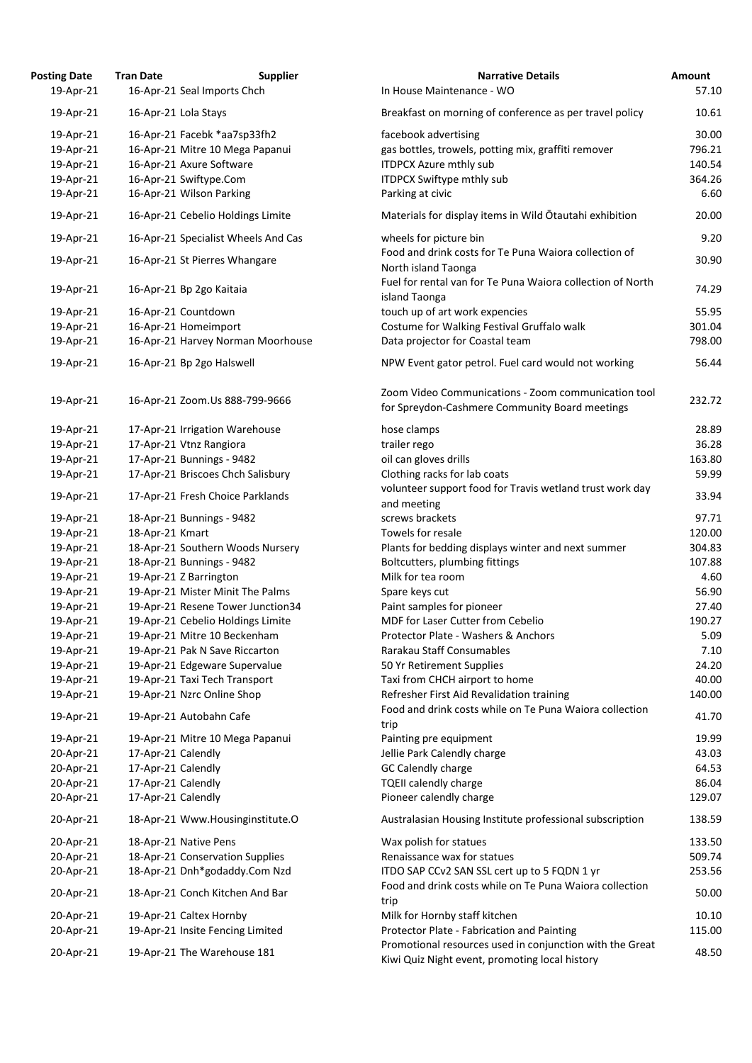| <b>Posting Date</b> | <b>Tran Date</b>              | <b>Supplier</b>                     | <b>Narrative Details</b>                                                                              | Amount |
|---------------------|-------------------------------|-------------------------------------|-------------------------------------------------------------------------------------------------------|--------|
| 19-Apr-21           | 16-Apr-21 Seal Imports Chch   |                                     | In House Maintenance - WO                                                                             | 57.10  |
| 19-Apr-21           | 16-Apr-21 Lola Stays          |                                     | Breakfast on morning of conference as per travel policy                                               | 10.61  |
| 19-Apr-21           | 16-Apr-21 Facebk *aa7sp33fh2  |                                     | facebook advertising                                                                                  | 30.00  |
| 19-Apr-21           |                               | 16-Apr-21 Mitre 10 Mega Papanui     | gas bottles, trowels, potting mix, graffiti remover                                                   | 796.21 |
| 19-Apr-21           | 16-Apr-21 Axure Software      |                                     | <b>ITDPCX Azure mthly sub</b>                                                                         | 140.54 |
| 19-Apr-21           | 16-Apr-21 Swiftype.Com        |                                     | <b>ITDPCX Swiftype mthly sub</b>                                                                      | 364.26 |
| 19-Apr-21           | 16-Apr-21 Wilson Parking      |                                     | Parking at civic                                                                                      | 6.60   |
| 19-Apr-21           |                               | 16-Apr-21 Cebelio Holdings Limite   | Materials for display items in Wild Otautahi exhibition                                               | 20.00  |
| 19-Apr-21           |                               | 16-Apr-21 Specialist Wheels And Cas | wheels for picture bin                                                                                | 9.20   |
|                     | 16-Apr-21 St Pierres Whangare |                                     | Food and drink costs for Te Puna Waiora collection of                                                 | 30.90  |
| 19-Apr-21           |                               |                                     | North island Taonga                                                                                   |        |
| 19-Apr-21           | 16-Apr-21 Bp 2go Kaitaia      |                                     | Fuel for rental van for Te Puna Waiora collection of North<br>island Taonga                           | 74.29  |
| 19-Apr-21           | 16-Apr-21 Countdown           |                                     | touch up of art work expencies                                                                        | 55.95  |
| 19-Apr-21           | 16-Apr-21 Homeimport          |                                     | Costume for Walking Festival Gruffalo walk                                                            | 301.04 |
| 19-Apr-21           |                               | 16-Apr-21 Harvey Norman Moorhouse   | Data projector for Coastal team                                                                       | 798.00 |
| 19-Apr-21           | 16-Apr-21 Bp 2go Halswell     |                                     | NPW Event gator petrol. Fuel card would not working                                                   | 56.44  |
|                     |                               |                                     |                                                                                                       |        |
| 19-Apr-21           |                               | 16-Apr-21 Zoom.Us 888-799-9666      | Zoom Video Communications - Zoom communication tool<br>for Spreydon-Cashmere Community Board meetings | 232.72 |
| 19-Apr-21           |                               | 17-Apr-21 Irrigation Warehouse      | hose clamps                                                                                           | 28.89  |
| 19-Apr-21           | 17-Apr-21 Vtnz Rangiora       |                                     | trailer rego                                                                                          | 36.28  |
| 19-Apr-21           | 17-Apr-21 Bunnings - 9482     |                                     | oil can gloves drills                                                                                 | 163.80 |
| 19-Apr-21           |                               | 17-Apr-21 Briscoes Chch Salisbury   | Clothing racks for lab coats                                                                          | 59.99  |
| 19-Apr-21           |                               | 17-Apr-21 Fresh Choice Parklands    | volunteer support food for Travis wetland trust work day                                              | 33.94  |
| 19-Apr-21           | 18-Apr-21 Bunnings - 9482     |                                     | and meeting<br>screws brackets                                                                        | 97.71  |
|                     |                               |                                     | Towels for resale                                                                                     | 120.00 |
| 19-Apr-21           | 18-Apr-21 Kmart               |                                     |                                                                                                       | 304.83 |
| 19-Apr-21           |                               | 18-Apr-21 Southern Woods Nursery    | Plants for bedding displays winter and next summer                                                    |        |
| 19-Apr-21           | 18-Apr-21 Bunnings - 9482     |                                     | Boltcutters, plumbing fittings                                                                        | 107.88 |
| 19-Apr-21           | 19-Apr-21 Z Barrington        |                                     | Milk for tea room                                                                                     | 4.60   |
| 19-Apr-21           |                               | 19-Apr-21 Mister Minit The Palms    | Spare keys cut                                                                                        | 56.90  |
| 19-Apr-21           |                               | 19-Apr-21 Resene Tower Junction34   | Paint samples for pioneer                                                                             | 27.40  |
| 19-Apr-21           |                               | 19-Apr-21 Cebelio Holdings Limite   | MDF for Laser Cutter from Cebelio                                                                     | 190.27 |
| 19-Apr-21           |                               | 19-Apr-21 Mitre 10 Beckenham        | Protector Plate - Washers & Anchors                                                                   | 5.09   |
| 19-Apr-21           |                               | 19-Apr-21 Pak N Save Riccarton      | Rarakau Staff Consumables                                                                             | 7.10   |
| 19-Apr-21           |                               | 19-Apr-21 Edgeware Supervalue       | 50 Yr Retirement Supplies                                                                             | 24.20  |
| 19-Apr-21           | 19-Apr-21 Taxi Tech Transport |                                     | Taxi from CHCH airport to home                                                                        | 40.00  |
| 19-Apr-21           | 19-Apr-21 Nzrc Online Shop    |                                     | Refresher First Aid Revalidation training                                                             | 140.00 |
| 19-Apr-21           | 19-Apr-21 Autobahn Cafe       |                                     | Food and drink costs while on Te Puna Waiora collection<br>trip                                       | 41.70  |
| 19-Apr-21           |                               | 19-Apr-21 Mitre 10 Mega Papanui     | Painting pre equipment                                                                                | 19.99  |
| 20-Apr-21           | 17-Apr-21 Calendly            |                                     | Jellie Park Calendly charge                                                                           | 43.03  |
| 20-Apr-21           | 17-Apr-21 Calendly            |                                     | GC Calendly charge                                                                                    | 64.53  |
| 20-Apr-21           | 17-Apr-21 Calendly            |                                     | <b>TQEII calendly charge</b>                                                                          | 86.04  |
| 20-Apr-21           | 17-Apr-21 Calendly            |                                     | Pioneer calendly charge                                                                               | 129.07 |
| 20-Apr-21           |                               | 18-Apr-21 Www.Housinginstitute.O    | Australasian Housing Institute professional subscription                                              | 138.59 |
| 20-Apr-21           | 18-Apr-21 Native Pens         |                                     | Wax polish for statues                                                                                | 133.50 |
| 20-Apr-21           |                               | 18-Apr-21 Conservation Supplies     | Renaissance wax for statues                                                                           | 509.74 |
| 20-Apr-21           |                               | 18-Apr-21 Dnh*godaddy.Com Nzd       | ITDO SAP CCv2 SAN SSL cert up to 5 FQDN 1 yr                                                          | 253.56 |
| 20-Apr-21           |                               | 18-Apr-21 Conch Kitchen And Bar     | Food and drink costs while on Te Puna Waiora collection<br>trip                                       | 50.00  |
| 20-Apr-21           | 19-Apr-21 Caltex Hornby       |                                     | Milk for Hornby staff kitchen                                                                         | 10.10  |
|                     |                               |                                     | Protector Plate - Fabrication and Painting                                                            | 115.00 |
| 20-Apr-21           |                               | 19-Apr-21 Insite Fencing Limited    | Promotional resources used in conjunction with the Great                                              |        |
| 20-Apr-21           | 19-Apr-21 The Warehouse 181   |                                     | Kiwi Quiz Night event, promoting local history                                                        | 48.50  |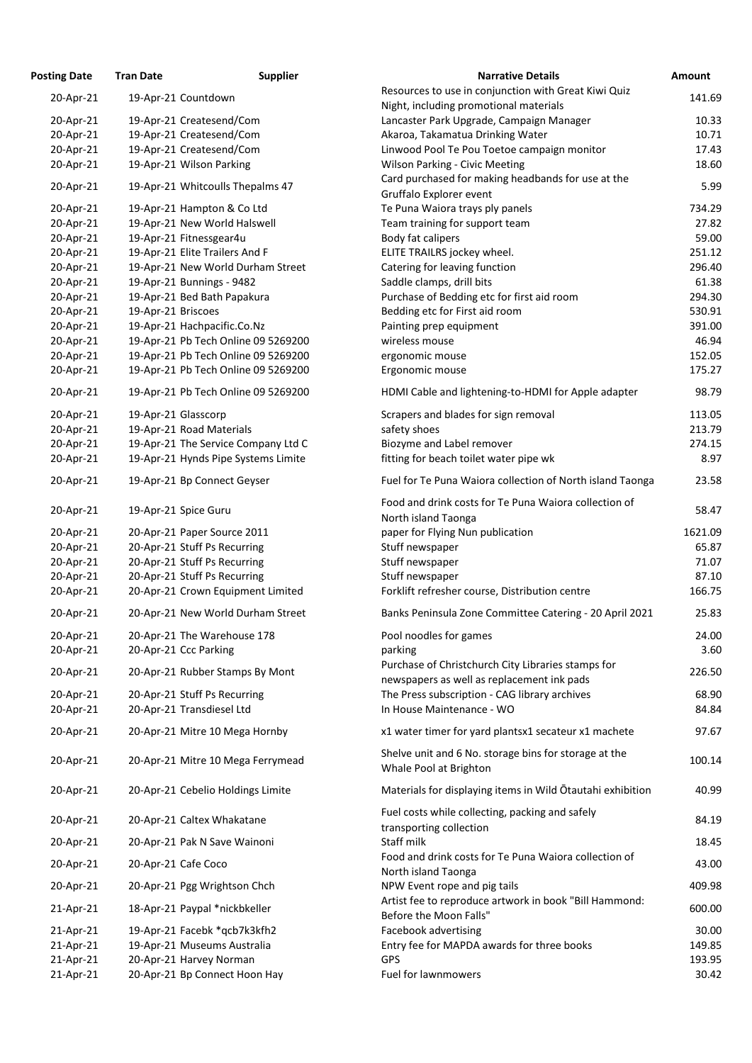| <b>Posting Date</b> | <b>Tran Date</b>    | <b>Supplier</b>                     | <b>Narrative Details</b>                                                     | <b>Amount</b> |
|---------------------|---------------------|-------------------------------------|------------------------------------------------------------------------------|---------------|
| 20-Apr-21           |                     | 19-Apr-21 Countdown                 | Resources to use in conjunction with Great Kiwi Quiz                         | 141.69        |
|                     |                     |                                     | Night, including promotional materials                                       |               |
| 20-Apr-21           |                     | 19-Apr-21 Createsend/Com            | Lancaster Park Upgrade, Campaign Manager                                     | 10.33         |
| 20-Apr-21           |                     | 19-Apr-21 Createsend/Com            | Akaroa, Takamatua Drinking Water                                             | 10.71         |
| 20-Apr-21           |                     | 19-Apr-21 Createsend/Com            | Linwood Pool Te Pou Toetoe campaign monitor                                  | 17.43         |
| 20-Apr-21           |                     | 19-Apr-21 Wilson Parking            | <b>Wilson Parking - Civic Meeting</b>                                        | 18.60         |
|                     |                     |                                     | Card purchased for making headbands for use at the                           |               |
| 20-Apr-21           |                     | 19-Apr-21 Whitcoulls Thepalms 47    | Gruffalo Explorer event                                                      | 5.99          |
| 20-Apr-21           |                     | 19-Apr-21 Hampton & Co Ltd          | Te Puna Waiora trays ply panels                                              | 734.29        |
| 20-Apr-21           |                     | 19-Apr-21 New World Halswell        | Team training for support team                                               | 27.82         |
| 20-Apr-21           |                     | 19-Apr-21 Fitnessgear4u             | Body fat calipers                                                            | 59.00         |
| 20-Apr-21           |                     | 19-Apr-21 Elite Trailers And F      | ELITE TRAILRS jockey wheel.                                                  | 251.12        |
| 20-Apr-21           |                     | 19-Apr-21 New World Durham Street   | Catering for leaving function                                                | 296.40        |
| 20-Apr-21           |                     | 19-Apr-21 Bunnings - 9482           | Saddle clamps, drill bits                                                    | 61.38         |
| 20-Apr-21           |                     | 19-Apr-21 Bed Bath Papakura         | Purchase of Bedding etc for first aid room                                   | 294.30        |
| 20-Apr-21           | 19-Apr-21 Briscoes  |                                     | Bedding etc for First aid room                                               | 530.91        |
| 20-Apr-21           |                     | 19-Apr-21 Hachpacific.Co.Nz         | Painting prep equipment                                                      | 391.00        |
| 20-Apr-21           |                     | 19-Apr-21 Pb Tech Online 09 5269200 | wireless mouse                                                               | 46.94         |
| 20-Apr-21           |                     | 19-Apr-21 Pb Tech Online 09 5269200 | ergonomic mouse                                                              | 152.05        |
| 20-Apr-21           |                     | 19-Apr-21 Pb Tech Online 09 5269200 | Ergonomic mouse                                                              | 175.27        |
| 20-Apr-21           |                     | 19-Apr-21 Pb Tech Online 09 5269200 | HDMI Cable and lightening-to-HDMI for Apple adapter                          | 98.79         |
| 20-Apr-21           | 19-Apr-21 Glasscorp |                                     | Scrapers and blades for sign removal                                         | 113.05        |
| 20-Apr-21           |                     | 19-Apr-21 Road Materials            | safety shoes                                                                 | 213.79        |
| 20-Apr-21           |                     | 19-Apr-21 The Service Company Ltd C | Biozyme and Label remover                                                    | 274.15        |
| 20-Apr-21           |                     | 19-Apr-21 Hynds Pipe Systems Limite | fitting for beach toilet water pipe wk                                       | 8.97          |
|                     |                     |                                     |                                                                              |               |
| 20-Apr-21           |                     | 19-Apr-21 Bp Connect Geyser         | Fuel for Te Puna Waiora collection of North island Taonga                    | 23.58         |
| 20-Apr-21           |                     | 19-Apr-21 Spice Guru                | Food and drink costs for Te Puna Waiora collection of<br>North island Taonga | 58.47         |
| 20-Apr-21           |                     | 20-Apr-21 Paper Source 2011         | paper for Flying Nun publication                                             | 1621.09       |
| 20-Apr-21           |                     | 20-Apr-21 Stuff Ps Recurring        | Stuff newspaper                                                              | 65.87         |
| 20-Apr-21           |                     | 20-Apr-21 Stuff Ps Recurring        | Stuff newspaper                                                              | 71.07         |
| 20-Apr-21           |                     | 20-Apr-21 Stuff Ps Recurring        | Stuff newspaper                                                              | 87.10         |
| 20-Apr-21           |                     | 20-Apr-21 Crown Equipment Limited   | Forklift refresher course, Distribution centre                               | 166.75        |
|                     |                     |                                     |                                                                              |               |
| 20-Apr-21           |                     | 20-Apr-21 New World Durham Street   | Banks Peninsula Zone Committee Catering - 20 April 2021                      | 25.83         |
| 20-Apr-21           |                     | 20-Apr-21 The Warehouse 178         | Pool noodles for games                                                       | 24.00         |
| 20-Apr-21           |                     | 20-Apr-21 Ccc Parking               | parking                                                                      | 3.60          |
| 20-Apr-21           |                     | 20-Apr-21 Rubber Stamps By Mont     | Purchase of Christchurch City Libraries stamps for                           | 226.50        |
|                     |                     |                                     | newspapers as well as replacement ink pads                                   |               |
| 20-Apr-21           |                     | 20-Apr-21 Stuff Ps Recurring        | The Press subscription - CAG library archives                                | 68.90         |
| 20-Apr-21           |                     | 20-Apr-21 Transdiesel Ltd           | In House Maintenance - WO                                                    | 84.84         |
| 20-Apr-21           |                     | 20-Apr-21 Mitre 10 Mega Hornby      | x1 water timer for yard plantsx1 secateur x1 machete                         | 97.67         |
|                     |                     |                                     | Shelve unit and 6 No. storage bins for storage at the                        |               |
| 20-Apr-21           |                     | 20-Apr-21 Mitre 10 Mega Ferrymead   | Whale Pool at Brighton                                                       | 100.14        |
| 20-Apr-21           |                     | 20-Apr-21 Cebelio Holdings Limite   | Materials for displaying items in Wild Otautahi exhibition                   | 40.99         |
|                     |                     |                                     | Fuel costs while collecting, packing and safely                              |               |
| 20-Apr-21           |                     | 20-Apr-21 Caltex Whakatane          | transporting collection                                                      | 84.19         |
| 20-Apr-21           |                     | 20-Apr-21 Pak N Save Wainoni        | Staff milk                                                                   | 18.45         |
| 20-Apr-21           |                     | 20-Apr-21 Cafe Coco                 | Food and drink costs for Te Puna Waiora collection of                        | 43.00         |
| 20-Apr-21           |                     | 20-Apr-21 Pgg Wrightson Chch        | North island Taonga<br>NPW Event rope and pig tails                          | 409.98        |
| 21-Apr-21           |                     | 18-Apr-21 Paypal *nickbkeller       | Artist fee to reproduce artwork in book "Bill Hammond:                       | 600.00        |
|                     |                     |                                     | Before the Moon Falls"                                                       |               |
| 21-Apr-21           |                     | 19-Apr-21 Facebk *gcb7k3kfh2        | Facebook advertising                                                         | 30.00         |
| 21-Apr-21           |                     | 19-Apr-21 Museums Australia         | Entry fee for MAPDA awards for three books                                   | 149.85        |
| 21-Apr-21           |                     | 20-Apr-21 Harvey Norman             | <b>GPS</b>                                                                   | 193.95        |
| 21-Apr-21           |                     | 20-Apr-21 Bp Connect Hoon Hay       | Fuel for lawnmowers                                                          | 30.42         |
|                     |                     |                                     |                                                                              |               |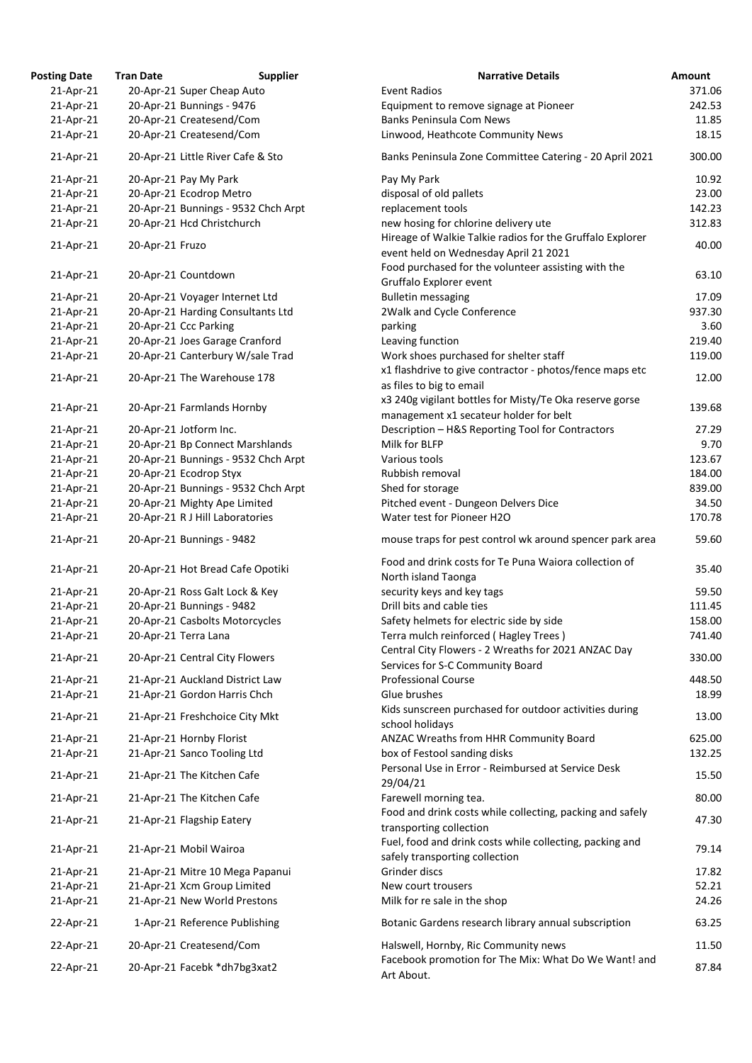| <b>osting Date</b> | <b>Tran Date</b>                  | <b>Supplier</b>                     | <b>Narrative Details</b>                                                                          |
|--------------------|-----------------------------------|-------------------------------------|---------------------------------------------------------------------------------------------------|
| 21-Apr-21          | 20-Apr-21 Super Cheap Auto        |                                     | <b>Event Radios</b>                                                                               |
| 21-Apr-21          | 20-Apr-21 Bunnings - 9476         |                                     | Equipment to remove signage at Pioneer                                                            |
| 21-Apr-21          | 20-Apr-21 Createsend/Com          |                                     | <b>Banks Peninsula Com News</b>                                                                   |
| 21-Apr-21          | 20-Apr-21 Createsend/Com          |                                     | Linwood, Heathcote Community News                                                                 |
| 21-Apr-21          | 20-Apr-21 Little River Cafe & Sto |                                     | Banks Peninsula Zone Committee Catering - 20 April 20                                             |
| 21-Apr-21          | 20-Apr-21 Pay My Park             |                                     | Pay My Park                                                                                       |
| 21-Apr-21          | 20-Apr-21 Ecodrop Metro           |                                     | disposal of old pallets                                                                           |
| 21-Apr-21          |                                   | 20-Apr-21 Bunnings - 9532 Chch Arpt | replacement tools                                                                                 |
| 21-Apr-21          | 20-Apr-21 Hcd Christchurch        |                                     | new hosing for chlorine delivery ute                                                              |
| 21-Apr-21          | 20-Apr-21 Fruzo                   |                                     | Hireage of Walkie Talkie radios for the Gruffalo Explore<br>event held on Wednesday April 21 2021 |
| 21-Apr-21          | 20-Apr-21 Countdown               |                                     | Food purchased for the volunteer assisting with the<br>Gruffalo Explorer event                    |
| 21-Apr-21          | 20-Apr-21 Voyager Internet Ltd    |                                     | <b>Bulletin messaging</b>                                                                         |
| 21-Apr-21          | 20-Apr-21 Harding Consultants Ltd |                                     | 2Walk and Cycle Conference                                                                        |
| 21-Apr-21          | 20-Apr-21 Ccc Parking             |                                     | parking                                                                                           |
| 21-Apr-21          | 20-Apr-21 Joes Garage Cranford    |                                     | Leaving function                                                                                  |
| 21-Apr-21          | 20-Apr-21 Canterbury W/sale Trad  |                                     | Work shoes purchased for shelter staff                                                            |
|                    |                                   |                                     |                                                                                                   |
| 21-Apr-21          | 20-Apr-21 The Warehouse 178       |                                     | x1 flashdrive to give contractor - photos/fence maps et                                           |
|                    |                                   |                                     | as files to big to email                                                                          |
| 21-Apr-21          | 20-Apr-21 Farmlands Hornby        |                                     | x3 240g vigilant bottles for Misty/Te Oka reserve gorse                                           |
|                    |                                   |                                     | management x1 secateur holder for belt                                                            |
| 21-Apr-21          | 20-Apr-21 Jotform Inc.            |                                     | Description - H&S Reporting Tool for Contractors                                                  |
| 21-Apr-21          | 20-Apr-21 Bp Connect Marshlands   |                                     | Milk for BLFP                                                                                     |
| 21-Apr-21          |                                   | 20-Apr-21 Bunnings - 9532 Chch Arpt | Various tools                                                                                     |
| 21-Apr-21          | 20-Apr-21 Ecodrop Styx            |                                     | Rubbish removal                                                                                   |
| 21-Apr-21          |                                   | 20-Apr-21 Bunnings - 9532 Chch Arpt | Shed for storage                                                                                  |
| 21-Apr-21          | 20-Apr-21 Mighty Ape Limited      |                                     | Pitched event - Dungeon Delvers Dice                                                              |
| 21-Apr-21          |                                   |                                     | Water test for Pioneer H2O                                                                        |
|                    | 20-Apr-21 R J Hill Laboratories   |                                     |                                                                                                   |
| 21-Apr-21          | 20-Apr-21 Bunnings - 9482         |                                     | mouse traps for pest control wk around spencer park at                                            |
| 21-Apr-21          | 20-Apr-21 Hot Bread Cafe Opotiki  |                                     | Food and drink costs for Te Puna Waiora collection of<br>North island Taonga                      |
| 21-Apr-21          | 20-Apr-21 Ross Galt Lock & Key    |                                     | security keys and key tags                                                                        |
| 21-Apr-21          | 20-Apr-21 Bunnings - 9482         |                                     | Drill bits and cable ties                                                                         |
| 21-Apr-21          | 20-Apr-21 Casbolts Motorcycles    |                                     | Safety helmets for electric side by side                                                          |
| 21-Apr-21          | 20-Apr-21 Terra Lana              |                                     | Terra mulch reinforced (Hagley Trees)                                                             |
| 21-Apr-21          | 20-Apr-21 Central City Flowers    |                                     | Central City Flowers - 2 Wreaths for 2021 ANZAC Day                                               |
|                    |                                   |                                     | Services for S-C Community Board                                                                  |
| 21-Apr-21          | 21-Apr-21 Auckland District Law   |                                     | <b>Professional Course</b>                                                                        |
| 21-Apr-21          | 21-Apr-21 Gordon Harris Chch      |                                     | Glue brushes                                                                                      |
| 21-Apr-21          | 21-Apr-21 Freshchoice City Mkt    |                                     | Kids sunscreen purchased for outdoor activities during<br>school holidays                         |
|                    |                                   |                                     |                                                                                                   |
| 21-Apr-21          | 21-Apr-21 Hornby Florist          |                                     | ANZAC Wreaths from HHR Community Board                                                            |
| 21-Apr-21          | 21-Apr-21 Sanco Tooling Ltd       |                                     | box of Festool sanding disks                                                                      |
| 21-Apr-21          | 21-Apr-21 The Kitchen Cafe        |                                     | Personal Use in Error - Reimbursed at Service Desk                                                |
| 21-Apr-21          | 21-Apr-21 The Kitchen Cafe        |                                     | 29/04/21<br>Farewell morning tea.                                                                 |
| 21-Apr-21          | 21-Apr-21 Flagship Eatery         |                                     | Food and drink costs while collecting, packing and safel                                          |
|                    |                                   |                                     | transporting collection<br>Fuel, food and drink costs while collecting, packing and               |
| 21-Apr-21          | 21-Apr-21 Mobil Wairoa            |                                     | safely transporting collection                                                                    |
| 21-Apr-21          | 21-Apr-21 Mitre 10 Mega Papanui   |                                     | Grinder discs                                                                                     |
| 21-Apr-21          | 21-Apr-21 Xcm Group Limited       |                                     | New court trousers                                                                                |
| 21-Apr-21          | 21-Apr-21 New World Prestons      |                                     | Milk for re sale in the shop                                                                      |
| 22-Apr-21          | 1-Apr-21 Reference Publishing     |                                     | Botanic Gardens research library annual subscription                                              |
| 22-Apr-21          | 20-Apr-21 Createsend/Com          |                                     | Halswell, Hornby, Ric Community news                                                              |
|                    | 20-Apr-21 Facebk *dh7bg3xat2      |                                     | Facebook promotion for The Mix: What Do We Want! a                                                |
| 22-Apr-21          |                                   |                                     | Art About.                                                                                        |

| <b>Posting Date</b>    | <b>Tran Date</b> | <b>Supplier</b>                                           | <b>Narrative Details</b>                                                                           | <b>Amount</b>  |
|------------------------|------------------|-----------------------------------------------------------|----------------------------------------------------------------------------------------------------|----------------|
| 21-Apr-21              |                  | 20-Apr-21 Super Cheap Auto                                | <b>Event Radios</b>                                                                                | 371.06         |
| 21-Apr-21              |                  | 20-Apr-21 Bunnings - 9476                                 | Equipment to remove signage at Pioneer                                                             | 242.53         |
| 21-Apr-21              |                  | 20-Apr-21 Createsend/Com                                  | <b>Banks Peninsula Com News</b>                                                                    | 11.85          |
| 21-Apr-21              |                  | 20-Apr-21 Createsend/Com                                  | Linwood, Heathcote Community News                                                                  | 18.15          |
| 21-Apr-21              |                  | 20-Apr-21 Little River Cafe & Sto                         | Banks Peninsula Zone Committee Catering - 20 April 2021                                            | 300.00         |
| 21-Apr-21              |                  | 20-Apr-21 Pay My Park                                     | Pay My Park                                                                                        | 10.92          |
| 21-Apr-21              |                  | 20-Apr-21 Ecodrop Metro                                   | disposal of old pallets                                                                            | 23.00          |
| 21-Apr-21              |                  | 20-Apr-21 Bunnings - 9532 Chch Arpt                       | replacement tools                                                                                  | 142.23         |
| 21-Apr-21              |                  | 20-Apr-21 Hcd Christchurch                                | new hosing for chlorine delivery ute                                                               | 312.83         |
| 21-Apr-21              | 20-Apr-21 Fruzo  |                                                           | Hireage of Walkie Talkie radios for the Gruffalo Explorer<br>event held on Wednesday April 21 2021 | 40.00          |
| 21-Apr-21              |                  | 20-Apr-21 Countdown                                       | Food purchased for the volunteer assisting with the<br>Gruffalo Explorer event                     | 63.10          |
| 21-Apr-21              |                  | 20-Apr-21 Voyager Internet Ltd                            | <b>Bulletin messaging</b>                                                                          | 17.09          |
| 21-Apr-21              |                  | 20-Apr-21 Harding Consultants Ltd                         | 2Walk and Cycle Conference                                                                         | 937.30         |
| 21-Apr-21              |                  | 20-Apr-21 Ccc Parking                                     | parking                                                                                            | 3.60           |
| 21-Apr-21              |                  | 20-Apr-21 Joes Garage Cranford                            | Leaving function                                                                                   | 219.40         |
| 21-Apr-21              |                  | 20-Apr-21 Canterbury W/sale Trad                          | Work shoes purchased for shelter staff                                                             | 119.00         |
|                        |                  |                                                           | x1 flashdrive to give contractor - photos/fence maps etc                                           |                |
| 21-Apr-21              |                  | 20-Apr-21 The Warehouse 178                               | as files to big to email                                                                           | 12.00          |
|                        |                  |                                                           | x3 240g vigilant bottles for Misty/Te Oka reserve gorse                                            |                |
| 21-Apr-21              |                  | 20-Apr-21 Farmlands Hornby                                | management x1 secateur holder for belt                                                             | 139.68         |
| 21-Apr-21              |                  | 20-Apr-21 Jotform Inc.                                    | Description - H&S Reporting Tool for Contractors                                                   | 27.29          |
| 21-Apr-21              |                  | 20-Apr-21 Bp Connect Marshlands                           | Milk for BLFP                                                                                      | 9.70           |
| 21-Apr-21              |                  | 20-Apr-21 Bunnings - 9532 Chch Arpt                       | Various tools                                                                                      | 123.67         |
| 21-Apr-21              |                  | 20-Apr-21 Ecodrop Styx                                    | Rubbish removal                                                                                    | 184.00         |
| 21-Apr-21              |                  | 20-Apr-21 Bunnings - 9532 Chch Arpt                       | Shed for storage                                                                                   | 839.00         |
|                        |                  |                                                           |                                                                                                    |                |
| 21-Apr-21              |                  | 20-Apr-21 Mighty Ape Limited                              | Pitched event - Dungeon Delvers Dice                                                               | 34.50          |
| 21-Apr-21              |                  | 20-Apr-21 R J Hill Laboratories                           | Water test for Pioneer H2O                                                                         | 170.78         |
| 21-Apr-21              |                  | 20-Apr-21 Bunnings - 9482                                 | mouse traps for pest control wk around spencer park area                                           | 59.60          |
| 21-Apr-21              |                  | 20-Apr-21 Hot Bread Cafe Opotiki                          | Food and drink costs for Te Puna Waiora collection of<br>North island Taonga                       | 35.40          |
| 21-Apr-21              |                  | 20-Apr-21 Ross Galt Lock & Key                            | security keys and key tags                                                                         | 59.50          |
| 21-Apr-21              |                  | 20-Apr-21 Bunnings - 9482                                 | Drill bits and cable ties                                                                          | 111.45         |
| 21-Apr-21              |                  | 20-Apr-21 Casbolts Motorcycles                            | Safety helmets for electric side by side                                                           | 158.00         |
| 21-Apr-21              |                  | 20-Apr-21 Terra Lana                                      | Terra mulch reinforced (Hagley Trees)                                                              | 741.40         |
| 21-Apr-21              |                  | 20-Apr-21 Central City Flowers                            | Central City Flowers - 2 Wreaths for 2021 ANZAC Day<br>Services for S-C Community Board            | 330.00         |
| 21-Apr-21              |                  | 21-Apr-21 Auckland District Law                           | <b>Professional Course</b>                                                                         | 448.50         |
| 21-Apr-21              |                  | 21-Apr-21 Gordon Harris Chch                              | Glue brushes                                                                                       | 18.99          |
| 21-Apr-21              |                  | 21-Apr-21 Freshchoice City Mkt                            | Kids sunscreen purchased for outdoor activities during<br>school holidays                          | 13.00          |
| 21-Apr-21              |                  | 21-Apr-21 Hornby Florist                                  | ANZAC Wreaths from HHR Community Board                                                             | 625.00         |
| 21-Apr-21              |                  | 21-Apr-21 Sanco Tooling Ltd                               | box of Festool sanding disks                                                                       | 132.25         |
| 21-Apr-21              |                  | 21-Apr-21 The Kitchen Cafe                                | Personal Use in Error - Reimbursed at Service Desk<br>29/04/21                                     | 15.50          |
| 21-Apr-21              |                  | 21-Apr-21 The Kitchen Cafe                                | Farewell morning tea.                                                                              | 80.00          |
| 21-Apr-21              |                  | 21-Apr-21 Flagship Eatery                                 | Food and drink costs while collecting, packing and safely                                          | 47.30          |
|                        |                  |                                                           | transporting collection<br>Fuel, food and drink costs while collecting, packing and                |                |
| 21-Apr-21<br>21-Apr-21 |                  | 21-Apr-21 Mobil Wairoa<br>21-Apr-21 Mitre 10 Mega Papanui | safely transporting collection<br>Grinder discs                                                    | 79.14<br>17.82 |
|                        |                  |                                                           | New court trousers                                                                                 |                |
| 21-Apr-21              |                  | 21-Apr-21 Xcm Group Limited                               |                                                                                                    | 52.21          |
| 21-Apr-21              |                  | 21-Apr-21 New World Prestons                              | Milk for re sale in the shop                                                                       | 24.26          |
| 22-Apr-21              |                  | 1-Apr-21 Reference Publishing                             | Botanic Gardens research library annual subscription                                               | 63.25          |
| 22-Apr-21              |                  | 20-Apr-21 Createsend/Com                                  | Halswell, Hornby, Ric Community news<br>Facebook promotion for The Mix: What Do We Want! and       | 11.50          |
| 22-Apr-21              |                  | 20-Apr-21 Facebk *dh7bg3xat2                              | Art About.                                                                                         | 87.84          |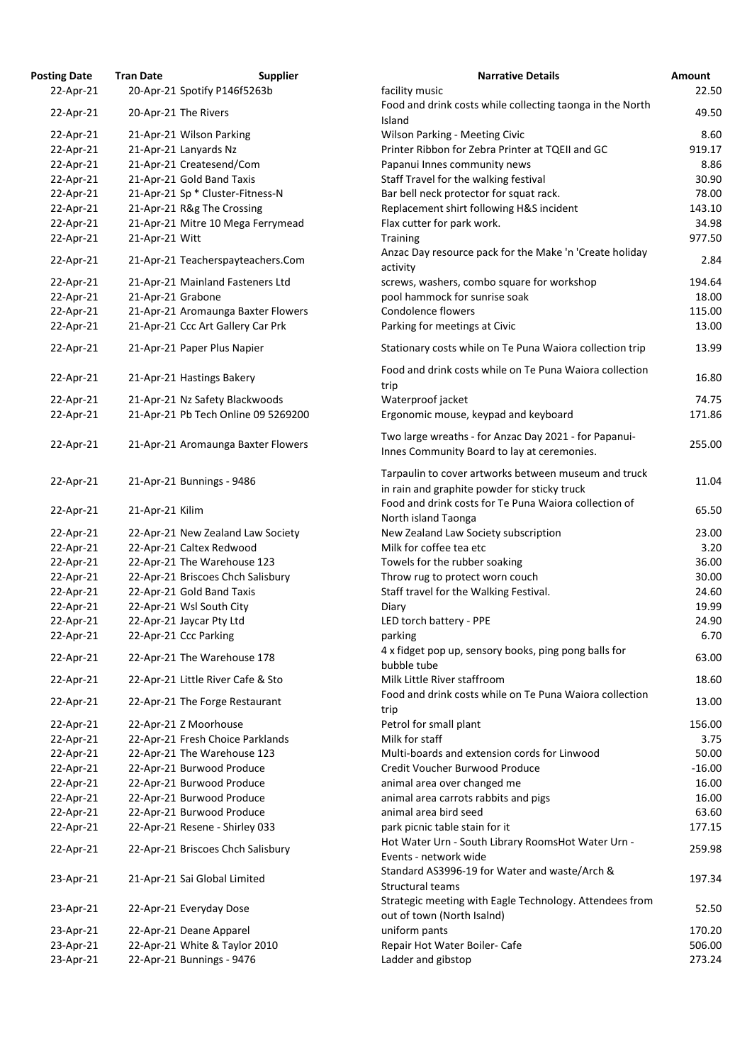| <b>Osting Date</b> | <b>Tran Date</b>  | <b>Supplier</b>                     | <b>Narrative Details</b>                                                                             |
|--------------------|-------------------|-------------------------------------|------------------------------------------------------------------------------------------------------|
| 22-Apr-21          |                   | 20-Apr-21 Spotify P146f5263b        | facility music                                                                                       |
| 22-Apr-21          |                   | 20-Apr-21 The Rivers                | Food and drink costs while collecting taonga in the No                                               |
|                    |                   |                                     | Island                                                                                               |
| 22-Apr-21          |                   | 21-Apr-21 Wilson Parking            | <b>Wilson Parking - Meeting Civic</b>                                                                |
| 22-Apr-21          |                   | 21-Apr-21 Lanyards Nz               | Printer Ribbon for Zebra Printer at TQEII and GC                                                     |
| 22-Apr-21          |                   | 21-Apr-21 Createsend/Com            | Papanui Innes community news                                                                         |
| 22-Apr-21          |                   | 21-Apr-21 Gold Band Taxis           | Staff Travel for the walking festival                                                                |
| 22-Apr-21          |                   | 21-Apr-21 Sp * Cluster-Fitness-N    | Bar bell neck protector for squat rack.                                                              |
| 22-Apr-21          |                   | 21-Apr-21 R&g The Crossing          | Replacement shirt following H&S incident                                                             |
| 22-Apr-21          |                   | 21-Apr-21 Mitre 10 Mega Ferrymead   | Flax cutter for park work.                                                                           |
| 22-Apr-21          | 21-Apr-21 Witt    |                                     | <b>Training</b>                                                                                      |
| 22-Apr-21          |                   | 21-Apr-21 Teacherspayteachers.Com   | Anzac Day resource pack for the Make 'n 'Create holid<br>activity                                    |
| 22-Apr-21          |                   | 21-Apr-21 Mainland Fasteners Ltd    | screws, washers, combo square for workshop                                                           |
| 22-Apr-21          | 21-Apr-21 Grabone |                                     | pool hammock for sunrise soak                                                                        |
| 22-Apr-21          |                   | 21-Apr-21 Aromaunga Baxter Flowers  | <b>Condolence flowers</b>                                                                            |
| 22-Apr-21          |                   | 21-Apr-21 Ccc Art Gallery Car Prk   | Parking for meetings at Civic                                                                        |
|                    |                   |                                     |                                                                                                      |
| 22-Apr-21          |                   | 21-Apr-21 Paper Plus Napier         | Stationary costs while on Te Puna Waiora collection tr                                               |
| 22-Apr-21          |                   | 21-Apr-21 Hastings Bakery           | Food and drink costs while on Te Puna Waiora collecti<br>trip                                        |
| 22-Apr-21          |                   | 21-Apr-21 Nz Safety Blackwoods      | Waterproof jacket                                                                                    |
| 22-Apr-21          |                   | 21-Apr-21 Pb Tech Online 09 5269200 | Ergonomic mouse, keypad and keyboard                                                                 |
|                    |                   |                                     |                                                                                                      |
| 22-Apr-21          |                   | 21-Apr-21 Aromaunga Baxter Flowers  | Two large wreaths - for Anzac Day 2021 - for Papanui-<br>Innes Community Board to lay at ceremonies. |
| 22-Apr-21          |                   | 21-Apr-21 Bunnings - 9486           | Tarpaulin to cover artworks between museum and tru<br>in rain and graphite powder for sticky truck   |
| 22-Apr-21          | 21-Apr-21 Kilim   |                                     | Food and drink costs for Te Puna Waiora collection of<br>North island Taonga                         |
| 22-Apr-21          |                   | 22-Apr-21 New Zealand Law Society   | New Zealand Law Society subscription                                                                 |
|                    |                   |                                     | Milk for coffee tea etc                                                                              |
| 22-Apr-21          |                   | 22-Apr-21 Caltex Redwood            |                                                                                                      |
| 22-Apr-21          |                   | 22-Apr-21 The Warehouse 123         | Towels for the rubber soaking                                                                        |
| 22-Apr-21          |                   | 22-Apr-21 Briscoes Chch Salisbury   | Throw rug to protect worn couch                                                                      |
| 22-Apr-21          |                   | 22-Apr-21 Gold Band Taxis           | Staff travel for the Walking Festival.                                                               |
| 22-Apr-21          |                   | 22-Apr-21 Wsl South City            | Diary                                                                                                |
| 22-Apr-21          |                   | 22-Apr-21 Jaycar Pty Ltd            | LED torch battery - PPE                                                                              |
| 22-Apr-21          |                   | 22-Apr-21 Ccc Parking               | parking                                                                                              |
| 22-Apr-21          |                   | 22-Apr-21 The Warehouse 178         | 4 x fidget pop up, sensory books, ping pong balls for                                                |
|                    |                   |                                     | bubble tube                                                                                          |
| 22-Apr-21          |                   | 22-Apr-21 Little River Cafe & Sto   | Milk Little River staffroom                                                                          |
| 22-Apr-21          |                   | 22-Apr-21 The Forge Restaurant      | Food and drink costs while on Te Puna Waiora collecti<br>trip                                        |
| 22-Apr-21          |                   | 22-Apr-21 Z Moorhouse               | Petrol for small plant                                                                               |
| 22-Apr-21          |                   | 22-Apr-21 Fresh Choice Parklands    | Milk for staff                                                                                       |
| 22-Apr-21          |                   | 22-Apr-21 The Warehouse 123         | Multi-boards and extension cords for Linwood                                                         |
| 22-Apr-21          |                   | 22-Apr-21 Burwood Produce           | Credit Voucher Burwood Produce                                                                       |
| 22-Apr-21          |                   | 22-Apr-21 Burwood Produce           | animal area over changed me                                                                          |
| 22-Apr-21          |                   | 22-Apr-21 Burwood Produce           | animal area carrots rabbits and pigs                                                                 |
| 22-Apr-21          |                   | 22-Apr-21 Burwood Produce           | animal area bird seed                                                                                |
| 22-Apr-21          |                   | 22-Apr-21 Resene - Shirley 033      | park picnic table stain for it                                                                       |
| 22-Apr-21          |                   | 22-Apr-21 Briscoes Chch Salisbury   | Hot Water Urn - South Library RoomsHot Water Urn -                                                   |
|                    |                   |                                     | Events - network wide<br>Standard AS3996-19 for Water and waste/Arch &                               |
| 23-Apr-21          |                   | 21-Apr-21 Sai Global Limited        | <b>Structural teams</b>                                                                              |
| 23-Apr-21          |                   | 22-Apr-21 Everyday Dose             | Strategic meeting with Eagle Technology. Attendees fr<br>out of town (North Isalnd)                  |
| 23-Apr-21          |                   | 22-Apr-21 Deane Apparel             | uniform pants                                                                                        |
| 23-Apr-21          |                   | 22-Apr-21 White & Taylor 2010       | Repair Hot Water Boiler- Cafe                                                                        |
| 23-Apr-21          |                   | 22-Apr-21 Bunnings - 9476           | Ladder and gibstop                                                                                   |
|                    |                   |                                     |                                                                                                      |

| <b>Posting Date</b> | <b>Tran Date</b>  | <b>Supplier</b>                     | <b>Narrative Details</b>                                                                             | Amount   |
|---------------------|-------------------|-------------------------------------|------------------------------------------------------------------------------------------------------|----------|
| 22-Apr-21           |                   | 20-Apr-21 Spotify P146f5263b        | facility music                                                                                       | 22.50    |
| 22-Apr-21           |                   | 20-Apr-21 The Rivers                | Food and drink costs while collecting taonga in the North                                            | 49.50    |
|                     |                   |                                     | Island                                                                                               |          |
| 22-Apr-21           |                   | 21-Apr-21 Wilson Parking            | <b>Wilson Parking - Meeting Civic</b>                                                                | 8.60     |
| 22-Apr-21           |                   | 21-Apr-21 Lanyards Nz               | Printer Ribbon for Zebra Printer at TQEII and GC                                                     | 919.17   |
| 22-Apr-21           |                   | 21-Apr-21 Createsend/Com            | Papanui Innes community news                                                                         | 8.86     |
| 22-Apr-21           |                   | 21-Apr-21 Gold Band Taxis           | Staff Travel for the walking festival                                                                | 30.90    |
| 22-Apr-21           |                   | 21-Apr-21 Sp * Cluster-Fitness-N    | Bar bell neck protector for squat rack.                                                              | 78.00    |
| 22-Apr-21           |                   | 21-Apr-21 R&g The Crossing          | Replacement shirt following H&S incident                                                             | 143.10   |
| 22-Apr-21           |                   | 21-Apr-21 Mitre 10 Mega Ferrymead   | Flax cutter for park work.                                                                           | 34.98    |
| 22-Apr-21           | 21-Apr-21 Witt    |                                     | <b>Training</b>                                                                                      | 977.50   |
| 22-Apr-21           |                   | 21-Apr-21 Teacherspayteachers.Com   | Anzac Day resource pack for the Make 'n 'Create holiday<br>activity                                  | 2.84     |
| 22-Apr-21           |                   | 21-Apr-21 Mainland Fasteners Ltd    | screws, washers, combo square for workshop                                                           | 194.64   |
| 22-Apr-21           | 21-Apr-21 Grabone |                                     | pool hammock for sunrise soak                                                                        | 18.00    |
| 22-Apr-21           |                   | 21-Apr-21 Aromaunga Baxter Flowers  | Condolence flowers                                                                                   | 115.00   |
| 22-Apr-21           |                   | 21-Apr-21 Ccc Art Gallery Car Prk   | Parking for meetings at Civic                                                                        | 13.00    |
| 22-Apr-21           |                   | 21-Apr-21 Paper Plus Napier         | Stationary costs while on Te Puna Waiora collection trip                                             | 13.99    |
|                     |                   |                                     |                                                                                                      |          |
| 22-Apr-21           |                   | 21-Apr-21 Hastings Bakery           | Food and drink costs while on Te Puna Waiora collection<br>trip                                      | 16.80    |
| 22-Apr-21           |                   | 21-Apr-21 Nz Safety Blackwoods      | Waterproof jacket                                                                                    | 74.75    |
| 22-Apr-21           |                   | 21-Apr-21 Pb Tech Online 09 5269200 | Ergonomic mouse, keypad and keyboard                                                                 | 171.86   |
| 22-Apr-21           |                   | 21-Apr-21 Aromaunga Baxter Flowers  | Two large wreaths - for Anzac Day 2021 - for Papanui-<br>Innes Community Board to lay at ceremonies. | 255.00   |
| 22-Apr-21           |                   | 21-Apr-21 Bunnings - 9486           | Tarpaulin to cover artworks between museum and truck<br>in rain and graphite powder for sticky truck | 11.04    |
| 22-Apr-21           | 21-Apr-21 Kilim   |                                     | Food and drink costs for Te Puna Waiora collection of                                                | 65.50    |
|                     |                   |                                     | North island Taonga                                                                                  |          |
| 22-Apr-21           |                   | 22-Apr-21 New Zealand Law Society   | New Zealand Law Society subscription                                                                 | 23.00    |
| 22-Apr-21           |                   | 22-Apr-21 Caltex Redwood            | Milk for coffee tea etc                                                                              | 3.20     |
| 22-Apr-21           |                   | 22-Apr-21 The Warehouse 123         | Towels for the rubber soaking                                                                        | 36.00    |
| 22-Apr-21           |                   | 22-Apr-21 Briscoes Chch Salisbury   | Throw rug to protect worn couch                                                                      | 30.00    |
| 22-Apr-21           |                   | 22-Apr-21 Gold Band Taxis           | Staff travel for the Walking Festival.                                                               | 24.60    |
| 22-Apr-21           |                   | 22-Apr-21 Wsl South City            | Diary                                                                                                | 19.99    |
| 22-Apr-21           |                   | 22-Apr-21 Jaycar Pty Ltd            | LED torch battery - PPE                                                                              | 24.90    |
| 22-Apr-21           |                   | 22-Apr-21 Ccc Parking               | parking                                                                                              | 6.70     |
| 22-Apr-21           |                   | 22-Apr-21 The Warehouse 178         | 4 x fidget pop up, sensory books, ping pong balls for<br>bubble tube                                 | 63.00    |
| 22-Apr-21           |                   | 22-Apr-21 Little River Cafe & Sto   | Milk Little River staffroom                                                                          | 18.60    |
| 22-Apr-21           |                   | 22-Apr-21 The Forge Restaurant      | Food and drink costs while on Te Puna Waiora collection<br>trip                                      | 13.00    |
| 22-Apr-21           |                   | 22-Apr-21 Z Moorhouse               | Petrol for small plant                                                                               | 156.00   |
| 22-Apr-21           |                   | 22-Apr-21 Fresh Choice Parklands    | Milk for staff                                                                                       | 3.75     |
| 22-Apr-21           |                   | 22-Apr-21 The Warehouse 123         | Multi-boards and extension cords for Linwood                                                         | 50.00    |
| 22-Apr-21           |                   | 22-Apr-21 Burwood Produce           | Credit Voucher Burwood Produce                                                                       | $-16.00$ |
| 22-Apr-21           |                   | 22-Apr-21 Burwood Produce           | animal area over changed me                                                                          | 16.00    |
| 22-Apr-21           |                   | 22-Apr-21 Burwood Produce           | animal area carrots rabbits and pigs                                                                 | 16.00    |
| 22-Apr-21           |                   | 22-Apr-21 Burwood Produce           | animal area bird seed                                                                                | 63.60    |
| 22-Apr-21           |                   | 22-Apr-21 Resene - Shirley 033      | park picnic table stain for it                                                                       | 177.15   |
|                     |                   |                                     | Hot Water Urn - South Library RoomsHot Water Urn -                                                   |          |
| 22-Apr-21           |                   | 22-Apr-21 Briscoes Chch Salisbury   | Events - network wide                                                                                | 259.98   |
| 23-Apr-21           |                   | 21-Apr-21 Sai Global Limited        | Standard AS3996-19 for Water and waste/Arch &<br><b>Structural teams</b>                             | 197.34   |
| 23-Apr-21           |                   | 22-Apr-21 Everyday Dose             | Strategic meeting with Eagle Technology. Attendees from<br>out of town (North Isalnd)                | 52.50    |
| 23-Apr-21           |                   | 22-Apr-21 Deane Apparel             | uniform pants                                                                                        | 170.20   |
| 23-Apr-21           |                   | 22-Apr-21 White & Taylor 2010       | Repair Hot Water Boiler-Cafe                                                                         | 506.00   |
| 23-Apr-21           |                   | 22-Apr-21 Bunnings - 9476           | Ladder and gibstop                                                                                   | 273.24   |
|                     |                   |                                     |                                                                                                      |          |